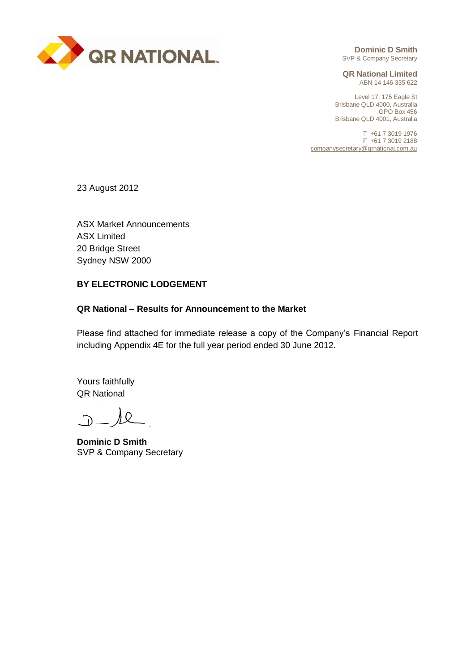

**Dominic D Smith** SVP & Company Secretary

**QR National Limited** ABN 14 146 335 622

Level 17, 175 Eagle St Brisbane QLD 4000, Australia GPO Box 456 Brisbane QLD 4001, Australia

T +61 7 3019 1976 F +61 7 3019 2188 companysecretary@qrnational.com.au

23 August 2012

ASX Market Announcements ASX Limited 20 Bridge Street Sydney NSW 2000

### **BY ELECTRONIC LODGEMENT**

### **QR National – Results for Announcement to the Market**

Please find attached for immediate release a copy of the Company's Financial Report including Appendix 4E for the full year period ended 30 June 2012.

Yours faithfully QR National

 $\Omega$ 

**Dominic D Smith** SVP & Company Secretary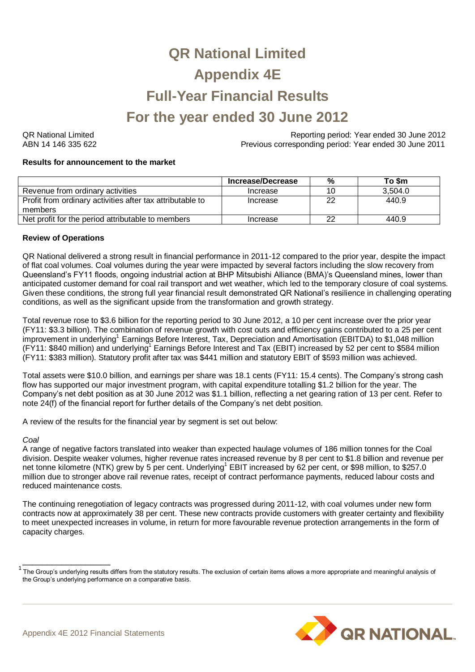# **QR National Limited Appendix 4E Full-Year Financial Results For the year ended 30 June 2012**

QR National Limited Reporting period: Year ended 30 June 2012 ABN 14 146 335 622 Previous corresponding period: Year ended 30 June 2011

### **Results for announcement to the market**

|                                                                      | Increase/Decrease | $\%$ | To \$m  |
|----------------------------------------------------------------------|-------------------|------|---------|
| Revenue from ordinary activities                                     | Increase          | 10   | 3.504.0 |
| Profit from ordinary activities after tax attributable to<br>members | Increase          | 22   | 440.9   |
|                                                                      |                   |      |         |
| Net profit for the period attributable to members                    | Increase          | つつ   | 440.9   |

### **Review of Operations**

QR National delivered a strong result in financial performance in 2011-12 compared to the prior year, despite the impact of flat coal volumes. Coal volumes during the year were impacted by several factors including the slow recovery from Queensland's FY11 floods, ongoing industrial action at BHP Mitsubishi Alliance (BMA)'s Queensland mines, lower than anticipated customer demand for coal rail transport and wet weather, which led to the temporary closure of coal systems. Given these conditions, the strong full year financial result demonstrated QR National's resilience in challenging operating conditions, as well as the significant upside from the transformation and growth strategy.

Total revenue rose to \$3.6 billion for the reporting period to 30 June 2012, a 10 per cent increase over the prior year (FY11: \$3.3 billion). The combination of revenue growth with cost outs and efficiency gains contributed to a 25 per cent improvement in underlying<sup>1</sup> Earnings Before Interest, Tax, Depreciation and Amortisation (EBITDA) to \$1,048 million (FY11: \$840 million) and underlying<sup>1</sup> Earnings Before Interest and Tax (EBIT) increased by 52 per cent to \$584 million (FY11: \$383 million). Statutory profit after tax was \$441 million and statutory EBIT of \$593 million was achieved.

Total assets were \$10.0 billion, and earnings per share was 18.1 cents (FY11: 15.4 cents). The Company's strong cash flow has supported our major investment program, with capital expenditure totalling \$1.2 billion for the year. The Company's net debt position as at 30 June 2012 was \$1.1 billion, reflecting a net gearing ration of 13 per cent. Refer to note 24(f) of the financial report for further details of the Company's net debt position.

A review of the results for the financial year by segment is set out below:

### *Coal*

A range of negative factors translated into weaker than expected haulage volumes of 186 million tonnes for the Coal division. Despite weaker volumes, higher revenue rates increased revenue by 8 per cent to \$1.8 billion and revenue per net tonne kilometre (NTK) grew by 5 per cent. Underlying<sup>1</sup> EBIT increased by 62 per cent, or \$98 million, to \$257.0 million due to stronger above rail revenue rates, receipt of contract performance payments, reduced labour costs and reduced maintenance costs.

The continuing renegotiation of legacy contracts was progressed during 2011-12, with coal volumes under new form contracts now at approximately 38 per cent. These new contracts provide customers with greater certainty and flexibility to meet unexpected increases in volume, in return for more favourable revenue protection arrangements in the form of capacity charges.

 $^1$  The Group's underlying results differs from the statutory results. The exclusion of certain items allows a more appropriate and meaningful analysis of the Group's underlying performance on a comparative basis.



\_\_\_\_\_\_\_\_\_\_\_\_\_\_\_\_\_\_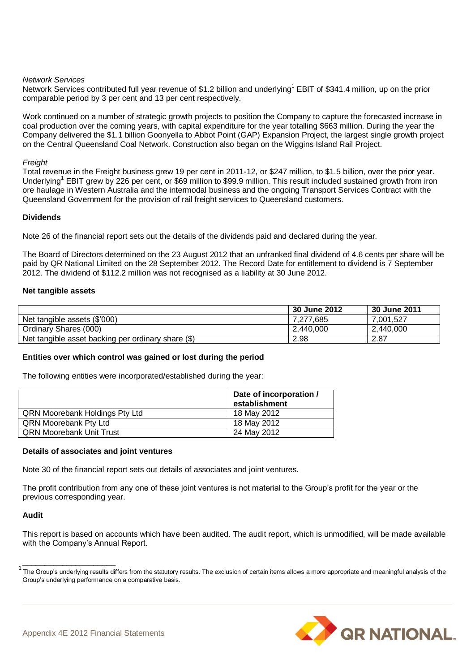### *Network Services*

Network Services contributed full year revenue of \$1.2 billion and underlying<sup>1</sup> EBIT of \$341.4 million, up on the prior comparable period by 3 per cent and 13 per cent respectively.

Work continued on a number of strategic growth projects to position the Company to capture the forecasted increase in coal production over the coming years, with capital expenditure for the year totalling \$663 million. During the year the Company delivered the \$1.1 billion Goonyella to Abbot Point (GAP) Expansion Project, the largest single growth project on the Central Queensland Coal Network. Construction also began on the Wiggins Island Rail Project.

### *Freight*

Total revenue in the Freight business grew 19 per cent in 2011-12, or \$247 million, to \$1.5 billion, over the prior year. Underlying<sup>1</sup> EBIT grew by 226 per cent, or \$69 million to \$99.9 million. This result included sustained growth from iron ore haulage in Western Australia and the intermodal business and the ongoing Transport Services Contract with the Queensland Government for the provision of rail freight services to Queensland customers.

### **Dividends**

Note 26 of the financial report sets out the details of the dividends paid and declared during the year.

The Board of Directors determined on the 23 August 2012 that an unfranked final dividend of 4.6 cents per share will be paid by QR National Limited on the 28 September 2012. The Record Date for entitlement to dividend is 7 September 2012. The dividend of \$112.2 million was not recognised as a liability at 30 June 2012.

### **Net tangible assets**

|                                                    | 30 June 2012 | 30 June 2011 |
|----------------------------------------------------|--------------|--------------|
| Net tangible assets (\$'000)                       | 7.277.685    | 7.001.527    |
| Ordinary Shares (000)                              | 2.440.000    | 2.440.000    |
| Net tangible asset backing per ordinary share (\$) | 2.98         | 2.87         |

### **Entities over which control was gained or lost during the period**

The following entities were incorporated/established during the year:

|                                       | Date of incorporation /<br>establishment |
|---------------------------------------|------------------------------------------|
| <b>QRN Moorebank Holdings Pty Ltd</b> | 18 May 2012                              |
| <b>QRN Moorebank Pty Ltd</b>          | 18 May 2012                              |
| <b>QRN Moorebank Unit Trust</b>       | 24 May 2012                              |

### **Details of associates and joint ventures**

Note 30 of the financial report sets out details of associates and joint ventures.

The profit contribution from any one of these joint ventures is not material to the Group's profit for the year or the previous corresponding year.

### **Audit**

This report is based on accounts which have been audited. The audit report, which is unmodified, will be made available with the Company's Annual Report.

 $1$  The Group's underlying results differs from the statutory results. The exclusion of certain items allows a more appropriate and meaningful analysis of the Group's underlying performance on a comparative basis.



\_\_\_\_\_\_\_\_\_\_\_\_\_\_\_\_\_\_\_\_\_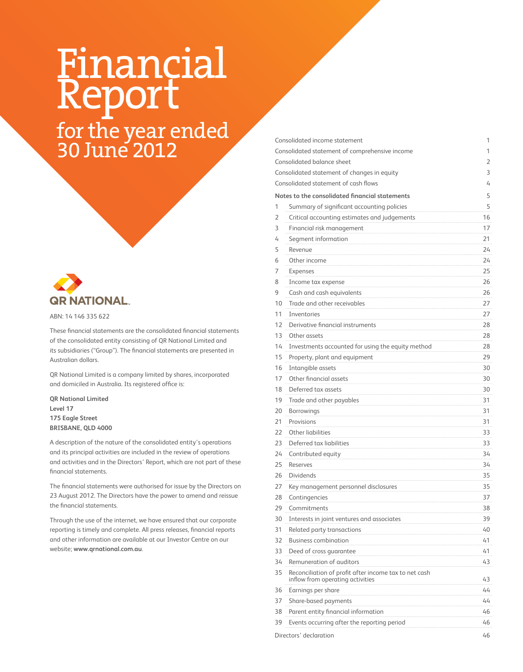# Financial Report

for the year ended 30 June 2012



ABN: 14 146 335 622

These financial statements are the consolidated financial statements of the consolidated entity consisting of QR National Limited and its subsidiaries ("Group"). The financial statements are presented in Australian dollars.

QR National Limited is a company limited by shares, incorporated and domiciled in Australia. Its registered office is:

**QR National Limited Level 17 175 Eagle Street BRISBANE, QLD 4000**

A description of the nature of the consolidated entity's operations and its principal activities are included in the review of operations and activities and in the Directors' Report, which are not part of these financial statements.

The financial statements were authorised for issue by the Directors on 23 August 2012. The Directors have the power to amend and reissue the financial statements.

Through the use of the internet, we have ensured that our corporate reporting is timely and complete. All press releases, financial reports and other information are available at our Investor Centre on our website; **www.qrnational.com.au**.

|    | Consolidated income statement                                                             | 1  |
|----|-------------------------------------------------------------------------------------------|----|
|    | Consolidated statement of comprehensive income                                            | 1  |
|    | Consolidated balance sheet                                                                | 2  |
|    | Consolidated statement of changes in equity                                               | 3  |
|    | Consolidated statement of cash flows                                                      | 4  |
|    | Notes to the consolidated financial statements                                            | 5  |
| 1  | Summary of significant accounting policies                                                | 5  |
| 2  | Critical accounting estimates and judgements                                              | 16 |
| 3  | Financial risk management                                                                 | 17 |
| 4  | Segment information                                                                       | 21 |
| 5  | Revenue                                                                                   | 24 |
| 6  | Other income                                                                              | 24 |
| 7  | Expenses                                                                                  | 25 |
| 8  | Income tax expense                                                                        | 26 |
| 9  | Cash and cash equivalents                                                                 | 26 |
| 10 | Trade and other receivables                                                               | 27 |
| 11 | Inventories                                                                               | 27 |
| 12 | Derivative financial instruments                                                          | 28 |
| 13 | Other assets                                                                              | 28 |
| 14 | Investments accounted for using the equity method                                         | 28 |
| 15 | Property, plant and equipment                                                             | 29 |
| 16 | Intangible assets                                                                         | 30 |
| 17 | Other financial assets                                                                    | 30 |
| 18 | Deferred tax assets                                                                       | 30 |
| 19 | Trade and other payables                                                                  | 31 |
| 20 | <b>Borrowings</b>                                                                         | 31 |
| 21 | Provisions                                                                                | 31 |
| 22 | Other liabilities                                                                         | 33 |
| 23 | Deferred tax liabilities                                                                  | 33 |
| 24 | Contributed equity                                                                        | 34 |
| 25 | Reserves                                                                                  | 34 |
| 26 | <b>Dividends</b>                                                                          | 35 |
| 27 | Key management personnel disclosures                                                      | 35 |
| 28 | Contingencies                                                                             | 37 |
| 29 | Commitments                                                                               | 38 |
| 30 | Interests in joint ventures and associates                                                | 39 |
| 31 | Related party transactions                                                                | 40 |
| 32 | <b>Business combination</b>                                                               | 41 |
| 33 | Deed of cross quarantee                                                                   | 41 |
| 34 | Remuneration of auditors                                                                  | 43 |
| 35 | Reconciliation of profit after income tax to net cash<br>inflow from operating activities | 43 |
| 36 | Earnings per share                                                                        | 44 |
| 37 | Share-based payments                                                                      | 44 |
| 38 | Parent entity financial information                                                       | 46 |

39 Events occurring after the reporting period 46

Directors' declaration 46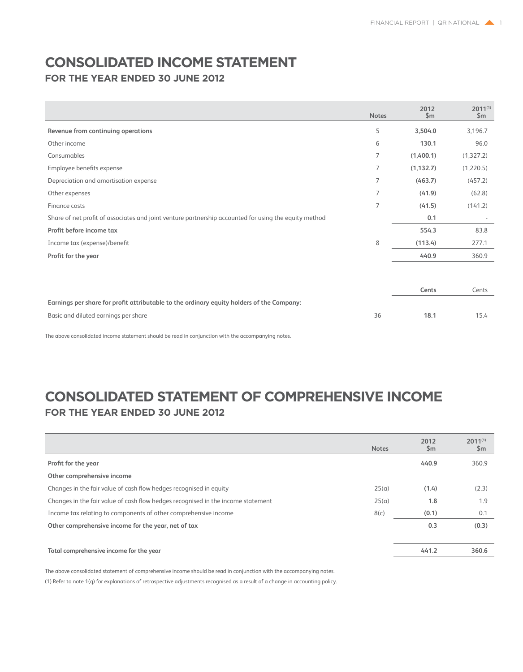### **Consolidated income statement**

**For the year ended 30 June 2012**

|                                                                                                       | <b>Notes</b> | 2012<br>\$m\$ | $2011^{(1)}$<br>\$m\$ |
|-------------------------------------------------------------------------------------------------------|--------------|---------------|-----------------------|
| Revenue from continuing operations                                                                    | 5            | 3,504.0       | 3,196.7               |
| Other income                                                                                          | 6            | 130.1         | 96.0                  |
| Consumables                                                                                           | 7            | (1,400.1)     | (1,327.2)             |
| Employee benefits expense                                                                             | 7            | (1, 132.7)    | (1,220.5)             |
| Depreciation and amortisation expense                                                                 | 7            | (463.7)       | (457.2)               |
| Other expenses                                                                                        | 7            | (41.9)        | (62.8)                |
| Finance costs                                                                                         | 7            | (41.5)        | (141.2)               |
| Share of net profit of associates and joint venture partnership accounted for using the equity method |              | 0.1           |                       |
| Profit before income tax                                                                              |              | 554.3         | 83.8                  |
| Income tax (expense)/benefit                                                                          | 8            | (113.4)       | 277.1                 |
| Profit for the year                                                                                   |              | 440.9         | 360.9                 |
|                                                                                                       |              |               |                       |
|                                                                                                       |              | Cents         | Cents                 |
| Earnings per share for profit attributable to the ordinary equity holders of the Company:             |              |               |                       |
| Basic and diluted earnings per share                                                                  | 36           | 18.1          | 15.4                  |

The above consolidated income statement should be read in conjunction with the accompanying notes.

### **Consolidated statement of comprehensive income For the year ended 30 June 2012**

| 360.9 |
|-------|
|       |
| (2.3) |
| 1.9   |
| 0.1   |
| (0.3) |
|       |
| 360.6 |
|       |

The above consolidated statement of comprehensive income should be read in conjunction with the accompanying notes. (1) Refer to note 1(q) for explanations of retrospective adjustments recognised as a result of a change in accounting policy.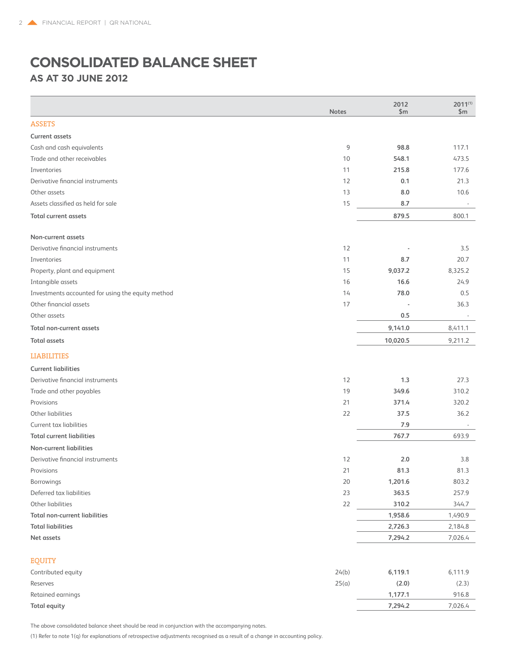### **Consolidated balance sheet AS AT 30 June 2012**

| <b>ASSETS</b><br>117.1<br>9<br>98.8<br>473.5<br>10<br>548.1<br>177.6<br>11<br>215.8<br>12<br>21.3<br>0.1<br>13<br>8.0<br>10.6<br>15<br>Assets classified as held for sale<br>8.7<br>879.5<br>800.1<br>Derivative financial instruments<br>12<br>3.5<br>20.7<br>11<br>8.7<br>15<br>9,037.2<br>8,325.2<br>16.6<br>24.9<br>16<br>14<br>78.0<br>0.5<br>17<br>Other financial assets<br>36.3<br>Other assets<br>0.5<br>$\sim$<br><b>Total non-current assets</b><br>9,141.0<br>8,411.1<br>10,020.5<br>9,211.2<br><b>Current liabilities</b><br>Derivative financial instruments<br>12<br>1.3<br>27.3<br>19<br>349.6<br>310.2<br>21<br>371.4<br>320.2<br>22<br>37.5<br>36.2<br>7.9<br>767.7<br>693.9<br>Derivative financial instruments<br>12<br>2.0<br>3.8<br>21<br>81.3<br>81.3<br>20<br>1,201.6<br>803.2<br>257.9<br>363.5<br>23<br>Other liabilities<br>310.2<br>344.7<br>22<br>1,958.6<br>1,490.9<br><b>Total liabilities</b><br>2,726.3<br>2,184.8<br>7,294.2<br>Net assets<br>7,026.4<br>Contributed equity<br>24(b)<br>6,119.1<br>6,111.9<br>25(a)<br>Reserves<br>(2.0)<br>(2.3)<br>Retained earnings<br>1,177.1<br>916.8<br>7,294.2<br>7,026.4 |                                                   | <b>Notes</b> | 2012<br>\$m | $2011^{(1)}$<br>\$m\$ |
|----------------------------------------------------------------------------------------------------------------------------------------------------------------------------------------------------------------------------------------------------------------------------------------------------------------------------------------------------------------------------------------------------------------------------------------------------------------------------------------------------------------------------------------------------------------------------------------------------------------------------------------------------------------------------------------------------------------------------------------------------------------------------------------------------------------------------------------------------------------------------------------------------------------------------------------------------------------------------------------------------------------------------------------------------------------------------------------------------------------------------------------------------|---------------------------------------------------|--------------|-------------|-----------------------|
|                                                                                                                                                                                                                                                                                                                                                                                                                                                                                                                                                                                                                                                                                                                                                                                                                                                                                                                                                                                                                                                                                                                                                    |                                                   |              |             |                       |
|                                                                                                                                                                                                                                                                                                                                                                                                                                                                                                                                                                                                                                                                                                                                                                                                                                                                                                                                                                                                                                                                                                                                                    | <b>Current assets</b>                             |              |             |                       |
|                                                                                                                                                                                                                                                                                                                                                                                                                                                                                                                                                                                                                                                                                                                                                                                                                                                                                                                                                                                                                                                                                                                                                    | Cash and cash equivalents                         |              |             |                       |
|                                                                                                                                                                                                                                                                                                                                                                                                                                                                                                                                                                                                                                                                                                                                                                                                                                                                                                                                                                                                                                                                                                                                                    | Trade and other receivables                       |              |             |                       |
|                                                                                                                                                                                                                                                                                                                                                                                                                                                                                                                                                                                                                                                                                                                                                                                                                                                                                                                                                                                                                                                                                                                                                    | Inventories                                       |              |             |                       |
|                                                                                                                                                                                                                                                                                                                                                                                                                                                                                                                                                                                                                                                                                                                                                                                                                                                                                                                                                                                                                                                                                                                                                    | Derivative financial instruments                  |              |             |                       |
|                                                                                                                                                                                                                                                                                                                                                                                                                                                                                                                                                                                                                                                                                                                                                                                                                                                                                                                                                                                                                                                                                                                                                    | Other assets                                      |              |             |                       |
|                                                                                                                                                                                                                                                                                                                                                                                                                                                                                                                                                                                                                                                                                                                                                                                                                                                                                                                                                                                                                                                                                                                                                    |                                                   |              |             |                       |
|                                                                                                                                                                                                                                                                                                                                                                                                                                                                                                                                                                                                                                                                                                                                                                                                                                                                                                                                                                                                                                                                                                                                                    | <b>Total current assets</b>                       |              |             |                       |
|                                                                                                                                                                                                                                                                                                                                                                                                                                                                                                                                                                                                                                                                                                                                                                                                                                                                                                                                                                                                                                                                                                                                                    | Non-current assets                                |              |             |                       |
|                                                                                                                                                                                                                                                                                                                                                                                                                                                                                                                                                                                                                                                                                                                                                                                                                                                                                                                                                                                                                                                                                                                                                    |                                                   |              |             |                       |
|                                                                                                                                                                                                                                                                                                                                                                                                                                                                                                                                                                                                                                                                                                                                                                                                                                                                                                                                                                                                                                                                                                                                                    | Inventories                                       |              |             |                       |
|                                                                                                                                                                                                                                                                                                                                                                                                                                                                                                                                                                                                                                                                                                                                                                                                                                                                                                                                                                                                                                                                                                                                                    | Property, plant and equipment                     |              |             |                       |
|                                                                                                                                                                                                                                                                                                                                                                                                                                                                                                                                                                                                                                                                                                                                                                                                                                                                                                                                                                                                                                                                                                                                                    | Intangible assets                                 |              |             |                       |
|                                                                                                                                                                                                                                                                                                                                                                                                                                                                                                                                                                                                                                                                                                                                                                                                                                                                                                                                                                                                                                                                                                                                                    | Investments accounted for using the equity method |              |             |                       |
|                                                                                                                                                                                                                                                                                                                                                                                                                                                                                                                                                                                                                                                                                                                                                                                                                                                                                                                                                                                                                                                                                                                                                    |                                                   |              |             |                       |
|                                                                                                                                                                                                                                                                                                                                                                                                                                                                                                                                                                                                                                                                                                                                                                                                                                                                                                                                                                                                                                                                                                                                                    |                                                   |              |             |                       |
|                                                                                                                                                                                                                                                                                                                                                                                                                                                                                                                                                                                                                                                                                                                                                                                                                                                                                                                                                                                                                                                                                                                                                    |                                                   |              |             |                       |
|                                                                                                                                                                                                                                                                                                                                                                                                                                                                                                                                                                                                                                                                                                                                                                                                                                                                                                                                                                                                                                                                                                                                                    | <b>Total assets</b>                               |              |             |                       |
|                                                                                                                                                                                                                                                                                                                                                                                                                                                                                                                                                                                                                                                                                                                                                                                                                                                                                                                                                                                                                                                                                                                                                    | <b>LIABILITIES</b>                                |              |             |                       |
|                                                                                                                                                                                                                                                                                                                                                                                                                                                                                                                                                                                                                                                                                                                                                                                                                                                                                                                                                                                                                                                                                                                                                    |                                                   |              |             |                       |
|                                                                                                                                                                                                                                                                                                                                                                                                                                                                                                                                                                                                                                                                                                                                                                                                                                                                                                                                                                                                                                                                                                                                                    |                                                   |              |             |                       |
|                                                                                                                                                                                                                                                                                                                                                                                                                                                                                                                                                                                                                                                                                                                                                                                                                                                                                                                                                                                                                                                                                                                                                    | Trade and other payables                          |              |             |                       |
|                                                                                                                                                                                                                                                                                                                                                                                                                                                                                                                                                                                                                                                                                                                                                                                                                                                                                                                                                                                                                                                                                                                                                    | Provisions                                        |              |             |                       |
|                                                                                                                                                                                                                                                                                                                                                                                                                                                                                                                                                                                                                                                                                                                                                                                                                                                                                                                                                                                                                                                                                                                                                    | Other liabilities                                 |              |             |                       |
|                                                                                                                                                                                                                                                                                                                                                                                                                                                                                                                                                                                                                                                                                                                                                                                                                                                                                                                                                                                                                                                                                                                                                    | Current tax liabilities                           |              |             |                       |
|                                                                                                                                                                                                                                                                                                                                                                                                                                                                                                                                                                                                                                                                                                                                                                                                                                                                                                                                                                                                                                                                                                                                                    | <b>Total current liabilities</b>                  |              |             |                       |
|                                                                                                                                                                                                                                                                                                                                                                                                                                                                                                                                                                                                                                                                                                                                                                                                                                                                                                                                                                                                                                                                                                                                                    | Non-current liabilities                           |              |             |                       |
|                                                                                                                                                                                                                                                                                                                                                                                                                                                                                                                                                                                                                                                                                                                                                                                                                                                                                                                                                                                                                                                                                                                                                    |                                                   |              |             |                       |
|                                                                                                                                                                                                                                                                                                                                                                                                                                                                                                                                                                                                                                                                                                                                                                                                                                                                                                                                                                                                                                                                                                                                                    | Provisions                                        |              |             |                       |
|                                                                                                                                                                                                                                                                                                                                                                                                                                                                                                                                                                                                                                                                                                                                                                                                                                                                                                                                                                                                                                                                                                                                                    | Borrowings                                        |              |             |                       |
|                                                                                                                                                                                                                                                                                                                                                                                                                                                                                                                                                                                                                                                                                                                                                                                                                                                                                                                                                                                                                                                                                                                                                    | Deferred tax liabilities                          |              |             |                       |
|                                                                                                                                                                                                                                                                                                                                                                                                                                                                                                                                                                                                                                                                                                                                                                                                                                                                                                                                                                                                                                                                                                                                                    |                                                   |              |             |                       |
|                                                                                                                                                                                                                                                                                                                                                                                                                                                                                                                                                                                                                                                                                                                                                                                                                                                                                                                                                                                                                                                                                                                                                    | <b>Total non-current liabilities</b>              |              |             |                       |
|                                                                                                                                                                                                                                                                                                                                                                                                                                                                                                                                                                                                                                                                                                                                                                                                                                                                                                                                                                                                                                                                                                                                                    |                                                   |              |             |                       |
|                                                                                                                                                                                                                                                                                                                                                                                                                                                                                                                                                                                                                                                                                                                                                                                                                                                                                                                                                                                                                                                                                                                                                    |                                                   |              |             |                       |
|                                                                                                                                                                                                                                                                                                                                                                                                                                                                                                                                                                                                                                                                                                                                                                                                                                                                                                                                                                                                                                                                                                                                                    | <b>EQUITY</b>                                     |              |             |                       |
|                                                                                                                                                                                                                                                                                                                                                                                                                                                                                                                                                                                                                                                                                                                                                                                                                                                                                                                                                                                                                                                                                                                                                    |                                                   |              |             |                       |
|                                                                                                                                                                                                                                                                                                                                                                                                                                                                                                                                                                                                                                                                                                                                                                                                                                                                                                                                                                                                                                                                                                                                                    |                                                   |              |             |                       |
|                                                                                                                                                                                                                                                                                                                                                                                                                                                                                                                                                                                                                                                                                                                                                                                                                                                                                                                                                                                                                                                                                                                                                    |                                                   |              |             |                       |
|                                                                                                                                                                                                                                                                                                                                                                                                                                                                                                                                                                                                                                                                                                                                                                                                                                                                                                                                                                                                                                                                                                                                                    | <b>Total equity</b>                               |              |             |                       |

The above consolidated balance sheet should be read in conjunction with the accompanying notes.

(1) Refer to note 1(q) for explanations of retrospective adjustments recognised as a result of a change in accounting policy.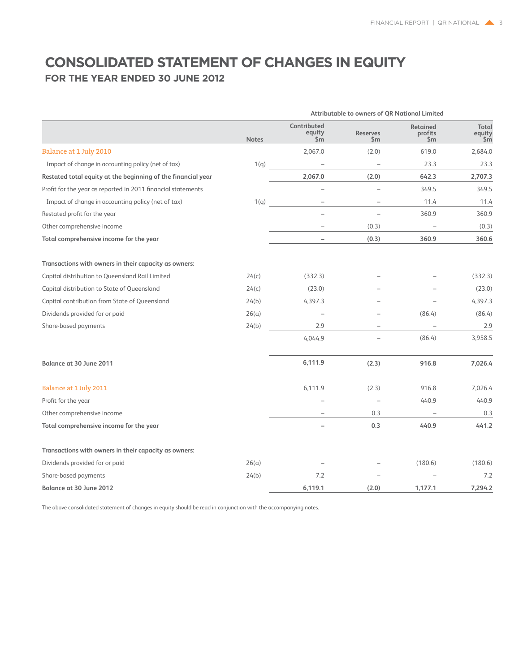### **Consolidated statement of changes in equity For the Year ended 30 June 2012**

|                                                              | Attributable to owners of QR National Limited |                                                   |                                  |                              |                        |  |
|--------------------------------------------------------------|-----------------------------------------------|---------------------------------------------------|----------------------------------|------------------------------|------------------------|--|
|                                                              | <b>Notes</b>                                  | Contributed<br>equity<br>$\overline{\mathsf{sm}}$ | <b>Reserves</b><br>$\mathsf{Sm}$ | Retained<br>profits<br>\$m\$ | Total<br>equity<br>\$m |  |
| Balance at 1 July 2010                                       |                                               | 2,067.0                                           | (2.0)                            | 619.0                        | 2,684.0                |  |
| Impact of change in accounting policy (net of tax)           | 1(q)                                          | $\qquad \qquad -$                                 | $\qquad \qquad -$                | 23.3                         | 23.3                   |  |
| Restated total equity at the beginning of the financial year |                                               | 2,067.0                                           | (2.0)                            | 642.3                        | 2,707.3                |  |
| Profit for the year as reported in 2011 financial statements |                                               |                                                   |                                  | 349.5                        | 349.5                  |  |
| Impact of change in accounting policy (net of tax)           | 1(q)                                          |                                                   |                                  | 11.4                         | 11.4                   |  |
| Restated profit for the year                                 |                                               |                                                   |                                  | 360.9                        | 360.9                  |  |
| Other comprehensive income                                   |                                               |                                                   | (0.3)                            |                              | (0.3)                  |  |
| Total comprehensive income for the year                      |                                               | $\overline{\phantom{0}}$                          | (0.3)                            | 360.9                        | 360.6                  |  |
| Transactions with owners in their capacity as owners:        |                                               |                                                   |                                  |                              |                        |  |
| Capital distribution to Queensland Rail Limited              | 24(c)                                         | (332.3)                                           |                                  |                              | (332.3)                |  |
| Capital distribution to State of Queensland                  | 24(c)                                         | (23.0)                                            |                                  |                              | (23.0)                 |  |
| Capital contribution from State of Queensland                | 24(b)                                         | 4,397.3                                           |                                  |                              | 4,397.3                |  |
| Dividends provided for or paid                               | 26(a)                                         |                                                   |                                  | (86.4)                       | (86.4)                 |  |
| Share-based payments                                         | 24(b)                                         | 2.9                                               |                                  |                              | 2.9                    |  |
|                                                              |                                               | 4,044.9                                           |                                  | (86.4)                       | 3,958.5                |  |
| <b>Balance at 30 June 2011</b>                               |                                               | 6,111.9                                           | (2.3)                            | 916.8                        | 7,026.4                |  |
| Balance at 1 July 2011                                       |                                               | 6,111.9                                           | (2.3)                            | 916.8                        | 7,026.4                |  |
| Profit for the year                                          |                                               |                                                   | $\overline{\phantom{a}}$         | 440.9                        | 440.9                  |  |
| Other comprehensive income                                   |                                               |                                                   | 0.3                              |                              | 0.3                    |  |
| Total comprehensive income for the year                      |                                               |                                                   | 0.3                              | 440.9                        | 441.2                  |  |
| Transactions with owners in their capacity as owners:        |                                               |                                                   |                                  |                              |                        |  |
| Dividends provided for or paid                               | 26(a)                                         |                                                   |                                  | (180.6)                      | (180.6)                |  |
| Share-based payments                                         | 24(b)                                         | 7.2                                               |                                  |                              | 7.2                    |  |
| Balance at 30 June 2012                                      |                                               | 6,119.1                                           | (2.0)                            | 1,177.1                      | 7,294.2                |  |

The above consolidated statement of changes in equity should be read in conjunction with the accompanying notes.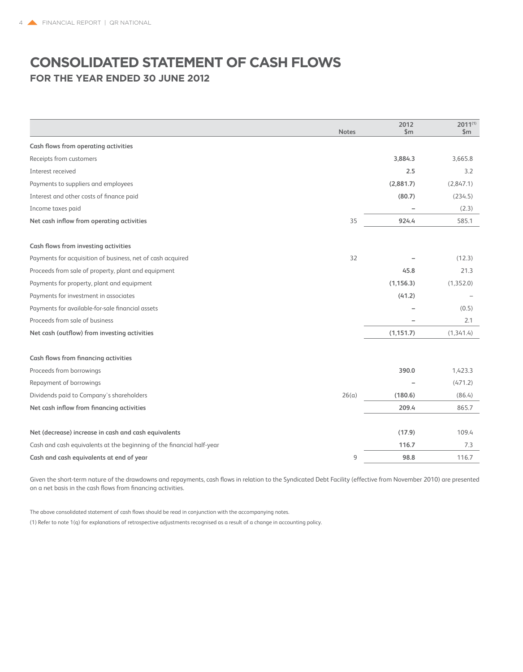### **Consolidated statement of cash flows For the Year ended 30 June 2012**

|                                                                       | <b>Notes</b> | 2012<br>\$m | $2011^{(1)}$<br>\$m\$ |
|-----------------------------------------------------------------------|--------------|-------------|-----------------------|
| Cash flows from operating activities                                  |              |             |                       |
| Receipts from customers                                               |              | 3,884.3     | 3,665.8               |
| Interest received                                                     |              | 2.5         | 3.2                   |
| Payments to suppliers and employees                                   |              | (2,881.7)   | (2,847.1)             |
| Interest and other costs of finance paid                              |              | (80.7)      | (234.5)               |
| Income taxes paid                                                     |              |             | (2.3)                 |
| Net cash inflow from operating activities                             | 35           | 924.4       | 585.1                 |
| Cash flows from investing activities                                  |              |             |                       |
| Payments for acquisition of business, net of cash acquired            | 32           |             | (12.3)                |
| Proceeds from sale of property, plant and equipment                   |              | 45.8        | 21.3                  |
| Payments for property, plant and equipment                            |              | (1, 156.3)  | (1,352.0)             |
| Payments for investment in associates                                 |              | (41.2)      |                       |
| Payments for available-for-sale financial assets                      |              |             | (0.5)                 |
| Proceeds from sale of business                                        |              |             | 2.1                   |
| Net cash (outflow) from investing activities                          |              | (1, 151.7)  | (1, 341.4)            |
| <b>Cash flows from financing activities</b>                           |              |             |                       |
| Proceeds from borrowings                                              |              | 390.0       | 1,423.3               |
| Repayment of borrowings                                               |              |             | (471.2)               |
| Dividends paid to Company's shareholders                              | 26(a)        | (180.6)     | (86.4)                |
| Net cash inflow from financing activities                             |              | 209.4       | 865.7                 |
| Net (decrease) increase in cash and cash equivalents                  |              | (17.9)      | 109.4                 |
| Cash and cash equivalents at the beginning of the financial half-year |              | 116.7       | 7.3                   |
| Cash and cash equivalents at end of year                              | 9            | 98.8        | 116.7                 |

Given the short-term nature of the drawdowns and repayments, cash flows in relation to the Syndicated Debt Facility (effective from November 2010) are presented on a net basis in the cash flows from financing activities.

The above consolidated statement of cash flows should be read in conjunction with the accompanying notes. (1) Refer to note 1(q) for explanations of retrospective adjustments recognised as a result of a change in accounting policy.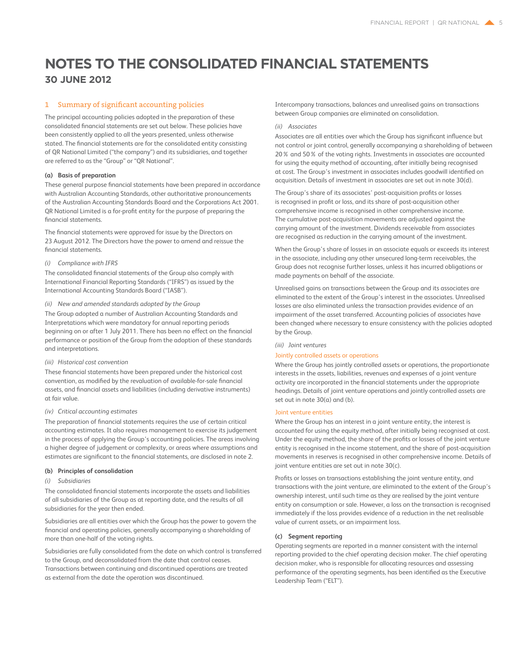### 1 Summary of significant accounting policies

The principal accounting policies adopted in the preparation of these consolidated financial statements are set out below. These policies have been consistently applied to all the years presented, unless otherwise stated. The financial statements are for the consolidated entity consisting of QR National Limited ("the company") and its subsidiaries, and together are referred to as the "Group" or "QR National".

### **(a) Basis of preparation**

These general purpose financial statements have been prepared in accordance with Australian Accounting Standards, other authoritative pronouncements of the Australian Accounting Standards Board and the Corporations Act 2001. QR National Limited is a for-profit entity for the purpose of preparing the financial statements.

The financial statements were approved for issue by the Directors on 23 August 2012. The Directors have the power to amend and reissue the financial statements.

### *(i) Compliance with IFRS*

The consolidated financial statements of the Group also comply with International Financial Reporting Standards ("IFRS") as issued by the International Accounting Standards Board ("IASB").

### *(ii) New and amended standards adopted by the Group*

The Group adopted a number of Australian Accounting Standards and Interpretations which were mandatory for annual reporting periods beginning on or after 1 July 2011. There has been no effect on the financial performance or position of the Group from the adoption of these standards and interpretations.

#### *(iii) Historical cost convention*

These financial statements have been prepared under the historical cost convention, as modified by the revaluation of available-for-sale financial assets, and financial assets and liabilities (including derivative instruments) at fair value.

#### *(iv) Critical accounting estimates*

The preparation of financial statements requires the use of certain critical accounting estimates. It also requires management to exercise its judgement in the process of applying the Group's accounting policies. The areas involving a higher degree of judgement or complexity, or areas where assumptions and estimates are significant to the financial statements, are disclosed in note 2.

### **(b) Principles of consolidation**

### *(i) Subsidiaries*

The consolidated financial statements incorporate the assets and liabilities of all subsidiaries of the Group as at reporting date, and the results of all subsidiaries for the year then ended.

Subsidiaries are all entities over which the Group has the power to govern the financial and operating policies, generally accompanying a shareholding of more than one-half of the voting rights.

Subsidiaries are fully consolidated from the date on which control is transferred to the Group, and deconsolidated from the date that control ceases. Transactions between continuing and discontinued operations are treated as external from the date the operation was discontinued.

Intercompany transactions, balances and unrealised gains on transactions between Group companies are eliminated on consolidation.

### *(ii) Associates*

Associates are all entities over which the Group has significant influence but not control or joint control, generally accompanying a shareholding of between 20% and 50% of the voting rights. Investments in associates are accounted for using the equity method of accounting, after initially being recognised at cost. The Group's investment in associates includes goodwill identified on acquisition. Details of investment in associates are set out in note 30(d).

The Group's share of its associates' post-acquisition profits or losses is recognised in profit or loss, and its share of post-acquisition other comprehensive income is recognised in other comprehensive income. The cumulative post-acquisition movements are adjusted against the carrying amount of the investment. Dividends receivable from associates are recognised as reduction in the carrying amount of the investment.

When the Group's share of losses in an associate equals or exceeds its interest in the associate, including any other unsecured long-term receivables, the Group does not recognise further losses, unless it has incurred obligations or made payments on behalf of the associate.

Unrealised gains on transactions between the Group and its associates are eliminated to the extent of the Group's interest in the associates. Unrealised losses are also eliminated unless the transaction provides evidence of an impairment of the asset transferred. Accounting policies of associates have been changed where necessary to ensure consistency with the policies adopted by the Group.

*(iii) Joint ventures*

#### Jointly controlled assets or operations

Where the Group has jointly controlled assets or operations, the proportionate interests in the assets, liabilities, revenues and expenses of a joint venture activity are incorporated in the financial statements under the appropriate headings. Details of joint venture operations and jointly controlled assets are set out in note 30(a) and (b).

### Joint venture entities

Where the Group has an interest in a joint venture entity, the interest is accounted for using the equity method, after initially being recognised at cost. Under the equity method, the share of the profits or losses of the joint venture entity is recognised in the income statement, and the share of post-acquisition movements in reserves is recognised in other comprehensive income. Details of joint venture entities are set out in note 30(c).

Profits or losses on transactions establishing the joint venture entity, and transactions with the joint venture, are eliminated to the extent of the Group's ownership interest, until such time as they are realised by the joint venture entity on consumption or sale. However, a loss on the transaction is recognised immediately if the loss provides evidence of a reduction in the net realisable value of current assets, or an impairment loss.

### **(c) Segment reporting**

Operating segments are reported in a manner consistent with the internal reporting provided to the chief operating decision maker. The chief operating decision maker, who is responsible for allocating resources and assessing performance of the operating segments, has been identified as the Executive Leadership Team ("ELT").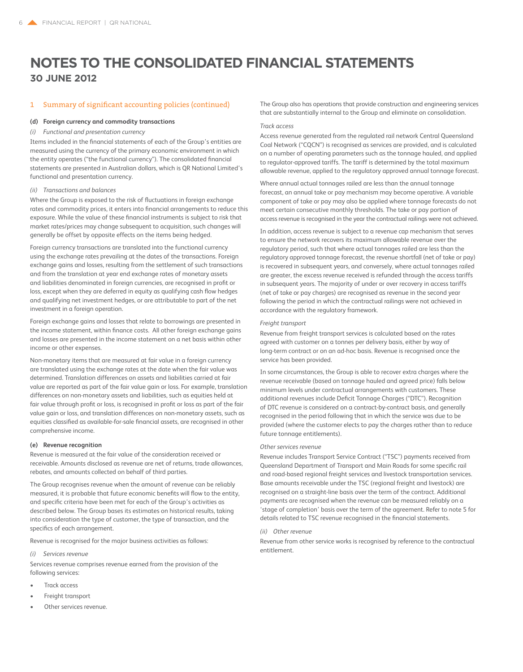### 1 Summary of significant accounting policies (continued)

### **(d) Foreign currency and commodity transactions**

### *(i) Functional and presentation currency*

Items included in the financial statements of each of the Group's entities are measured using the currency of the primary economic environment in which the entity operates ("the functional currency"). The consolidated financial statements are presented in Australian dollars, which is QR National Limited's functional and presentation currency.

#### *(ii) Transactions and balances*

Where the Group is exposed to the risk of fluctuations in foreign exchange rates and commodity prices, it enters into financial arrangements to reduce this exposure. While the value of these financial instruments is subject to risk that market rates/prices may change subsequent to acquisition, such changes will generally be offset by opposite effects on the items being hedged.

Foreign currency transactions are translated into the functional currency using the exchange rates prevailing at the dates of the transactions. Foreign exchange gains and losses, resulting from the settlement of such transactions and from the translation at year end exchange rates of monetary assets and liabilities denominated in foreign currencies, are recognised in profit or loss, except when they are deferred in equity as qualifying cash flow hedges and qualifying net investment hedges, or are attributable to part of the net investment in a foreign operation.

Foreign exchange gains and losses that relate to borrowings are presented in the income statement, within finance costs. All other foreign exchange gains and losses are presented in the income statement on a net basis within other income or other expenses.

Non-monetary items that are measured at fair value in a foreign currency are translated using the exchange rates at the date when the fair value was determined. Translation differences on assets and liabilities carried at fair value are reported as part of the fair value gain or loss. For example, translation differences on non-monetary assets and liabilities, such as equities held at fair value through profit or loss, is recognised in profit or loss as part of the fair value gain or loss, and translation differences on non-monetary assets, such as equities classified as available-for-sale financial assets, are recognised in other comprehensive income.

#### **(e) Revenue recognition**

Revenue is measured at the fair value of the consideration received or receivable. Amounts disclosed as revenue are net of returns, trade allowances, rebates, and amounts collected on behalf of third parties.

The Group recognises revenue when the amount of revenue can be reliably measured, it is probable that future economic benefits will flow to the entity, and specific criteria have been met for each of the Group's activities as described below. The Group bases its estimates on historical results, taking into consideration the type of customer, the type of transaction, and the specifics of each arrangement.

Revenue is recognised for the major business activities as follows:

### *(i) Services revenue*

Services revenue comprises revenue earned from the provision of the following services:

- Track access
- Freight transport
- Other services revenue.

The Group also has operations that provide construction and engineering services that are substantially internal to the Group and eliminate on consolidation.

### *Track access*

Access revenue generated from the regulated rail network Central Queensland Coal Network ("CQCN") is recognised as services are provided, and is calculated on a number of operating parameters such as the tonnage hauled, and applied to regulator-approved tariffs. The tariff is determined by the total maximum allowable revenue, applied to the regulatory approved annual tonnage forecast.

Where annual actual tonnages railed are less than the annual tonnage forecast, an annual take or pay mechanism may become operative. A variable component of take or pay may also be applied where tonnage forecasts do not meet certain consecutive monthly thresholds. The take or pay portion of access revenue is recognised in the year the contractual railings were not achieved.

In addition, access revenue is subject to a revenue cap mechanism that serves to ensure the network recovers its maximum allowable revenue over the regulatory period, such that where actual tonnages railed are less than the regulatory approved tonnage forecast, the revenue shortfall (net of take or pay) is recovered in subsequent years, and conversely, where actual tonnages railed are greater, the excess revenue received is refunded through the access tariffs in subsequent years. The majority of under or over recovery in access tariffs (net of take or pay charges) are recognised as revenue in the second year following the period in which the contractual railings were not achieved in accordance with the regulatory framework.

### *Freight transport*

Revenue from freight transport services is calculated based on the rates agreed with customer on a tonnes per delivery basis, either by way of long-term contract or on an ad-hoc basis. Revenue is recognised once the service has been provided.

In some circumstances, the Group is able to recover extra charges where the revenue receivable (based on tonnage hauled and agreed price) falls below minimum levels under contractual arrangements with customers. These additional revenues include Deficit Tonnage Charges ("DTC"). Recognition of DTC revenue is considered on a contract-by-contract basis, and generally recognised in the period following that in which the service was due to be provided (where the customer elects to pay the charges rather than to reduce future tonnage entitlements).

### *Other services revenue*

Revenue includes Transport Service Contract ("TSC") payments received from Queensland Department of Transport and Main Roads for some specific rail and road-based regional freight services and livestock transportation services. Base amounts receivable under the TSC (regional freight and livestock) are recognised on a straight-line basis over the term of the contract. Additional payments are recognised when the revenue can be measured reliably on a 'stage of completion' basis over the term of the agreement. Refer to note 5 for details related to TSC revenue recognised in the financial statements.

### *(ii) Other revenue*

Revenue from other service works is recognised by reference to the contractual entitlement.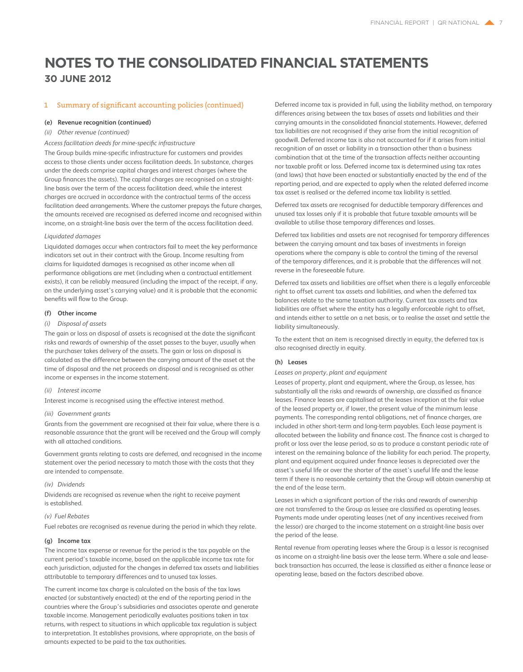### 1 Summary of significant accounting policies (continued)

#### **(e) Revenue recognition (continued)**

### *(ii) Other revenue (continued)*

### *Access facilitation deeds for mine-specific infrastructure*

The Group builds mine-specific infrastructure for customers and provides access to those clients under access facilitation deeds. In substance, charges under the deeds comprise capital charges and interest charges (where the Group finances the assets). The capital charges are recognised on a straightline basis over the term of the access facilitation deed, while the interest charges are accrued in accordance with the contractual terms of the access facilitation deed arrangements. Where the customer prepays the future charges, the amounts received are recognised as deferred income and recognised within income, on a straight-line basis over the term of the access facilitation deed.

### *Liquidated damages*

Liquidated damages occur when contractors fail to meet the key performance indicators set out in their contract with the Group. Income resulting from claims for liquidated damages is recognised as other income when all performance obligations are met (including when a contractual entitlement exists), it can be reliably measured (including the impact of the receipt, if any, on the underlying asset's carrying value) and it is probable that the economic benefits will flow to the Group.

### **(f) Other income**

### *(i) Disposal of assets*

The gain or loss on disposal of assets is recognised at the date the significant risks and rewards of ownership of the asset passes to the buyer, usually when the purchaser takes delivery of the assets. The gain or loss on disposal is calculated as the difference between the carrying amount of the asset at the time of disposal and the net proceeds on disposal and is recognised as other income or expenses in the income statement.

### *(ii) Interest income*

Interest income is recognised using the effective interest method.

### *(iii) Government grants*

Grants from the government are recognised at their fair value, where there is a reasonable assurance that the grant will be received and the Group will comply with all attached conditions.

Government grants relating to costs are deferred, and recognised in the income statement over the period necessary to match those with the costs that they are intended to compensate.

### *(iv) Dividends*

Dividends are recognised as revenue when the right to receive payment is established.

### *(v) Fuel Rebates*

Fuel rebates are recognised as revenue during the period in which they relate.

### **(g) Income tax**

The income tax expense or revenue for the period is the tax payable on the current period's taxable income, based on the applicable income tax rate for each jurisdiction, adjusted for the changes in deferred tax assets and liabilities attributable to temporary differences and to unused tax losses.

The current income tax charge is calculated on the basis of the tax laws enacted (or substantively enacted) at the end of the reporting period in the countries where the Group's subsidiaries and associates operate and generate taxable income. Management periodically evaluates positions taken in tax returns, with respect to situations in which applicable tax regulation is subject to interpretation. It establishes provisions, where appropriate, on the basis of amounts expected to be paid to the tax authorities.

Deferred income tax is provided in full, using the liability method, on temporary differences arising between the tax bases of assets and liabilities and their carrying amounts in the consolidated financial statements. However, deferred tax liabilities are not recognised if they arise from the initial recognition of goodwill. Deferred income tax is also not accounted for if it arises from initial recognition of an asset or liability in a transaction other than a business combination that at the time of the transaction affects neither accounting nor taxable profit or loss. Deferred income tax is determined using tax rates (and laws) that have been enacted or substantially enacted by the end of the reporting period, and are expected to apply when the related deferred income tax asset is realised or the deferred income tax liability is settled.

Deferred tax assets are recognised for deductible temporary differences and unused tax losses only if it is probable that future taxable amounts will be available to utilise those temporary differences and losses.

Deferred tax liabilities and assets are not recognised for temporary differences between the carrying amount and tax bases of investments in foreign operations where the company is able to control the timing of the reversal of the temporary differences, and it is probable that the differences will not reverse in the foreseeable future.

Deferred tax assets and liabilities are offset when there is a legally enforceable right to offset current tax assets and liabilities, and when the deferred tax balances relate to the same taxation authority. Current tax assets and tax liabilities are offset where the entity has a legally enforceable right to offset, and intends either to settle on a net basis, or to realise the asset and settle the liability simultaneously.

To the extent that an item is recognised directly in equity, the deferred tax is also recognised directly in equity.

#### **(h) Leases**

*Leases on property, plant and equipment*

Leases of property, plant and equipment, where the Group, as lessee, has substantially all the risks and rewards of ownership, are classified as finance leases. Finance leases are capitalised at the leases inception at the fair value of the leased property or, if lower, the present value of the minimum lease payments. The corresponding rental obligations, net of finance charges, are included in other short-term and long-term payables. Each lease payment is allocated between the liability and finance cost. The finance cost is charged to profit or loss over the lease period, so as to produce a constant periodic rate of interest on the remaining balance of the liability for each period. The property, plant and equipment acquired under finance leases is depreciated over the asset's useful life or over the shorter of the asset's useful life and the lease term if there is no reasonable certainty that the Group will obtain ownership at the end of the lease term.

Leases in which a significant portion of the risks and rewards of ownership are not transferred to the Group as lessee are classified as operating leases. Payments made under operating leases (net of any incentives received from the lessor) are charged to the income statement on a straight-line basis over the period of the lease.

Rental revenue from operating leases where the Group is a lessor is recognised as income on a straight-line basis over the lease term. Where a sale and leaseback transaction has occurred, the lease is classified as either a finance lease or operating lease, based on the factors described above.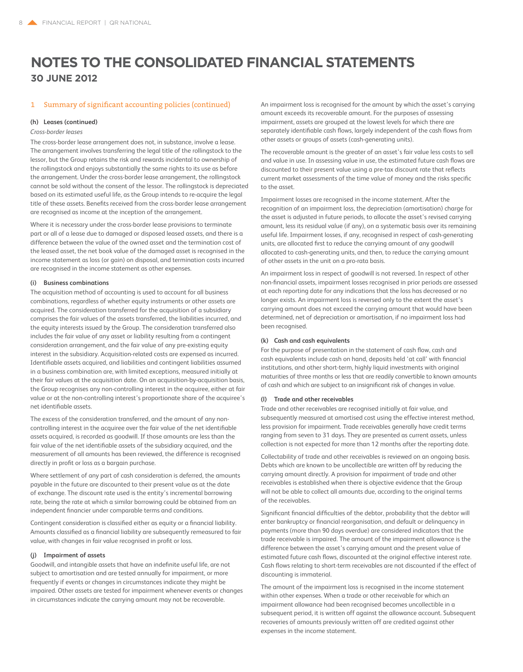### 1 Summary of significant accounting policies (continued)

### **(h) Leases (continued)**

### *Cross-border leases*

The cross-border lease arrangement does not, in substance, involve a lease. The arrangement involves transferring the legal title of the rollingstock to the lessor, but the Group retains the risk and rewards incidental to ownership of the rollingstock and enjoys substantially the same rights to its use as before the arrangement. Under the cross-border lease arrangement, the rollingstock cannot be sold without the consent of the lessor. The rollingstock is depreciated based on its estimated useful life, as the Group intends to re-acquire the legal title of these assets. Benefits received from the cross-border lease arrangement are recognised as income at the inception of the arrangement.

Where it is necessary under the cross-border lease provisions to terminate part or all of a lease due to damaged or disposed leased assets, and there is a difference between the value of the owned asset and the termination cost of the leased asset, the net book value of the damaged asset is recognised in the income statement as loss (or gain) on disposal, and termination costs incurred are recognised in the income statement as other expenses.

### **(i) Business combinations**

The acquisition method of accounting is used to account for all business combinations, regardless of whether equity instruments or other assets are acquired. The consideration transferred for the acquisition of a subsidiary comprises the fair values of the assets transferred, the liabilities incurred, and the equity interests issued by the Group. The consideration transferred also includes the fair value of any asset or liability resulting from a contingent consideration arrangement, and the fair value of any pre-existing equity interest in the subsidiary. Acquisition-related costs are expensed as incurred. Identifiable assets acquired, and liabilities and contingent liabilities assumed in a business combination are, with limited exceptions, measured initially at their fair values at the acquisition date. On an acquisition-by-acquisition basis, the Group recognises any non-controlling interest in the acquiree, either at fair value or at the non-controlling interest's proportionate share of the acquiree's net identifiable assets.

The excess of the consideration transferred, and the amount of any noncontrolling interest in the acquiree over the fair value of the net identifiable assets acquired, is recorded as goodwill. If those amounts are less than the fair value of the net identifiable assets of the subsidiary acquired, and the measurement of all amounts has been reviewed, the difference is recognised directly in profit or loss as a bargain purchase.

Where settlement of any part of cash consideration is deferred, the amounts payable in the future are discounted to their present value as at the date of exchange. The discount rate used is the entity's incremental borrowing rate, being the rate at which a similar borrowing could be obtained from an independent financier under comparable terms and conditions.

Contingent consideration is classified either as equity or a financial liability. Amounts classified as a financial liability are subsequently remeasured to fair value, with changes in fair value recognised in profit or loss.

### **(j) Impairment of assets**

Goodwill, and intangible assets that have an indefinite useful life, are not subject to amortisation and are tested annually for impairment, or more frequently if events or changes in circumstances indicate they might be impaired. Other assets are tested for impairment whenever events or changes in circumstances indicate the carrying amount may not be recoverable.

An impairment loss is recognised for the amount by which the asset's carrying amount exceeds its recoverable amount. For the purposes of assessing impairment, assets are grouped at the lowest levels for which there are separately identifiable cash flows, largely independent of the cash flows from other assets or groups of assets (cash-generating units).

The recoverable amount is the greater of an asset's fair value less costs to sell and value in use. In assessing value in use, the estimated future cash flows are discounted to their present value using a pre-tax discount rate that reflects current market assessments of the time value of money and the risks specific to the asset.

Impairment losses are recognised in the income statement. After the recognition of an impairment loss, the depreciation (amortisation) charge for the asset is adjusted in future periods, to allocate the asset's revised carrying amount, less its residual value (if any), on a systematic basis over its remaining useful life. Impairment losses, if any, recognised in respect of cash-generating units, are allocated first to reduce the carrying amount of any goodwill allocated to cash-generating units, and then, to reduce the carrying amount of other assets in the unit on a pro-rata basis.

An impairment loss in respect of goodwill is not reversed. In respect of other non-financial assets, impairment losses recognised in prior periods are assessed at each reporting date for any indications that the loss has decreased or no longer exists. An impairment loss is reversed only to the extent the asset's carrying amount does not exceed the carrying amount that would have been determined, net of depreciation or amortisation, if no impairment loss had been recognised.

#### **(k) Cash and cash equivalents**

For the purpose of presentation in the statement of cash flow, cash and cash equivalents include cash on hand, deposits held 'at call' with financial institutions, and other short-term, highly liquid investments with original maturities of three months or less that are readily convertible to known amounts of cash and which are subject to an insignificant risk of changes in value.

### **(l) Trade and other receivables**

Trade and other receivables are recognised initially at fair value, and subsequently measured at amortised cost using the effective interest method, less provision for impairment. Trade receivables generally have credit terms ranging from seven to 31 days. They are presented as current assets, unless collection is not expected for more than 12 months after the reporting date.

Collectability of trade and other receivables is reviewed on an ongoing basis. Debts which are known to be uncollectible are written off by reducing the carrying amount directly. A provision for impairment of trade and other receivables is established when there is objective evidence that the Group will not be able to collect all amounts due, according to the original terms of the receivables.

Significant financial difficulties of the debtor, probability that the debtor will enter bankruptcy or financial reorganisation, and default or delinquency in payments (more than 90 days overdue) are considered indicators that the trade receivable is impaired. The amount of the impairment allowance is the difference between the asset's carrying amount and the present value of estimated future cash flows, discounted at the original effective interest rate. Cash flows relating to short-term receivables are not discounted if the effect of discounting is immaterial.

The amount of the impairment loss is recognised in the income statement within other expenses. When a trade or other receivable for which an impairment allowance had been recognised becomes uncollectible in a subsequent period, it is written off against the allowance account. Subsequent recoveries of amounts previously written off are credited against other expenses in the income statement.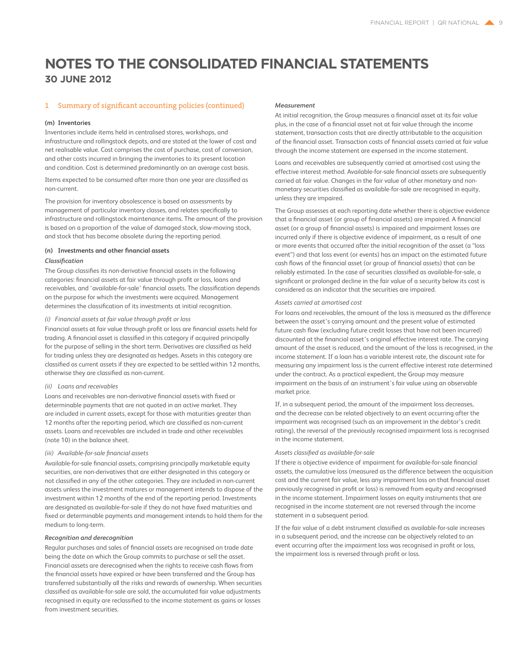### 1 Summary of significant accounting policies (continued)

#### **(m) Inventories**

Inventories include items held in centralised stores, workshops, and infrastructure and rollingstock depots, and are stated at the lower of cost and net realisable value. Cost comprises the cost of purchase, cost of conversion, and other costs incurred in bringing the inventories to its present location and condition. Cost is determined predominantly on an average cost basis.

Items expected to be consumed after more than one year are classified as non-current.

The provision for inventory obsolescence is based on assessments by management of particular inventory classes, and relates specifically to infrastructure and rollingstock maintenance items. The amount of the provision is based on a proportion of the value of damaged stock, slow-moving stock, and stock that has become obsolete during the reporting period.

### **(n) Investments and other financial assets** *Classification*

The Group classifies its non-derivative financial assets in the following categories: financial assets at fair value through profit or loss, loans and receivables, and 'available-for-sale' financial assets. The classification depends on the purpose for which the investments were acquired. Management determines the classification of its investments at initial recognition.

### *(i) Financial assets at fair value through profit or loss*

Financial assets at fair value through profit or loss are financial assets held for trading. A financial asset is classified in this category if acquired principally for the purpose of selling in the short term. Derivatives are classified as held for trading unless they are designated as hedges. Assets in this category are classified as current assets if they are expected to be settled within 12 months, otherwise they are classified as non-current.

### *(ii) Loans and receivables*

Loans and receivables are non-derivative financial assets with fixed or determinable payments that are not quoted in an active market. They are included in current assets, except for those with maturities greater than 12 months after the reporting period, which are classified as non-current assets. Loans and receivables are included in trade and other receivables (note 10) in the balance sheet.

### *(iii) Available-for-sale financial assets*

Available-for-sale financial assets, comprising principally marketable equity securities, are non-derivatives that are either designated in this category or not classified in any of the other categories. They are included in non-current assets unless the investment matures or management intends to dispose of the investment within 12 months of the end of the reporting period. Investments are designated as available-for-sale if they do not have fixed maturities and fixed or determinable payments and management intends to hold them for the medium to long-term.

### *Recognition and derecognition*

Regular purchases and sales of financial assets are recognised on trade date being the date on which the Group commits to purchase or sell the asset. Financial assets are derecognised when the rights to receive cash flows from the financial assets have expired or have been transferred and the Group has transferred substantially all the risks and rewards of ownership. When securities classified as available-for-sale are sold, the accumulated fair value adjustments recognised in equity are reclassified to the income statement as gains or losses from investment securities.

### *Measurement*

At initial recognition, the Group measures a financial asset at its fair value plus, in the case of a financial asset not at fair value through the income statement, transaction costs that are directly attributable to the acquisition of the financial asset. Transaction costs of financial assets carried at fair value through the income statement are expensed in the income statement.

Loans and receivables are subsequently carried at amortised cost using the effective interest method. Available-for-sale financial assets are subsequently carried at fair value. Changes in the fair value of other monetary and nonmonetary securities classified as available-for-sale are recognised in equity, unless they are impaired.

The Group assesses at each reporting date whether there is objective evidence that a financial asset (or group of financial assets) are impaired. A financial asset (or a group of financial assets) is impaired and impairment losses are incurred only if there is objective evidence of impairment, as a result of one or more events that occurred after the initial recognition of the asset (a "loss event") and that loss event (or events) has an impact on the estimated future cash flows of the financial asset (or group of financial assets) that can be reliably estimated. In the case of securities classified as available-for-sale, a significant or prolonged decline in the fair value of a security below its cost is considered as an indicator that the securities are impaired.

#### *Assets carried at amortised cost*

For loans and receivables, the amount of the loss is measured as the difference between the asset's carrying amount and the present value of estimated future cash flow (excluding future credit losses that have not been incurred) discounted at the financial asset's original effective interest rate. The carrying amount of the asset is reduced, and the amount of the loss is recognised, in the income statement. If a loan has a variable interest rate, the discount rate for measuring any impairment loss is the current effective interest rate determined under the contract. As a practical expedient, the Group may measure impairment on the basis of an instrument's fair value using an observable market price.

If, in a subsequent period, the amount of the impairment loss decreases, and the decrease can be related objectively to an event occurring after the impairment was recognised (such as an improvement in the debtor's credit rating), the reversal of the previously recognised impairment loss is recognised in the income statement.

### *Assets classified as available-for-sale*

If there is objective evidence of impairment for available-for-sale financial assets, the cumulative loss (measured as the difference between the acquisition cost and the current fair value, less any impairment loss on that financial asset previously recognised in profit or loss) is removed from equity and recognised in the income statement. Impairment losses on equity instruments that are recognised in the income statement are not reversed through the income statement in a subsequent period.

If the fair value of a debt instrument classified as available-for-sale increases in a subsequent period, and the increase can be objectively related to an event occurring after the impairment loss was recognised in profit or loss, the impairment loss is reversed through profit or loss.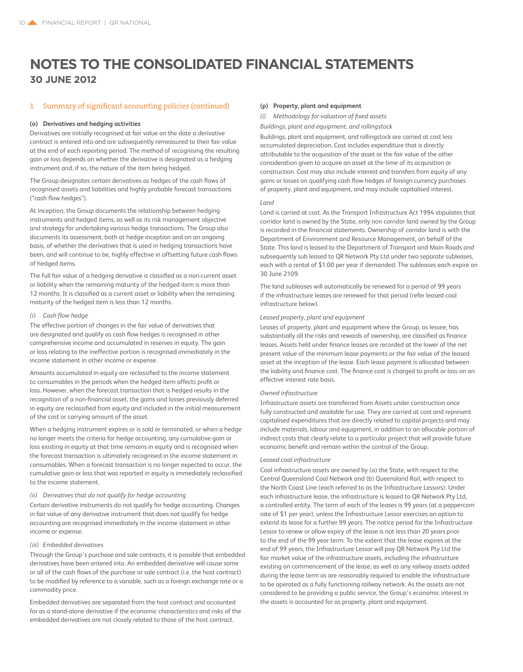### 1 Summary of significant accounting policies (continued)

### **(o) Derivatives and hedging activities**

Derivatives are initially recognised at fair value on the date a derivative contract is entered into and are subsequently remeasured to their fair value at the end of each reporting period. The method of recognising the resulting gain or loss depends on whether the derivative is designated as a hedging instrument and, if so, the nature of the item being hedged.

The Group designates certain derivatives as hedges of the cash flows of recognised assets and liabilities and highly probable forecast transactions ("cash flow hedges").

At inception, the Group documents the relationship between hedging instruments and hedged items, as well as its risk management objective and strategy for undertaking various hedge transactions. The Group also documents its assessment, both at hedge inception and on an ongoing basis, of whether the derivatives that is used in hedging transactions have been, and will continue to be, highly effective in offsetting future cash flows of hedged items.

The full fair value of a hedging derivative is classified as a non-current asset or liability when the remaining maturity of the hedged item is more than 12 months: It is classified as a current asset or liability when the remaining maturity of the hedged item is less than 12 months.

### *(i) Cash flow hedge*

The effective portion of changes in the fair value of derivatives that are designated and qualify as cash flow hedges is recognised in other comprehensive income and accumulated in reserves in equity. The gain or loss relating to the ineffective portion is recognised immediately in the income statement in other income or expense.

Amounts accumulated in equity are reclassified to the income statement to consumables in the periods when the hedged item affects profit or loss. However, when the forecast transaction that is hedged results in the recognition of a non-financial asset, the gains and losses previously deferred in equity are reclassified from equity and included in the initial measurement of the cost or carrying amount of the asset.

When a hedging instrument expires or is sold or terminated, or when a hedge no longer meets the criteria for hedge accounting, any cumulative gain or loss existing in equity at that time remains in equity and is recognised when the forecast transaction is ultimately recognised in the income statement in consumables. When a forecast transaction is no longer expected to occur, the cumulative gain or loss that was reported in equity is immediately reclassified to the income statement.

### *(ii) Derivatives that do not qualify for hedge accounting*

Certain derivative instruments do not qualify for hedge accounting. Changes in fair value of any derivative instrument that does not qualify for hedge accounting are recognised immediately in the income statement in other income or expense.

### *(iii) Embedded derivatives*

Through the Group's purchase and sale contracts, it is possible that embedded derivatives have been entered into. An embedded derivative will cause some or all of the cash flows of the purchase or sale contract (i.e. the host contract) to be modified by reference to a variable, such as a foreign exchange rate or a commodity price.

Embedded derivatives are separated from the host contract and accounted for as a stand-alone derivative if the economic characteristics and risks of the embedded derivatives are not closely related to those of the host contract.

### **(p) Property, plant and equipment**

*(i) Methodology for valuation of fixed assets*

*Buildings, plant and equipment, and rollingstock*

Buildings, plant and equipment, and rollingstock are carried at cost less accumulated depreciation. Cost includes expenditure that is directly attributable to the acquisition of the asset or the fair value of the other consideration given to acquire an asset at the time of its acquisition or construction. Cost may also include interest and transfers from equity of any gains or losses on qualifying cash flow hedges of foreign currency purchases of property, plant and equipment, and may include capitalised interest.

### *Land*

Land is carried at cost. As the Transport Infrastructure Act 1994 stipulates that corridor land is owned by the State, only non corridor land owned by the Group is recorded in the financial statements. Ownership of corridor land is with the Department of Environment and Resource Management, on behalf of the State. This land is leased to the Department of Transport and Main Roads and subsequently sub leased to QR Network Pty Ltd under two separate subleases, each with a rental of \$1.00 per year if demanded. The subleases each expire on 30 June 2109.

The land subleases will automatically be renewed for a period of 99 years if the infrastructure leases are renewed for that period (refer leased coal infrastructure below).

### *Leased property, plant and equipment*

Leases of property, plant and equipment where the Group, as lessee, has substantially all the risks and rewards of ownership, are classified as finance leases. Assets held under finance leases are recorded at the lower of the net present value of the minimum lease payments or the fair value of the leased asset at the inception of the lease. Each lease payment is allocated between the liability and finance cost. The finance cost is charged to profit or loss on an effective interest rate basis.

### *Owned infrastructure*

Infrastructure assets are transferred from Assets under construction once fully constructed and available for use. They are carried at cost and represent capitalised expenditures that are directly related to capital projects and may include materials, labour and equipment, in addition to an allocable portion of indirect costs that clearly relate to a particular project that will provide future economic benefit and remain within the control of the Group.

### *Leased coal infrastructure*

Coal infrastructure assets are owned by (a) the State, with respect to the Central Queensland Coal Network and (b) Queensland Rail, with respect to the North Coast Line (each referred to as the Infrastructure Lessors). Under each infrastructure lease, the infrastructure is leased to QR Network Pty Ltd, a controlled entity. The term of each of the leases is 99 years (at a peppercorn rate of \$1 per year), unless the Infrastructure Lessor exercises an option to extend its lease for a further 99 years. The notice period for the Infrastructure Lessor to renew or allow expiry of the lease is not less than 20 years prior to the end of the 99 year term. To the extent that the lease expires at the end of 99 years, the Infrastructure Lessor will pay QR Network Pty Ltd the fair market value of the infrastructure assets, including the infrastructure existing on commencement of the lease, as well as any railway assets added during the lease term as are reasonably required to enable the infrastructure to be operated as a fully functioning railway network. As the assets are not considered to be providing a public service, the Group's economic interest in the assets is accounted for as property, plant and equipment.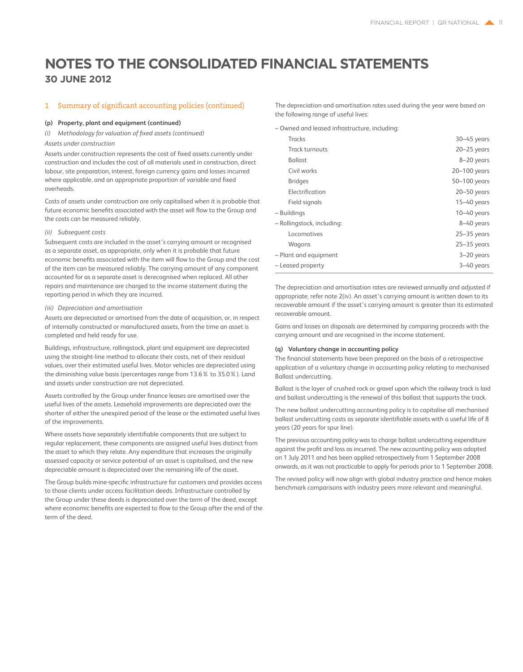### 1 Summary of significant accounting policies (continued)

#### **(p) Property, plant and equipment (continued)**

*(i) Methodology for valuation of fixed assets (continued)* 

### *Assets under construction*

Assets under construction represents the cost of fixed assets currently under construction and includes the cost of all materials used in construction, direct labour, site preparation, interest, foreign currency gains and losses incurred where applicable, and an appropriate proportion of variable and fixed overheads.

Costs of assets under construction are only capitalised when it is probable that future economic benefits associated with the asset will flow to the Group and the costs can be measured reliably.

### *(ii) Subsequent costs*

Subsequent costs are included in the asset's carrying amount or recognised as a separate asset, as appropriate, only when it is probable that future economic benefits associated with the item will flow to the Group and the cost of the item can be measured reliably. The carrying amount of any component accounted for as a separate asset is derecognised when replaced. All other repairs and maintenance are charged to the income statement during the reporting period in which they are incurred.

### *(iii) Depreciation and amortisation*

Assets are depreciated or amortised from the date of acquisition, or, in respect of internally constructed or manufactured assets, from the time an asset is completed and held ready for use.

Buildings, infrastructure, rollingstock, plant and equipment are depreciated using the straight-line method to allocate their costs, net of their residual values, over their estimated useful lives. Motor vehicles are depreciated using the diminishing value basis (percentages range from 13.6% to 35.0%). Land and assets under construction are not depreciated.

Assets controlled by the Group under finance leases are amortised over the useful lives of the assets. Leasehold improvements are depreciated over the shorter of either the unexpired period of the lease or the estimated useful lives of the improvements.

Where assets have separately identifiable components that are subject to regular replacement, these components are assigned useful lives distinct from the asset to which they relate. Any expenditure that increases the originally assessed capacity or service potential of an asset is capitalised, and the new depreciable amount is depreciated over the remaining life of the asset.

The Group builds mine-specific infrastructure for customers and provides access to those clients under access facilitation deeds. Infrastructure controlled by the Group under these deeds is depreciated over the term of the deed, except where economic benefits are expected to flow to the Group after the end of the term of the deed.

The depreciation and amortisation rates used during the year were based on the following range of useful lives:

– Owned and leased infrastructure, including:

| <b>Tracks</b>              | $30 - 45$ years |
|----------------------------|-----------------|
| Track turnouts             | $20 - 25$ years |
| <b>Ballast</b>             | 8-20 years      |
| Civil works                | 20-100 years    |
| <b>Bridges</b>             | 50-100 years    |
| Electrification            | $20 - 50$ years |
| Field signals              | $15 - 40$ years |
| - Buildings                | $10 - 40$ years |
| - Rollingstock, including: | 8-40 years      |
| Locomotives                | $25 - 35$ years |
| Wagons                     | $25 - 35$ years |
| - Plant and equipment      | $3 - 20$ years  |
| – Leased property          | 3-40 years      |

The depreciation and amortisation rates are reviewed annually and adjusted if appropriate, refer note 2(iv). An asset's carrying amount is written down to its recoverable amount if the asset's carrying amount is greater than its estimated recoverable amount.

Gains and losses on disposals are determined by comparing proceeds with the carrying amount and are recognised in the income statement.

### **(q) Voluntary change in accounting policy**

The financial statements have been prepared on the basis of a retrospective application of a voluntary change in accounting policy relating to mechanised Ballast undercutting.

Ballast is the layer of crushed rock or gravel upon which the railway track is laid and ballast undercutting is the renewal of this ballast that supports the track.

The new ballast undercutting accounting policy is to capitalise all mechanised ballast undercutting costs as separate identifiable assets with a useful life of 8 years (20 years for spur line).

The previous accounting policy was to charge ballast undercutting expenditure against the profit and loss as incurred. The new accounting policy was adopted on 1 July 2011 and has been applied retrospectively from 1 September 2008 onwards, as it was not practicable to apply for periods prior to 1 September 2008.

The revised policy will now align with global industry practice and hence makes benchmark comparisons with industry peers more relevant and meaningful.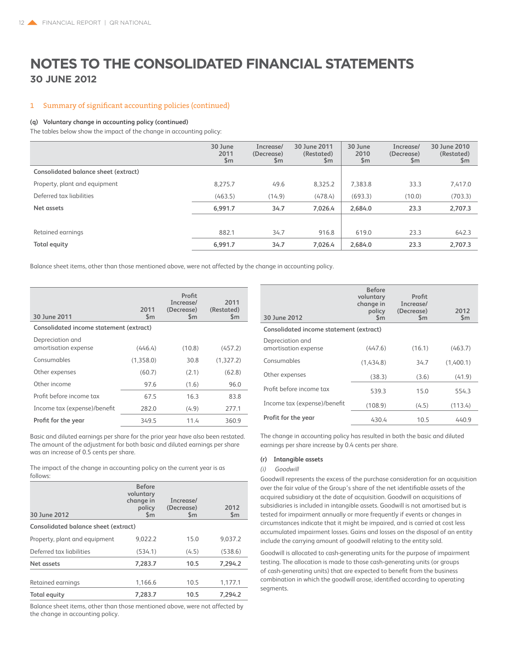### 1 Summary of significant accounting policies (continued)

#### **(q) Voluntary change in accounting policy (continued)**

The tables below show the impact of the change in accounting policy:

|                                      | 30 June<br>2011<br>\$m\$ | Increase/<br>(Decrease)<br>\$m | 30 June 2011<br>(Restated)<br>\$m | 30 June<br>2010<br>$\mathsf{S}$ m | Increase/<br>(Decrease)<br>\$m | 30 June 2010<br>(Restated)<br>\$m |
|--------------------------------------|--------------------------|--------------------------------|-----------------------------------|-----------------------------------|--------------------------------|-----------------------------------|
| Consolidated balance sheet (extract) |                          |                                |                                   |                                   |                                |                                   |
| Property, plant and equipment        | 8,275.7                  | 49.6                           | 8,325.2                           | 7,383.8                           | 33.3                           | 7,417.0                           |
| Deferred tax liabilities             | (463.5)                  | (14.9)                         | (478.4)                           | (693.3)                           | (10.0)                         | (703.3)                           |
| Net assets                           | 6.991.7                  | 34.7                           | 7,026.4                           | 2,684.0                           | 23.3                           | 2,707.3                           |
|                                      |                          |                                |                                   |                                   |                                |                                   |
| Retained earnings                    | 882.1                    | 34.7                           | 916.8                             | 619.0                             | 23.3                           | 642.3                             |
| <b>Total equity</b>                  | 6,991.7                  | 34.7                           | 7.026.4                           | 2,684.0                           | 23.3                           | 2,707.3                           |

Balance sheet items, other than those mentioned above, were not affected by the change in accounting policy.

| 30 June 2011                             | 2011<br>$\mathsf{Sm}$ | Profit<br>Increase/<br>(Decrease)<br>Sm | 2011<br>(Restated)<br>$\mathsf{Sm}$ |
|------------------------------------------|-----------------------|-----------------------------------------|-------------------------------------|
| Consolidated income statement (extract)  |                       |                                         |                                     |
| Depreciation and<br>amortisation expense | (446.4)               | (10.8)                                  | (457.2)                             |
| Consumables                              | (1,358.0)             | 30.8                                    | (1,327.2)                           |
| Other expenses                           | (60.7)                | (2.1)                                   | (62.8)                              |
| Other income                             | 97.6                  | (1.6)                                   | 96.0                                |
| Profit before income tax                 | 67.5                  | 16.3                                    | 83.8                                |
| Income tax (expense)/benefit             | 282.0                 | (4.9)                                   | 277.1                               |
| Profit for the year                      | 349.5                 | 11.4                                    | 360.9                               |

Basic and diluted earnings per share for the prior year have also been restated. The amount of the adjustment for both basic and diluted earnings per share was an increase of 0.5 cents per share.

The impact of the change in accounting policy on the current year is as follows:

| 30 June 2012                                | <b>Before</b><br>voluntary<br>change in<br>policy<br>$\mathsf{Sm}$ | Increase/<br>(Decrease)<br>$\mathsf{Sm}$ | 2012<br>$\mathsf{Sm}$ |
|---------------------------------------------|--------------------------------------------------------------------|------------------------------------------|-----------------------|
| <b>Consolidated balance sheet (extract)</b> |                                                                    |                                          |                       |
| Property, plant and equipment               | 9.022.2                                                            | 15.0                                     | 9,037.2               |
| Deferred tax liabilities                    | (534.1)                                                            | (4.5)                                    | (538.6)               |
| Net assets                                  | 7,283.7                                                            | 10.5                                     | 7.294.2               |
| Retained earnings                           | 1.166.6                                                            | 10.5                                     | 1,177.1               |
| <b>Total equity</b>                         | 7,283.7                                                            | 10.5                                     | 7.294.2               |

Balance sheet items, other than those mentioned above, were not affected by the change in accounting policy.

| 30 June 2012                             | <b>Before</b><br>voluntary<br>change in<br>policy<br>$\mathsf{Sm}$ | Profit<br>Increase/<br>(Decrease)<br>$\mathsf{Sm}$ | 2012<br>$\mathsf{Sm}$ |
|------------------------------------------|--------------------------------------------------------------------|----------------------------------------------------|-----------------------|
| Consolidated income statement (extract)  |                                                                    |                                                    |                       |
| Depreciation and<br>amortisation expense | (447.6)                                                            | (16.1)                                             | (463.7)               |
| Consumables                              | (1.434.8)                                                          | 34.7                                               | (1.400.1)             |
| Other expenses                           | (38.3)                                                             | (3.6)                                              | (41.9)                |
| Profit before income tax                 | 539.3                                                              | 15.0                                               | 554.3                 |
| Income tax (expense)/benefit             | (108.9)                                                            | (4.5)                                              | (113.4)               |
| Profit for the year                      | 430.4                                                              | 10.5                                               | 440.9                 |

The change in accounting policy has resulted in both the basic and diluted earnings per share increase by 0.4 cents per share.

### **(r) Intangible assets**

### *(i) Goodwill*

Goodwill represents the excess of the purchase consideration for an acquisition over the fair value of the Group's share of the net identifiable assets of the acquired subsidiary at the date of acquisition. Goodwill on acquisitions of subsidiaries is included in intangible assets. Goodwill is not amortised but is tested for impairment annually or more frequently if events or changes in circumstances indicate that it might be impaired, and is carried at cost less accumulated impairment losses. Gains and losses on the disposal of an entity include the carrying amount of goodwill relating to the entity sold.

Goodwill is allocated to cash-generating units for the purpose of impairment testing. The allocation is made to those cash-generating units (or groups of cash-generating units) that are expected to benefit from the business combination in which the goodwill arose, identified according to operating segments.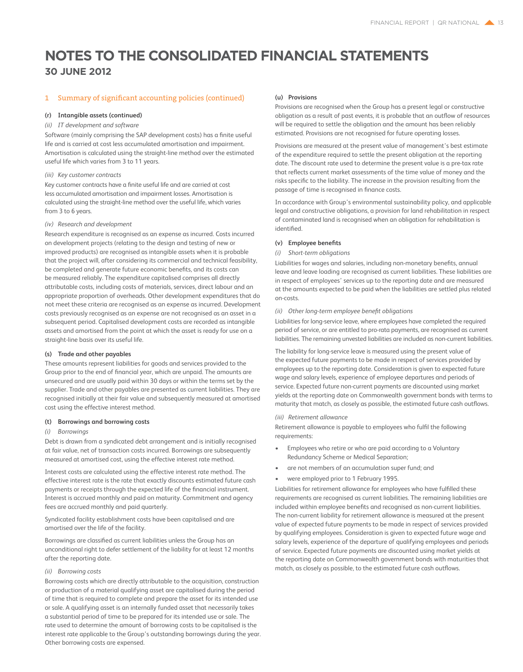### 1 Summary of significant accounting policies (continued)

### **(r) Intangible assets (continued)**

### *(ii) IT development and software*

Software (mainly comprising the SAP development costs) has a finite useful life and is carried at cost less accumulated amortisation and impairment. Amortisation is calculated using the straight-line method over the estimated useful life which varies from 3 to 11 years.

### *(iii) Key customer contracts*

Key customer contracts have a finite useful life and are carried at cost less accumulated amortisation and impairment losses. Amortisation is calculated using the straight-line method over the useful life, which varies from 3 to 6 years.

### *(iv) Research and development*

Research expenditure is recognised as an expense as incurred. Costs incurred on development projects (relating to the design and testing of new or improved products) are recognised as intangible assets when it is probable that the project will, after considering its commercial and technical feasibility, be completed and generate future economic benefits, and its costs can be measured reliably. The expenditure capitalised comprises all directly attributable costs, including costs of materials, services, direct labour and an appropriate proportion of overheads. Other development expenditures that do not meet these criteria are recognised as an expense as incurred. Development costs previously recognised as an expense are not recognised as an asset in a subsequent period. Capitalised development costs are recorded as intangible assets and amortised from the point at which the asset is ready for use on a straight-line basis over its useful life.

### **(s) Trade and other payables**

These amounts represent liabilities for goods and services provided to the Group prior to the end of financial year, which are unpaid. The amounts are unsecured and are usually paid within 30 days or within the terms set by the supplier. Trade and other payables are presented as current liabilities. They are recognised initially at their fair value and subsequently measured at amortised cost using the effective interest method.

#### **(t) Borrowings and borrowing costs**

#### *(i) Borrowings*

Debt is drawn from a syndicated debt arrangement and is initially recognised at fair value, net of transaction costs incurred. Borrowings are subsequently measured at amortised cost, using the effective interest rate method.

Interest costs are calculated using the effective interest rate method. The effective interest rate is the rate that exactly discounts estimated future cash payments or receipts through the expected life of the financial instrument. Interest is accrued monthly and paid on maturity. Commitment and agency fees are accrued monthly and paid quarterly.

Syndicated facility establishment costs have been capitalised and are amortised over the life of the facility.

Borrowings are classified as current liabilities unless the Group has an unconditional right to defer settlement of the liability for at least 12 months after the reporting date.

### *(ii) Borrowing costs*

Borrowing costs which are directly attributable to the acquisition, construction or production of a material qualifying asset are capitalised during the period of time that is required to complete and prepare the asset for its intended use or sale. A qualifying asset is an internally funded asset that necessarily takes a substantial period of time to be prepared for its intended use or sale. The rate used to determine the amount of borrowing costs to be capitalised is the interest rate applicable to the Group's outstanding borrowings during the year. Other borrowing costs are expensed.

### **(u) Provisions**

Provisions are recognised when the Group has a present legal or constructive obligation as a result of past events, it is probable that an outflow of resources will be required to settle the obligation and the amount has been reliably estimated. Provisions are not recognised for future operating losses.

Provisions are measured at the present value of management's best estimate of the expenditure required to settle the present obligation at the reporting date. The discount rate used to determine the present value is a pre-tax rate that reflects current market assessments of the time value of money and the risks specific to the liability. The increase in the provision resulting from the passage of time is recognised in finance costs.

In accordance with Group's environmental sustainability policy, and applicable legal and constructive obligations, a provision for land rehabilitation in respect of contaminated land is recognised when an obligation for rehabilitation is identified.

### **(v) Employee benefits**

#### *(i) Short-term obligations*

Liabilities for wages and salaries, including non-monetary benefits, annual leave and leave loading are recognised as current liabilities. These liabilities are in respect of employees' services up to the reporting date and are measured at the amounts expected to be paid when the liabilities are settled plus related on-costs.

### *(ii) Other long-term employee benefit obligations*

Liabilities for long-service leave, where employees have completed the required period of service, or are entitled to pro-rata payments, are recognised as current liabilities. The remaining unvested liabilities are included as non-current liabilities.

The liability for long-service leave is measured using the present value of the expected future payments to be made in respect of services provided by employees up to the reporting date. Consideration is given to expected future wage and salary levels, experience of employee departures and periods of service. Expected future non-current payments are discounted using market yields at the reporting date on Commonwealth government bonds with terms to maturity that match, as closely as possible, the estimated future cash outflows.

### *(iii) Retirement allowance*

Retirement allowance is payable to employees who fulfil the following requirements:

- Employees who retire or who are paid according to a Voluntary Redundancy Scheme or Medical Separation;
- are not members of an accumulation super fund; and
- were employed prior to 1 February 1995.

Liabilities for retirement allowance for employees who have fulfilled these requirements are recognised as current liabilities. The remaining liabilities are included within employee benefits and recognised as non-current liabilities. The non-current liability for retirement allowance is measured at the present value of expected future payments to be made in respect of services provided by qualifying employees. Consideration is given to expected future wage and salary levels, experience of the departure of qualifying employees and periods of service. Expected future payments are discounted using market yields at the reporting date on Commonwealth government bonds with maturities that match, as closely as possible, to the estimated future cash outflows.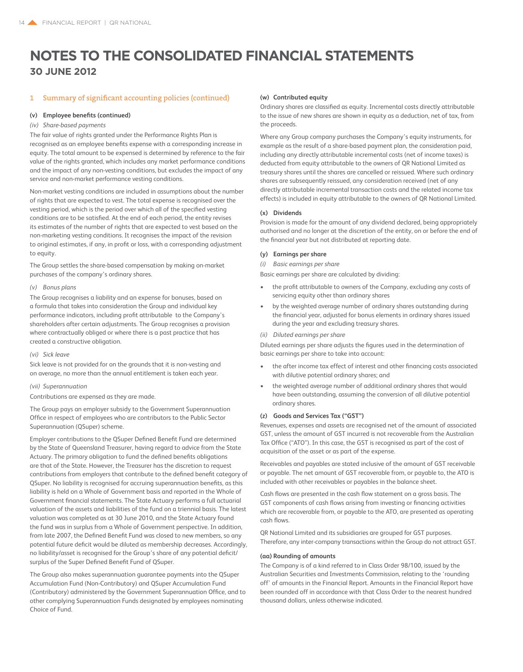### 1 Summary of significant accounting policies (continued)

### **(v) Employee benefits (continued)**

### *(iv) Share-based payments*

The fair value of rights granted under the Performance Rights Plan is recognised as an employee benefits expense with a corresponding increase in equity. The total amount to be expensed is determined by reference to the fair value of the rights granted, which includes any market performance conditions and the impact of any non-vesting conditions, but excludes the impact of any service and non-market performance vesting conditions.

Non-market vesting conditions are included in assumptions about the number of rights that are expected to vest. The total expense is recognised over the vesting period, which is the period over which all of the specified vesting conditions are to be satisfied. At the end of each period, the entity revises its estimates of the number of rights that are expected to vest based on the non-marketing vesting conditions. It recognises the impact of the revision to original estimates, if any, in profit or loss, with a corresponding adjustment to equity.

The Group settles the share-based compensation by making on-market purchases of the company's ordinary shares.

### *(v) Bonus plans*

The Group recognises a liability and an expense for bonuses, based on a formula that takes into consideration the Group and individual key performance indicators, including profit attributable to the Company's shareholders after certain adjustments. The Group recognises a provision where contractually obliged or where there is a past practice that has created a constructive obligation.

### *(vi) Sick leave*

Sick leave is not provided for on the grounds that it is non-vesting and on average, no more than the annual entitlement is taken each year.

### *(vii) Superannuation*

Contributions are expensed as they are made.

The Group pays an employer subsidy to the Government Superannuation Office in respect of employees who are contributors to the Public Sector Superannuation (QSuper) scheme.

Employer contributions to the QSuper Defined Benefit Fund are determined by the State of Queensland Treasurer, having regard to advice from the State Actuary. The primary obligation to fund the defined benefits obligations are that of the State. However, the Treasurer has the discretion to request contributions from employers that contribute to the defined benefit category of QSuper. No liability is recognised for accruing superannuation benefits, as this liability is held on a Whole of Government basis and reported in the Whole of Government financial statements. The State Actuary performs a full actuarial valuation of the assets and liabilities of the fund on a triennial basis. The latest valuation was completed as at 30 June 2010, and the State Actuary found the fund was in surplus from a Whole of Government perspective. In addition, from late 2007, the Defined Benefit Fund was closed to new members, so any potential future deficit would be diluted as membership decreases. Accordingly, no liability/asset is recognised for the Group's share of any potential deficit/ surplus of the Super Defined Benefit Fund of QSuper.

The Group also makes superannuation guarantee payments into the QSuper Accumulation Fund (Non-Contributory) and QSuper Accumulation Fund (Contributory) administered by the Government Superannuation Office, and to other complying Superannuation Funds designated by employees nominating Choice of Fund.

### **(w) Contributed equity**

Ordinary shares are classified as equity. Incremental costs directly attributable to the issue of new shares are shown in equity as a deduction, net of tax, from the proceeds.

Where any Group company purchases the Company's equity instruments, for example as the result of a share-based payment plan, the consideration paid, including any directly attributable incremental costs (net of income taxes) is deducted from equity attributable to the owners of QR National Limited as treasury shares until the shares are cancelled or reissued. Where such ordinary shares are subsequently reissued, any consideration received (net of any directly attributable incremental transaction costs and the related income tax effects) is included in equity attributable to the owners of QR National Limited.

### **(x) Dividends**

Provision is made for the amount of any dividend declared, being appropriately authorised and no longer at the discretion of the entity, on or before the end of the financial year but not distributed at reporting date.

#### **(y) Earnings per share**

*(i) Basic earnings per share*

Basic earnings per share are calculated by dividing:

- the profit attributable to owners of the Company, excluding any costs of servicing equity other than ordinary shares
- by the weighted average number of ordinary shares outstanding during the financial year, adjusted for bonus elements in ordinary shares issued during the year and excluding treasury shares.
- *(ii) Diluted earnings per share*

Diluted earnings per share adjusts the figures used in the determination of basic earnings per share to take into account:

- the after income tax effect of interest and other financing costs associated with dilutive potential ordinary shares; and
- the weighted average number of additional ordinary shares that would have been outstanding, assuming the conversion of all dilutive potential ordinary shares.

### **(z) Goods and Services Tax ("GST")**

Revenues, expenses and assets are recognised net of the amount of associated GST, unless the amount of GST incurred is not recoverable from the Australian Tax Office ("ATO"). In this case, the GST is recognised as part of the cost of acquisition of the asset or as part of the expense.

Receivables and payables are stated inclusive of the amount of GST receivable or payable. The net amount of GST recoverable from, or payable to, the ATO is included with other receivables or payables in the balance sheet.

Cash flows are presented in the cash flow statement on a gross basis. The GST components of cash flows arising from investing or financing activities which are recoverable from, or payable to the ATO, are presented as operating cash flows.

QR National Limited and its subsidiaries are grouped for GST purposes. Therefore, any inter-company transactions within the Group do not attract GST.

### **(aa) Rounding of amounts**

The Company is of a kind referred to in Class Order 98/100, issued by the Australian Securities and Investments Commission, relating to the 'rounding off' of amounts in the Financial Report. Amounts in the Financial Report have been rounded off in accordance with that Class Order to the nearest hundred thousand dollars, unless otherwise indicated.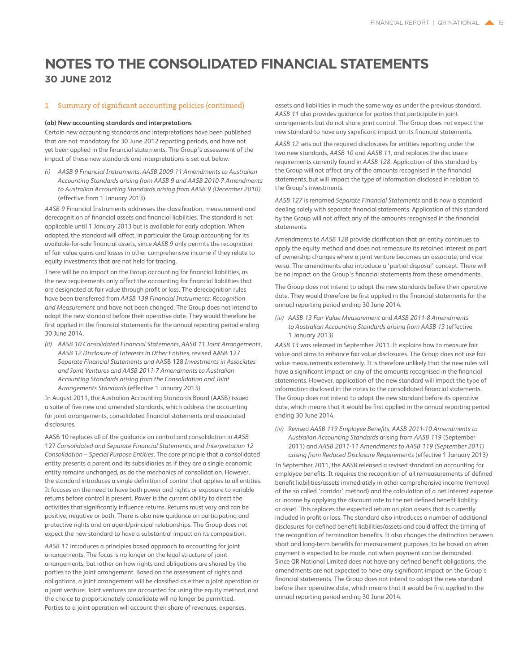### 1 Summary of significant accounting policies (continued)

#### **(ab) New accounting standards and interpretations**

Certain new accounting standards and interpretations have been published that are not mandatory for 30 June 2012 reporting periods, and have not yet been applied in the financial statements. The Group's assessment of the impact of these new standards and interpretations is set out below.

*(i) AASB 9 Financial Instruments, AASB 2009 11 Amendments to Australian Accounting Standards arising from AASB 9 and AASB 2010-7 Amendments to Australian Accounting Standards arising from AASB 9 (December 2010)*  (effective from 1 January 2013)

*AASB 9* Financial Instruments addresses the classification, measurement and derecognition of financial assets and financial liabilities. The standard is not applicable until 1 January 2013 but is available for early adoption. When adopted, the standard will affect, in particular the Group accounting for its available-for-sale financial assets, since *AASB 9* only permits the recognition of fair value gains and losses in other comprehensive income if they relate to equity investments that are not held for trading.

There will be no impact on the Group accounting for financial liabilities, as the new requirements only affect the accounting for financial liabilities that are designated at fair value through profit or loss. The derecognition rules have been transferred from *AASB 139 Financial Instruments: Recognition and Measurement* and have not been changed. The Group does not intend to adopt the new standard before their operative date. They would therefore be first applied in the financial statements for the annual reporting period ending 30 June 2014.

*(ii) AASB 10 Consolidated Financial Statements, AASB 11 Joint Arrangements, AASB 12 Disclosure of Interests in Other Entities,* revised AASB 127 *Separate Financial Statements and* AASB 128 *Investments in Associates and Joint Ventures and AASB 2011-7 Amendments to Australian Accounting Standards arising from the Consolidation and Joint Arrangements Standards* (effective 1 January 2013)

In August 2011, the Australian Accounting Standards Board (AASB) issued a suite of five new and amended standards, which address the accounting for joint arrangements, consolidated financial statements and associated disclosures.

AASB 10 replaces all of the guidance on control and consolidation in *AASB* 127 *Consolidated and Separate Financial Statements,* and *Interpretation 12 Consolidation – Special Purpose Entities.* The core principle that a consolidated entity presents a parent and its subsidiaries as if they are a single economic entity remains unchanged, as do the mechanics of consolidation. However, the standard introduces a single definition of control that applies to all entities. It focuses on the need to have both power and rights or exposure to variable returns before control is present. Power is the current ability to direct the activities that significantly influence returns. Returns must vary and can be positive, negative or both. There is also new guidance on participating and protective rights and on agent/principal relationships. The Group does not expect the new standard to have a substantial impact on its composition.

*AASB 11* introduces a principles based approach to accounting for joint arrangements. The focus is no longer on the legal structure of joint arrangements, but rather on how rights and obligations are shared by the parties to the joint arrangement. Based on the assessment of rights and obligations, a joint arrangement will be classified as either a joint operation or a joint venture. Joint ventures are accounted for using the equity method, and the choice to proportionately consolidate will no longer be permitted. Parties to a joint operation will account their share of revenues, expenses,

assets and liabilities in much the same way as under the previous standard. *AASB 11* also provides guidance for parties that participate in joint arrangements but do not share joint control. The Group does not expect the new standard to have any significant impact on its financial statements.

*AASB 12* sets out the required disclosures for entities reporting under the two new standards, *AASB 10* and *AASB 11*, and replaces the disclosure requirements currently found in *AASB 128*. Application of this standard by the Group will not affect any of the amounts recognised in the financial statements, but will impact the type of information disclosed in relation to the Group's investments.

*AASB 127* is renamed *Separate Financial Statements* and is now a standard dealing solely with separate financial statements. Application of this standard by the Group will not affect any of the amounts recognised in the financial statements.

Amendments to *AASB 128* provide clarification that an entity continues to apply the equity method and does not remeasure its retained interest as part of ownership changes where a joint venture becomes an associate, and vice versa. The amendments also introduce a 'partial disposal' concept. There will be no impact on the Group's financial statements from these amendments.

The Group does not intend to adopt the new standards before their operative date. They would therefore be first applied in the financial statements for the annual reporting period ending 30 June 2014.

*(iii) AASB 13 Fair Value Measurement* and *AASB 2011-8 Amendments to Australian Accounting Standards arising from AASB 13* (effective 1 January 2013)

*AASB 13* was released in September 2011. It explains how to measure fair value and aims to enhance fair value disclosures. The Group does not use fair value measurements extensively. It is therefore unlikely that the new rules will have a significant impact on any of the amounts recognised in the financial statements. However, application of the new standard will impact the type of information disclosed in the notes to the consolidated financial statements. The Group does not intend to adopt the new standard before its operative date, which means that it would be first applied in the annual reporting period ending 30 June 2014.

*(iv)* Revised *AASB 119 Employee Benefits, AASB 2011-10 Amendments to Australian Accounting Standards* arising from *AASB 119* (September 2011) and *AASB 2011-11 Amendments to AASB 119 (September 2011) arising from Reduced Disclosure Requirements* (effective 1 January 2013)

In September 2011, the AASB released a revised standard on accounting for employee benefits. It requires the recognition of all remeasurements of defined benefit liabilities/assets immediately in other comprehensive income (removal of the so called 'corridor' method) and the calculation of a net interest expense or income by applying the discount rate to the net defined benefit liability or asset. This replaces the expected return on plan assets that is currently included in profit or loss. The standard also introduces a number of additional disclosures for defined benefit liabilities/assets and could affect the timing of the recognition of termination benefits. It also changes the distinction between short and long-term benefits for measurement purposes, to be based on when payment is expected to be made, not when payment can be demanded. Since QR National Limited does not have any defined benefit obligations, the amendments are not expected to have any significant impact on the Group's financial statements. The Group does not intend to adopt the new standard before their operative date, which means that it would be first applied in the annual reporting period ending 30 June 2014.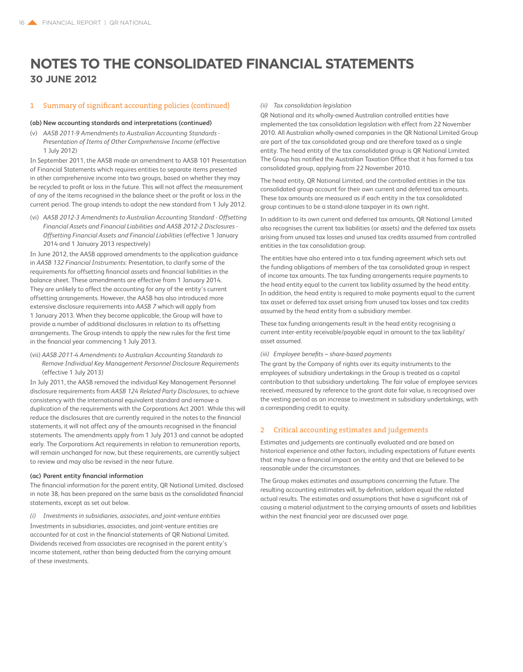### 1 Summary of significant accounting policies (continued)

#### **(ab) New accounting standards and interpretations (continued)**

(v) *AASB 2011-9 Amendments to Australian Accounting Standards* - *Presentation of Items of Other Comprehensive Income* (effective 1 July 2012)

In September 2011, the AASB made an amendment to AASB 101 Presentation of Financial Statements which requires entities to separate items presented in other comprehensive income into two groups, based on whether they may be recycled to profit or loss in the future. This will not affect the measurement of any of the items recognised in the balance sheet or the profit or loss in the current period. The group intends to adopt the new standard from 1 July 2012.

(vi) *AASB 2012-3 Amendments to Australian Accounting Standard - Offsetting Financial Assets and Financial Liabilities and AASB 2012-2 Disclosures - Offsetting Financial Assets and Financial Liabilities* (effective 1 January 2014 and 1 January 2013 respectively)

In June 2012, the AASB approved amendments to the application guidance in *AASB 132 Financial Instruments:* Presentation, to clarify some of the requirements for offsetting financial assets and financial liabilities in the balance sheet. These amendments are effective from 1 January 2014. They are unlikely to affect the accounting for any of the entity's current offsetting arrangements. However, the AASB has also introduced more extensive disclosure requirements into *AASB 7* which will apply from 1 January 2013. When they become applicable, the Group will have to provide a number of additional disclosures in relation to its offsetting arrangements. The Group intends to apply the new rules for the first time in the financial year commencing 1 July 2013.

(vii) *AASB 2011-4 Amendments to Australian Accounting Standards to Remove Individual Key Management Personnel Disclosure Requirements* (effective 1 July 2013)

In July 2011, the AASB removed the individual Key Management Personnel disclosure requirements from *AASB 124 Related Party Disclosures*, to achieve consistency with the international equivalent standard and remove a duplication of the requirements with the Corporations Act 2001. While this will reduce the disclosures that are currently required in the notes to the financial statements, it will not affect any of the amounts recognised in the financial statements. The amendments apply from 1 July 2013 and cannot be adopted early. The Corporations Act requirements in relation to remuneration reports, will remain unchanged for now, but these requirements, are currently subject to review and may also be revised in the near future.

### **(ac) Parent entity financial information**

The financial information for the parent entity, QR National Limited, disclosed in note 38, has been prepared on the same basis as the consolidated financial statements, except as set out below.

*(i) Investments in subsidiaries, associates, and joint-venture entities*

Investments in subsidiaries, associates, and joint-venture entities are accounted for at cost in the financial statements of QR National Limited. Dividends received from associates are recognised in the parent entity's income statement, rather than being deducted from the carrying amount of these investments.

*(ii) Tax consolidation legislation*

QR National and its wholly-owned Australian controlled entities have implemented the tax consolidation legislation with effect from 22 November 2010. All Australian wholly-owned companies in the OR National Limited Group are part of the tax consolidated group and are therefore taxed as a single entity. The head entity of the tax consolidated group is QR National Limited. The Group has notified the Australian Taxation Office that it has formed a tax consolidated group, applying from 22 November 2010.

The head entity, QR National Limited, and the controlled entities in the tax consolidated group account for their own current and deferred tax amounts. These tax amounts are measured as if each entity in the tax consolidated group continues to be a stand-alone taxpayer in its own right.

In addition to its own current and deferred tax amounts, QR National Limited also recognises the current tax liabilities (or assets) and the deferred tax assets arising from unused tax losses and unused tax credits assumed from controlled entities in the tax consolidation group.

The entities have also entered into a tax funding agreement which sets out the funding obligations of members of the tax consolidated group in respect of income tax amounts. The tax funding arrangements require payments to the head entity equal to the current tax liability assumed by the head entity. In addition, the head entity is required to make payments equal to the current tax asset or deferred tax asset arising from unused tax losses and tax credits assumed by the head entity from a subsidiary member.

These tax funding arrangements result in the head entity recognising a current inter-entity receivable/payable equal in amount to the tax liability/ asset assumed.

### *(iii) Employee benefits – share-based payments*

The grant by the Company of rights over its equity instruments to the employees of subsidiary undertakings in the Group is treated as a capital contribution to that subsidiary undertaking. The fair value of employee services received, measured by reference to the grant date fair value, is recognised over the vesting period as an increase to investment in subsidiary undertakings, with a corresponding credit to equity.

### 2 Critical accounting estimates and judgements

Estimates and judgements are continually evaluated and are based on historical experience and other factors, including expectations of future events that may have a financial impact on the entity and that are believed to be reasonable under the circumstances.

The Group makes estimates and assumptions concerning the future. The resulting accounting estimates will, by definition, seldom equal the related actual results. The estimates and assumptions that have a significant risk of causing a material adjustment to the carrying amounts of assets and liabilities within the next financial year are discussed over page.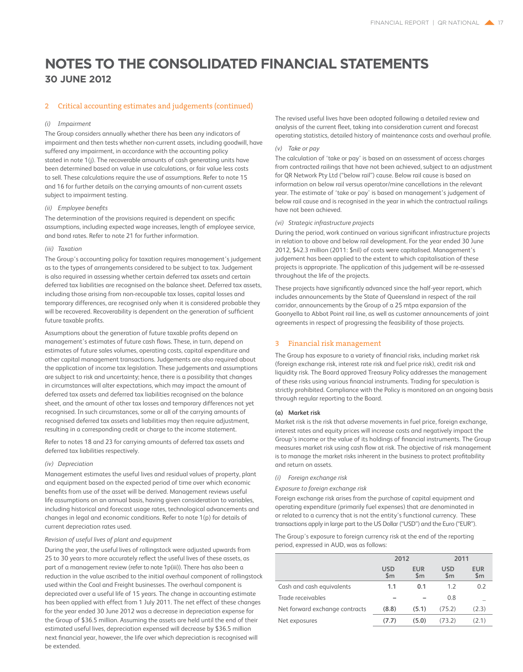### 2 Critical accounting estimates and judgements (continued)

### *(i) Impairment*

The Group considers annually whether there has been any indicators of impairment and then tests whether non-current assets, including goodwill, have suffered any impairment, in accordance with the accounting policy stated in note 1(j). The recoverable amounts of cash generating units have been determined based on value in use calculations, or fair value less costs to sell. These calculations require the use of assumptions. Refer to note 15 and 16 for further details on the carrying amounts of non-current assets subject to impairment testing.

### *(ii) Employee benefits*

The determination of the provisions required is dependent on specific assumptions, including expected wage increases, length of employee service, and bond rates. Refer to note 21 for further information.

### *(iii) Taxation*

The Group's accounting policy for taxation requires management's judgement as to the types of arrangements considered to be subject to tax. Judgement is also required in assessing whether certain deferred tax assets and certain deferred tax liabilities are recognised on the balance sheet. Deferred tax assets, including those arising from non-recoupable tax losses, capital losses and temporary differences, are recognised only when it is considered probable they will be recovered. Recoverability is dependent on the generation of sufficient future taxable profits.

Assumptions about the generation of future taxable profits depend on management's estimates of future cash flows. These, in turn, depend on estimates of future sales volumes, operating costs, capital expenditure and other capital management transactions. Judgements are also required about the application of income tax legislation. These judgements and assumptions are subject to risk and uncertainty; hence, there is a possibility that changes in circumstances will alter expectations, which may impact the amount of deferred tax assets and deferred tax liabilities recognised on the balance sheet, and the amount of other tax losses and temporary differences not yet recognised. In such circumstances, some or all of the carrying amounts of recognised deferred tax assets and liabilities may then require adjustment, resulting in a corresponding credit or charge to the income statement.

Refer to notes 18 and 23 for carrying amounts of deferred tax assets and deferred tax liabilities respectively.

#### *(iv) Depreciation*

Management estimates the useful lives and residual values of property, plant and equipment based on the expected period of time over which economic benefits from use of the asset will be derived. Management reviews useful life assumptions on an annual basis, having given consideration to variables, including historical and forecast usage rates, technological advancements and changes in legal and economic conditions. Refer to note 1(p) for details of current depreciation rates used.

### *Revision of useful lives of plant and equipment*

During the year, the useful lives of rollingstock were adjusted upwards from 25 to 30 years to more accurately reflect the useful lives of these assets, as part of a management review (refer to note 1p(iii)). There has also been a reduction in the value ascribed to the initial overhaul component of rollingstock used within the Coal and Freight businesses. The overhaul component is depreciated over a useful life of 15 years. The change in accounting estimate has been applied with effect from 1 July 2011. The net effect of these changes for the year ended 30 June 2012 was a decrease in depreciation expense for the Group of \$36.5 million. Assuming the assets are held until the end of their estimated useful lives, depreciation expensed will decrease by \$36.5 million next financial year, however, the life over which depreciation is recognised will be extended.

The revised useful lives have been adopted following a detailed review and analysis of the current fleet, taking into consideration current and forecast operating statistics, detailed history of maintenance costs and overhaul profile.

### *(v) Take or pay*

The calculation of 'take or pay' is based on an assessment of access charges from contracted railings that have not been achieved, subject to an adjustment for QR Network Pty Ltd ("below rail") cause. Below rail cause is based on information on below rail versus operator/mine cancellations in the relevant year. The estimate of 'take or pay' is based on management's judgement of below rail cause and is recognised in the year in which the contractual railings have not been achieved.

### *(vi) Strategic infrastructure projects*

During the period, work continued on various significant infrastructure projects in relation to above and below rail development. For the year ended 30 June 2012, \$42.3 million (2011: \$nil) of costs were capitalised. Management's judgement has been applied to the extent to which capitalisation of these projects is appropriate. The application of this judgement will be re-assessed throughout the life of the projects.

These projects have significantly advanced since the half-year report, which includes announcements by the State of Queensland in respect of the rail corridor, announcements by the Group of a 25 mtpa expansion of the Goonyella to Abbot Point rail line, as well as customer announcements of joint agreements in respect of progressing the feasibility of those projects.

### 3 Financial risk management

The Group has exposure to a variety of financial risks, including market risk (foreign exchange risk, interest rate risk and fuel price risk), credit risk and liquidity risk. The Board approved Treasury Policy addresses the management of these risks using various financial instruments. Trading for speculation is strictly prohibited. Compliance with the Policy is monitored on an ongoing basis through regular reporting to the Board.

### **(a) Market risk**

Market risk is the risk that adverse movements in fuel price, foreign exchange, interest rates and equity prices will increase costs and negatively impact the Group's income or the value of its holdings of financial instruments. The Group measures market risk using cash flow at risk. The objective of risk management is to manage the market risks inherent in the business to protect profitability and return on assets.

### *(i) Foreign exchange risk*

*Exposure to foreign exchange risk*

Foreign exchange risk arises from the purchase of capital equipment and operating expenditure (primarily fuel expenses) that are denominated in or related to a currency that is not the entity's functional currency. These transactions apply in large part to the US Dollar ("USD") and the Euro ("EUR").

The Group's exposure to foreign currency risk at the end of the reporting period, expressed in AUD, was as follows:

|                                | 2012              |                             | 2011                 |                             |  |
|--------------------------------|-------------------|-----------------------------|----------------------|-----------------------------|--|
|                                | <b>USD</b><br>\$m | <b>EUR</b><br>$\mathsf{Sm}$ | USD<br>$\mathsf{Sm}$ | <b>EUR</b><br>$\mathsf{Sm}$ |  |
| Cash and cash equivalents      | 1.1               | 0.1                         | 12                   | 0.2                         |  |
| Trade receivables              |                   |                             | 0.8                  |                             |  |
| Net forward exchange contracts | (8.8)             | (5.1)                       | (75.2)               | (2.3)                       |  |
| Net exposures                  | (7.7)             | (5.0)                       | (73.2)               | (2.1)                       |  |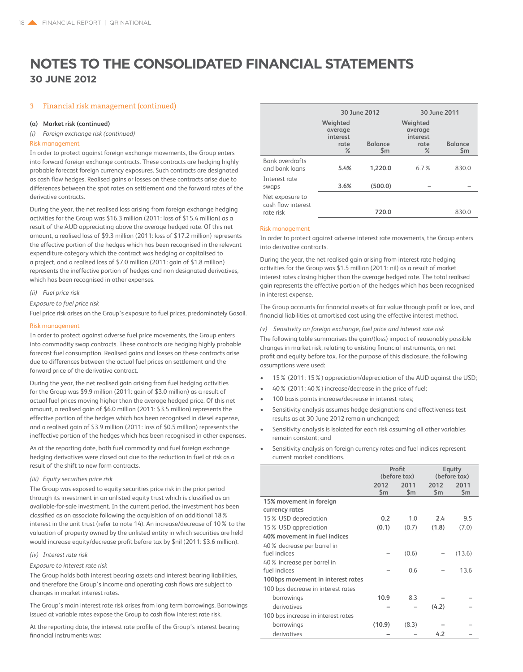### 3 Financial risk management (continued)

### **(a) Market risk (continued)**

*(i) Foreign exchange risk (continued)*

### Risk management

In order to protect against foreign exchange movements, the Group enters into forward foreign exchange contracts. These contracts are hedging highly probable forecast foreign currency exposures. Such contracts are designated as cash flow hedges. Realised gains or losses on these contracts arise due to differences between the spot rates on settlement and the forward rates of the derivative contracts.

During the year, the net realised loss arising from foreign exchange hedging activities for the Group was \$16.3 million (2011: loss of \$15.4 million) as a result of the AUD appreciating above the average hedged rate. Of this net amount, a realised loss of \$9.3 million (2011: loss of \$17.2 million) represents the effective portion of the hedges which has been recognised in the relevant expenditure category which the contract was hedging or capitalised to a project, and a realised loss of \$7.0 million (2011: gain of \$1.8 million) represents the ineffective portion of hedges and non designated derivatives, which has been recognised in other expenses.

### *(ii) Fuel price risk*

*Exposure to fuel price risk*

Fuel price risk arises on the Group's exposure to fuel prices, predominately Gasoil.

### Risk management

In order to protect against adverse fuel price movements, the Group enters into commodity swap contracts. These contracts are hedging highly probable forecast fuel consumption. Realised gains and losses on these contracts arise due to differences between the actual fuel prices on settlement and the forward price of the derivative contract.

During the year, the net realised gain arising from fuel hedging activities for the Group was \$9.9 million (2011: gain of \$3.0 million) as a result of actual fuel prices moving higher than the average hedged price. Of this net amount, a realised gain of \$6.0 million (2011: \$3.5 million) represents the effective portion of the hedges which has been recognised in diesel expense, and a realised gain of \$3.9 million (2011: loss of \$0.5 million) represents the ineffective portion of the hedges which has been recognised in other expenses.

As at the reporting date, both fuel commodity and fuel foreign exchange hedging derivatives were closed out due to the reduction in fuel at risk as a result of the shift to new form contracts.

### *(iii) Equity securities price risk*

The Group was exposed to equity securities price risk in the prior period through its investment in an unlisted equity trust which is classified as an available-for-sale investment. In the current period, the investment has been classified as an associate following the acquisition of an additional 18% interest in the unit trust (refer to note 14). An increase/decrease of 10% to the valuation of property owned by the unlisted entity in which securities are held would increase equity/decrease profit before tax by \$nil (2011: \$3.6 million).

### *(iv) Interest rate risk*

#### *Exposure to interest rate risk*

The Group holds both interest bearing assets and interest bearing liabilities, and therefore the Group's income and operating cash flows are subject to changes in market interest rates.

The Group's main interest rate risk arises from long term borrowings. Borrowings issued at variable rates expose the Group to cash flow interest rate risk.

At the reporting date, the interest rate profile of the Group's interest bearing financial instruments was:

|                                                    |                                                 | 30 June 2012                    | 30 June 2011                                    |                                 |  |
|----------------------------------------------------|-------------------------------------------------|---------------------------------|-------------------------------------------------|---------------------------------|--|
|                                                    | Weighted<br>average<br>interest<br>rate<br>$\%$ | <b>Balance</b><br>$\mathsf{Sm}$ | Weighted<br>average<br>interest<br>rate<br>$\%$ | <b>Balance</b><br>$\mathsf{Sm}$ |  |
| <b>Bank overdrafts</b><br>and bank loans           | 5.4%                                            | 1.220.0                         | 6.7%                                            | 830.0                           |  |
| Interest rate<br>swaps                             | 3.6%                                            | (500.0)                         |                                                 |                                 |  |
| Net exposure to<br>cash flow interest<br>rate risk |                                                 | 720.0                           |                                                 | 830.0                           |  |

### Risk management

In order to protect against adverse interest rate movements, the Group enters into derivative contracts.

During the year, the net realised gain arising from interest rate hedging activities for the Group was \$1.5 million (2011: nil) as a result of market interest rates closing higher than the average hedged rate. The total realised gain represents the effective portion of the hedges which has been recognised in interest expense.

The Group accounts for financial assets at fair value through profit or loss, and financial liabilities at amortised cost using the effective interest method.

*(v) Sensitivity on foreign exchange, fuel price and interest rate risk*

The following table summarises the gain/(loss) impact of reasonably possible changes in market risk, relating to existing financial instruments, on net profit and equity before tax. For the purpose of this disclosure, the following assumptions were used:

- 15% (2011: 15%) appreciation/depreciation of the AUD against the USD;
- 40% (2011: 40%) increase/decrease in the price of fuel;
- 100 basis points increase/decrease in interest rates:
- Sensitivity analysis assumes hedge designations and effectiveness test results as at 30 June 2012 remain unchanged;
- Sensitivity analysis is isolated for each risk assuming all other variables remain constant; and
- Sensitivity analysis on foreign currency rates and fuel indices represent current market conditions.

|                                    | Profit<br>(before tax) |                       | Equity<br>(before tax) |                       |
|------------------------------------|------------------------|-----------------------|------------------------|-----------------------|
|                                    | 2012<br>$\mathsf{Sm}$  | 2011<br>$\mathsf{Sm}$ | 2012<br>$\mathsf{Sm}$  | 2011<br>$\mathsf{Sm}$ |
| 15% movement in foreign            |                        |                       |                        |                       |
| currency rates                     |                        |                       |                        |                       |
| 15% USD depreciation               | 0.2                    | 1.0                   | 2.4                    | 9.5                   |
| 15% USD appreciation               | (0.1)                  | (0.7)                 | (1.8)                  | (7.0)                 |
| 40% movement in fuel indices       |                        |                       |                        |                       |
| 40 % decrease per barrel in        |                        |                       |                        |                       |
| fuel indices                       |                        | (0.6)                 |                        | (13.6)                |
| 40% increase per barrel in         |                        |                       |                        |                       |
| fuel indices                       |                        | 0.6                   |                        | 13.6                  |
| 100bps movement in interest rates  |                        |                       |                        |                       |
| 100 bps decrease in interest rates |                        |                       |                        |                       |
| borrowings                         | 10.9                   | 8.3                   |                        |                       |
| derivatives                        |                        |                       | (4.2)                  |                       |
| 100 bps increase in interest rates |                        |                       |                        |                       |
| borrowings                         | (10.9)                 | (8.3)                 |                        |                       |
| derivatives                        |                        |                       | 4.2                    |                       |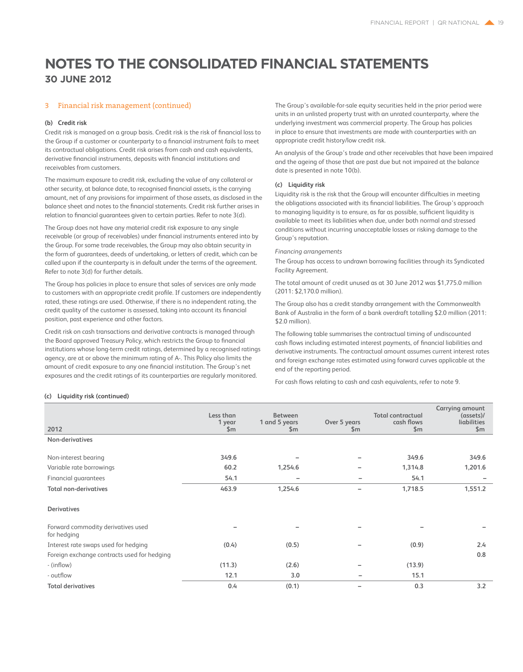### 3 Financial risk management (continued)

### **(b) Credit risk**

Credit risk is managed on a group basis. Credit risk is the risk of financial loss to the Group if a customer or counterparty to a financial instrument fails to meet its contractual obligations. Credit risk arises from cash and cash equivalents, derivative financial instruments, deposits with financial institutions and receivables from customers.

The maximum exposure to credit risk, excluding the value of any collateral or other security, at balance date, to recognised financial assets, is the carrying amount, net of any provisions for impairment of those assets, as disclosed in the balance sheet and notes to the financial statements. Credit risk further arises in relation to financial guarantees given to certain parties. Refer to note 3(d).

The Group does not have any material credit risk exposure to any single receivable (or group of receivables) under financial instruments entered into by the Group. For some trade receivables, the Group may also obtain security in the form of guarantees, deeds of undertaking, or letters of credit, which can be called upon if the counterparty is in default under the terms of the agreement. Refer to note 3(d) for further details.

The Group has policies in place to ensure that sales of services are only made to customers with an appropriate credit profile. If customers are independently rated, these ratings are used. Otherwise, if there is no independent rating, the credit quality of the customer is assessed, taking into account its financial position, past experience and other factors.

Credit risk on cash transactions and derivative contracts is managed through the Board approved Treasury Policy, which restricts the Group to financial institutions whose long-term credit ratings, determined by a recognised ratings agency, are at or above the minimum rating of A-. This Policy also limits the amount of credit exposure to any one financial institution. The Group's net exposures and the credit ratings of its counterparties are regularly monitored.

The Group's available-for-sale equity securities held in the prior period were units in an unlisted property trust with an unrated counterparty, where the underlying investment was commercial property. The Group has policies in place to ensure that investments are made with counterparties with an appropriate credit history/low credit risk.

An analysis of the Group's trade and other receivables that have been impaired and the ageing of those that are past due but not impaired at the balance date is presented in note 10(b).

### **(c) Liquidity risk**

Liquidity risk is the risk that the Group will encounter difficulties in meeting the obligations associated with its financial liabilities. The Group's approach to managing liquidity is to ensure, as far as possible, sufficient liquidity is available to meet its liabilities when due, under both normal and stressed conditions without incurring unacceptable losses or risking damage to the Group's reputation.

### *Financing arrangements*

The Group has access to undrawn borrowing facilities through its Syndicated Facility Agreement.

The total amount of credit unused as at 30 June 2012 was \$1,775.0 million (2011: \$2,170.0 million).

The Group also has a credit standby arrangement with the Commonwealth Bank of Australia in the form of a bank overdraft totalling \$2.0 million (2011: \$2.0 million).

The following table summarises the contractual timing of undiscounted cash flows including estimated interest payments, of financial liabilities and derivative instruments. The contractual amount assumes current interest rates and foreign exchange rates estimated using forward curves applicable at the end of the reporting period.

For cash flows relating to cash and cash equivalents, refer to note 9.

### **(c) Liquidity risk (continued)**

| 2012                                              | Less than<br>1 year<br>\$m | <b>Between</b><br>1 and 5 years<br>\$m\$ | Over 5 years<br>\$m      | <b>Total contractual</b><br>cash flows<br>\$m\$ | Carrying amount<br>$($ assets $)$ /<br>liabilities<br>\$m\$ |
|---------------------------------------------------|----------------------------|------------------------------------------|--------------------------|-------------------------------------------------|-------------------------------------------------------------|
| Non-derivatives                                   |                            |                                          |                          |                                                 |                                                             |
| Non-interest bearing                              | 349.6                      |                                          | $\qquad \qquad$          | 349.6                                           | 349.6                                                       |
| Variable rate borrowings                          | 60.2                       | 1,254.6                                  | $\qquad \qquad$          | 1,314.8                                         | 1,201.6                                                     |
| Financial guarantees                              | 54.1                       | $\qquad \qquad$                          | $\overline{\phantom{0}}$ | 54.1                                            |                                                             |
| <b>Total non-derivatives</b>                      | 463.9                      | 1,254.6                                  | $\overline{\phantom{0}}$ | 1,718.5                                         | 1,551.2                                                     |
| <b>Derivatives</b>                                |                            |                                          |                          |                                                 |                                                             |
| Forward commodity derivatives used<br>for hedging |                            |                                          |                          |                                                 |                                                             |
| Interest rate swaps used for hedging              | (0.4)                      | (0.5)                                    |                          | (0.9)                                           | 2.4                                                         |
| Foreign exchange contracts used for hedging       |                            |                                          |                          |                                                 | 0.8                                                         |
| - (inflow)                                        | (11.3)                     | (2.6)                                    |                          | (13.9)                                          |                                                             |
| - outflow                                         | 12.1                       | 3.0                                      | -                        | 15.1                                            |                                                             |
| <b>Total derivatives</b>                          | 0.4                        | (0.1)                                    | $\overline{\phantom{0}}$ | 0.3                                             | 3.2                                                         |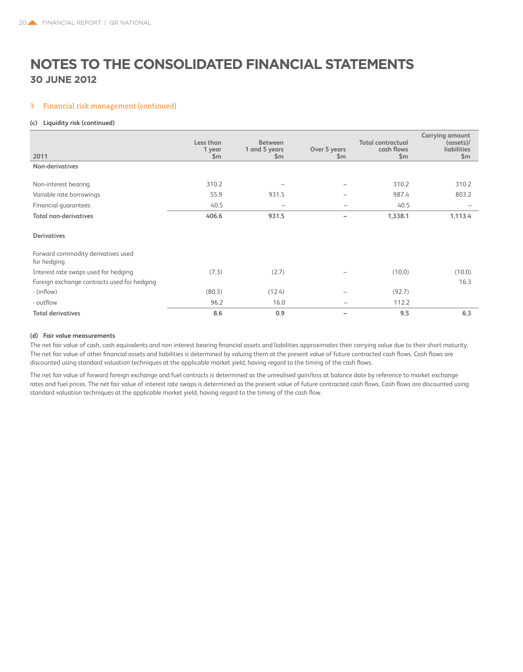### 3 Financial risk management (continued)

### **(c) Liquidity risk (continued)**

| 2011                                              | Less than<br>1 year<br>\$m | <b>Between</b><br>1 and 5 years<br>\$m | Over 5 years<br>\$m | <b>Total contractual</b><br>cash flows<br>\$m\$ | Carrying amount<br>(asserts)<br>liabilities<br>\$m\$ |
|---------------------------------------------------|----------------------------|----------------------------------------|---------------------|-------------------------------------------------|------------------------------------------------------|
| Non-derivatives                                   |                            |                                        |                     |                                                 |                                                      |
|                                                   |                            |                                        |                     |                                                 |                                                      |
| Non-interest bearing                              | 310.2                      |                                        | -                   | 310.2                                           | 310.2                                                |
| Variable rate borrowings                          | 55.9                       | 931.5                                  | -                   | 987.4                                           | 803.2                                                |
| Financial quarantees                              | 40.5                       |                                        | $\qquad \qquad$     | 40.5                                            |                                                      |
| <b>Total non-derivatives</b>                      | 406.6                      | 931.5                                  | -                   | 1,338.1                                         | 1,113.4                                              |
| <b>Derivatives</b>                                |                            |                                        |                     |                                                 |                                                      |
| Forward commodity derivatives used<br>for hedging |                            |                                        |                     |                                                 |                                                      |
| Interest rate swaps used for hedging              | (7.3)                      | (2.7)                                  |                     | (10.0)                                          | (10.0)                                               |
| Foreign exchange contracts used for hedging       |                            |                                        |                     |                                                 | 16.3                                                 |
| - (inflow)                                        | (80.3)                     | (12.4)                                 | -                   | (92.7)                                          |                                                      |
| - outflow                                         | 96.2                       | 16.0                                   |                     | 112.2                                           |                                                      |
| <b>Total derivatives</b>                          | 8.6                        | 0.9                                    | ۰                   | 9.5                                             | 6.3                                                  |

### **(d) Fair value measurements**

The net fair value of cash, cash equivalents and non interest bearing financial assets and liabilities approximates their carrying value due to their short maturity. The net fair value of other financial assets and liabilities is determined by valuing them at the present value of future contracted cash flows. Cash flows are discounted using standard valuation techniques at the applicable market yield, having regard to the timing of the cash flows.

The net fair value of forward foreign exchange and fuel contracts is determined as the unrealised gain/loss at balance date by reference to market exchange rates and fuel prices. The net fair value of interest rate swaps is determined as the present value of future contracted cash flows. Cash flows are discounted using standard valuation techniques at the applicable market yield, having regard to the timing of the cash flow.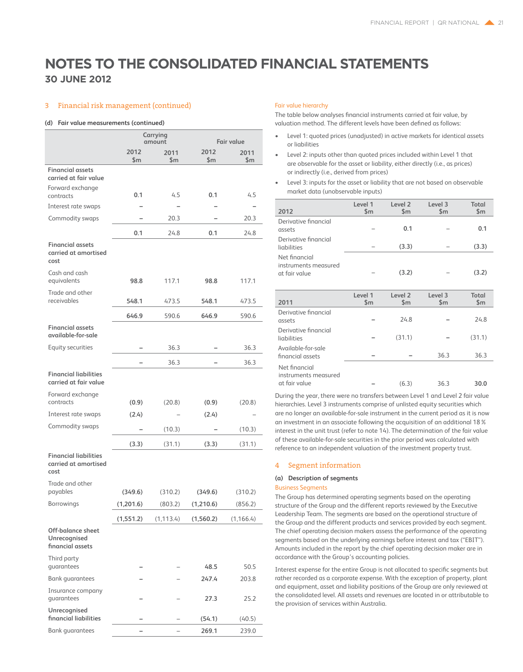### **30 June 2012**

### 3 Financial risk management (continued)

#### **(d) Fair value measurements (continued)**

|                                                              |                      | Carrying<br>amount |                      | <b>Fair value</b>  |  |  |
|--------------------------------------------------------------|----------------------|--------------------|----------------------|--------------------|--|--|
|                                                              | 2012<br>\$m          | 2011<br>\$m\$      | 2012<br>\$m          | 2011<br>\$m        |  |  |
| <b>Financial assets</b><br>carried at fair value             |                      |                    |                      |                    |  |  |
| Forward exchange<br>contracts                                | 0.1                  | 4.5                | 0.1                  | 4.5                |  |  |
| Interest rate swaps                                          |                      |                    |                      |                    |  |  |
| Commodity swaps                                              |                      | 20.3               |                      | 20.3               |  |  |
|                                                              | 0.1                  | 24.8               | 0.1                  | 24.8               |  |  |
| <b>Financial assets</b><br>carried at amortised<br>cost      |                      |                    |                      |                    |  |  |
| Cash and cash<br>equivalents                                 | 98.8                 | 117.1              | 98.8                 | 117.1              |  |  |
| Trade and other<br>receivables                               | 548.1                | 473.5              | 548.1                | 473.5              |  |  |
|                                                              | 646.9                | 590.6              | 646.9                | 590.6              |  |  |
| <b>Financial assets</b><br>available-for-sale                |                      |                    |                      |                    |  |  |
| Equity securities                                            |                      | 36.3               |                      | 36.3               |  |  |
|                                                              |                      | 36.3               |                      | 36.3               |  |  |
| <b>Financial liabilities</b><br>carried at fair value        |                      |                    |                      |                    |  |  |
| Forward exchange<br>contracts                                | (0.9)                | (20.8)             | (0.9)                | (20.8)             |  |  |
| Interest rate swaps                                          | (2.4)                |                    | (2.4)                |                    |  |  |
| Commodity swaps                                              |                      | (10.3)             |                      | (10.3)             |  |  |
|                                                              | (3.3)                | (31.1)             | (3.3)                | (31.1)             |  |  |
| <b>Financial liabilities</b><br>carried at amortised<br>cost |                      |                    |                      |                    |  |  |
| Trade and other                                              |                      |                    |                      |                    |  |  |
| payables<br>Borrowings                                       | (349.6)<br>(1,201.6) | (310.2)<br>(803.2) | (349.6)<br>(1,210.6) | (310.2)<br>(856.2) |  |  |
|                                                              |                      |                    |                      |                    |  |  |
| Off-balance sheet<br>Unrecognised<br>financial assets        | (1,551.2)            | (1, 113.4)         | (1,560.2)            | (1, 166.4)         |  |  |
| Third party<br>guarantees                                    |                      |                    | 48.5                 | 50.5               |  |  |
| <b>Bank quarantees</b>                                       |                      |                    | 247.4                | 203.8              |  |  |
| Insurance company<br>quarantees                              |                      |                    | 27.3                 | 25.2               |  |  |
| Unrecognised<br>financial liabilities                        |                      |                    | (54.1)               | (40.5)             |  |  |
| <b>Bank guarantees</b>                                       |                      |                    | 269.1                | 239.0              |  |  |

#### Fair value hierarchy

The table below analyses financial instruments carried at fair value, by valuation method. The different levels have been defined as follows:

- Level 1: quoted prices (unadjusted) in active markets for identical assets or liabilities
- Level 2: inputs other than quoted prices included within Level 1 that are observable for the asset or liability, either directly (i.e., as prices) or indirectly (i.e., derived from prices)
- Level 3: inputs for the asset or liability that are not based on observable market data (unobservable inputs)

| 2012                                                   | Level 1<br>\$m\$         | Level <sub>2</sub><br>\$m           | Level 3<br>\$m | Total<br>\$m\$ |
|--------------------------------------------------------|--------------------------|-------------------------------------|----------------|----------------|
| Derivative financial<br>assets                         |                          | 0.1                                 |                | 0.1            |
| Derivative financial<br>liabilities                    |                          | (3.3)                               |                | (3.3)          |
| Net financial<br>instruments measured<br>at fair value |                          | (3.2)                               |                | (3.2)          |
| 2011                                                   | Level 1<br>$\mathsf{Sm}$ | Level <sub>2</sub><br>$\mathsf{Sm}$ | Level 3<br>\$m | Total<br>\$m\$ |
| Derivative financial<br>assets                         |                          | 24.8                                |                | 24.8           |
| Derivative financial<br>liabilities                    |                          | (31.1)                              |                | (31.1)         |
| Available-for-sale<br>financial assets                 |                          |                                     | 36.3           | 36.3           |
| Net financial<br>instruments measured<br>at fair value |                          | (6.3)                               | 36.3           | 30.0           |

During the year, there were no transfers between Level 1 and Level 2 fair value hierarchies. Level 3 instruments comprise of unlisted equity securities which are no longer an available-for-sale instrument in the current period as it is now an investment in an associate following the acquisition of an additional 18% interest in the unit trust (refer to note 14). The determination of the fair value of these available-for-sale securities in the prior period was calculated with reference to an independent valuation of the investment property trust.

### 4 Segment information

### **(a) Description of segments**

### Business Segments

The Group has determined operating segments based on the operating structure of the Group and the different reports reviewed by the Executive Leadership Team. The segments are based on the operational structure of the Group and the different products and services provided by each segment. The chief operating decision makers assess the performance of the operating segments based on the underlying earnings before interest and tax ("EBIT"). Amounts included in the report by the chief operating decision maker are in accordance with the Group's accounting policies.

Interest expense for the entire Group is not allocated to specific segments but rather recorded as a corporate expense. With the exception of property, plant and equipment, asset and liability positions of the Group are only reviewed at the consolidated level. All assets and revenues are located in or attributable to the provision of services within Australia.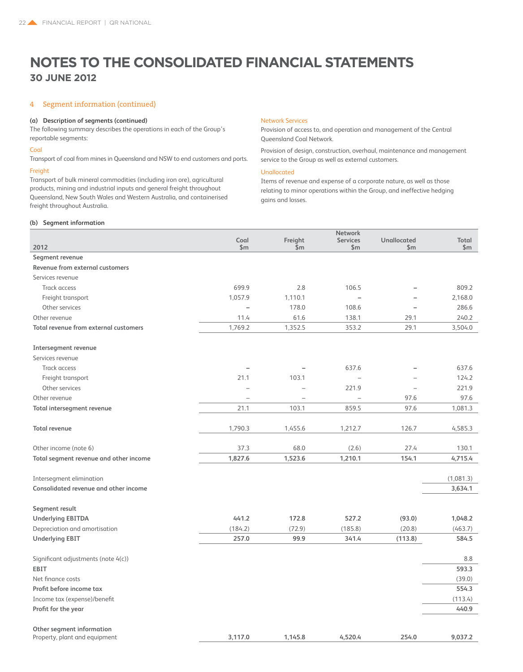### 4 Segment information (continued)

### **(a) Description of segments (continued)**

The following summary describes the operations in each of the Group's reportable segments:

### Coal

Transport of coal from mines in Queensland and NSW to end customers and ports.

### Freight

Transport of bulk mineral commodities (including iron ore), agricultural products, mining and industrial inputs and general freight throughout Queensland, New South Wales and Western Australia, and containerised freight throughout Australia.

### Network Services

Provision of access to, and operation and management of the Central Queensland Coal Network.

Provision of design, construction, overhaul, maintenance and management service to the Group as well as external customers.

### Unallocated

Items of revenue and expense of a corporate nature, as well as those relating to minor operations within the Group, and ineffective hedging gains and losses.

### **(b) Segment information**

|                                        | Coal                     | Freight                  | <b>Network</b><br><b>Services</b> | <b>Unallocated</b> | Total         |
|----------------------------------------|--------------------------|--------------------------|-----------------------------------|--------------------|---------------|
| 2012                                   | $\mathsf{Sm}$            | \$m                      | $\mathsf{Sm}$                     | $\mathsf{Sm}$      | $\mathsf{Sm}$ |
| Segment revenue                        |                          |                          |                                   |                    |               |
| Revenue from external customers        |                          |                          |                                   |                    |               |
| Services revenue                       |                          |                          |                                   |                    |               |
| Track access                           | 699.9                    | 2.8                      | 106.5                             |                    | 809.2         |
| Freight transport                      | 1,057.9                  | 1,110.1                  |                                   |                    | 2,168.0       |
| Other services                         | $\overline{\phantom{0}}$ | 178.0                    | 108.6                             |                    | 286.6         |
| Other revenue                          | 11.4                     | 61.6                     | 138.1                             | 29.1               | 240.2         |
| Total revenue from external customers  | 1,769.2                  | 1,352.5                  | 353.2                             | 29.1               | 3,504.0       |
| <b>Intersegment revenue</b>            |                          |                          |                                   |                    |               |
| Services revenue                       |                          |                          |                                   |                    |               |
| <b>Track access</b>                    |                          |                          | 637.6                             |                    | 637.6         |
| Freight transport                      | 21.1                     | 103.1                    | $\overline{\phantom{0}}$          |                    | 124.2         |
| Other services                         | $\overline{\phantom{0}}$ | $\overline{\phantom{0}}$ | 221.9                             |                    | 221.9         |
| Other revenue                          | ÷                        | $\equiv$                 | L.                                | 97.6               | 97.6          |
| Total intersegment revenue             | 21.1                     | 103.1                    | 859.5                             | 97.6               | 1,081.3       |
| <b>Total revenue</b>                   | 1,790.3                  | 1,455.6                  | 1,212.7                           | 126.7              | 4,585.3       |
| Other income (note 6)                  | 37.3                     | 68.0                     | (2.6)                             | 27.4               | 130.1         |
| Total segment revenue and other income | 1,827.6                  | 1,523.6                  | 1,210.1                           | 154.1              | 4,715.4       |
| Intersegment elimination               |                          |                          |                                   |                    | (1,081.3)     |
| Consolidated revenue and other income  |                          |                          |                                   |                    | 3,634.1       |
| Segment result                         |                          |                          |                                   |                    |               |
| <b>Underlying EBITDA</b>               | 441.2                    | 172.8                    | 527.2                             | (93.0)             | 1,048.2       |
| Depreciation and amortisation          | (184.2)                  | (72.9)                   | (185.8)                           | (20.8)             | (463.7)       |
| <b>Underlying EBIT</b>                 | 257.0                    | 99.9                     | 341.4                             | (113.8)            | 584.5         |
| Significant adjustments (note 4(c))    |                          |                          |                                   |                    | 8.8           |
| <b>EBIT</b>                            |                          |                          |                                   |                    | 593.3         |
| Net finance costs                      |                          |                          |                                   |                    | (39.0)        |
| Profit before income tax               |                          |                          |                                   |                    | 554.3         |
| Income tax (expense)/benefit           |                          |                          |                                   |                    | (113.4)       |
| Profit for the year                    |                          |                          |                                   |                    | 440.9         |
| Other segment information              |                          |                          |                                   |                    |               |
| Property, plant and equipment          | 3,117.0                  | 1,145.8                  | 4,520.4                           | 254.0              | 9,037.2       |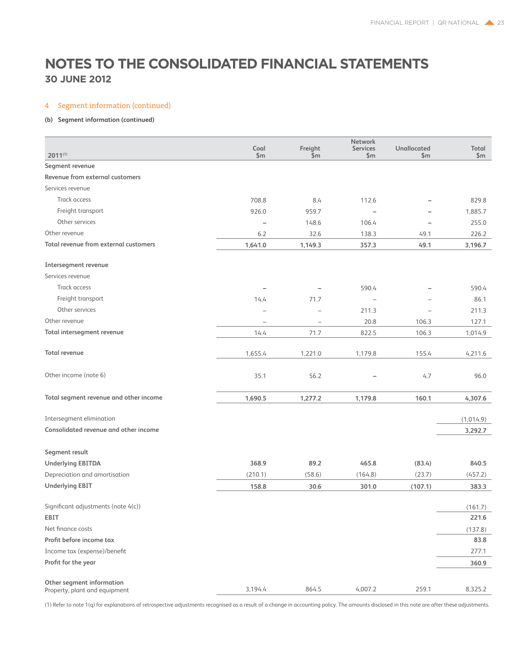### 4 Segment information (continued)

### **(b) Segment information (continued)**

|                                                            |                |                          | Network                  |                          |           |
|------------------------------------------------------------|----------------|--------------------------|--------------------------|--------------------------|-----------|
|                                                            | Coal           | Freight                  | <b>Services</b>          | <b>Unallocated</b>       | Total     |
| $2011^{(1)}$                                               | \$m            | \$m\$                    | \$m\$                    | $\mathsf{Sm}$            | \$m\$     |
| Segment revenue                                            |                |                          |                          |                          |           |
| Revenue from external customers                            |                |                          |                          |                          |           |
| Services revenue                                           |                |                          |                          |                          |           |
| Track access                                               | 708.8          | 8.4                      | 112.6                    | $\overline{\phantom{0}}$ | 829.8     |
| Freight transport                                          | 926.0          | 959.7                    | $\overline{a}$           |                          | 1,885.7   |
| Other services                                             | $\overline{a}$ | 148.6                    | 106.4                    |                          | 255.0     |
| Other revenue                                              | 6.2            | 32.6                     | 138.3                    | 49.1                     | 226.2     |
| Total revenue from external customers                      | 1,641.0        | 1,149.3                  | 357.3                    | 49.1                     | 3,196.7   |
| Intersegment revenue                                       |                |                          |                          |                          |           |
| Services revenue                                           |                |                          |                          |                          |           |
| Track access                                               |                |                          | 590.4                    |                          | 590.4     |
| Freight transport                                          | 14.4           | 71.7                     | $\overline{\phantom{0}}$ |                          | 86.1      |
| Other services                                             |                | $\overline{\phantom{0}}$ | 211.3                    |                          | 211.3     |
| Other revenue                                              |                | $\qquad \qquad -$        | 20.8                     | 106.3                    | 127.1     |
| Total intersegment revenue                                 | 14.4           | 71.7                     | 822.5                    | 106.3                    | 1,014.9   |
| <b>Total revenue</b>                                       | 1,655.4        | 1,221.0                  | 1,179.8                  | 155.4                    | 4,211.6   |
| Other income (note 6)                                      | 35.1           | 56.2                     |                          | 4.7                      | 96.0      |
| Total segment revenue and other income                     | 1,690.5        | 1,277.2                  | 1,179.8                  | 160.1                    | 4,307.6   |
| Intersegment elimination                                   |                |                          |                          |                          | (1,014.9) |
| Consolidated revenue and other income                      |                |                          |                          |                          | 3,292.7   |
|                                                            |                |                          |                          |                          |           |
| Segment result                                             |                |                          |                          |                          |           |
| <b>Underlying EBITDA</b>                                   | 368.9          | 89.2                     | 465.8                    | (83.4)                   | 840.5     |
| Depreciation and amortisation                              | (210.1)        | (58.6)                   | (164.8)                  | (23.7)                   | (457.2)   |
| <b>Underlying EBIT</b>                                     | 158.8          | 30.6                     | 301.0                    | (107.1)                  | 383.3     |
| Significant adjustments (note 4(c))                        |                |                          |                          |                          | (161.7)   |
| EBIT                                                       |                |                          |                          |                          | 221.6     |
| Net finance costs                                          |                |                          |                          |                          | (137.8)   |
| Profit before income tax                                   |                |                          |                          |                          | 83.8      |
| Income tax (expense)/benefit                               |                |                          |                          |                          | 277.1     |
| Profit for the year                                        |                |                          |                          |                          | 360.9     |
| Other segment information<br>Property, plant and equipment | 3.194.4        | 864.5                    | 4,007.2                  | 259.1                    | 8,325.2   |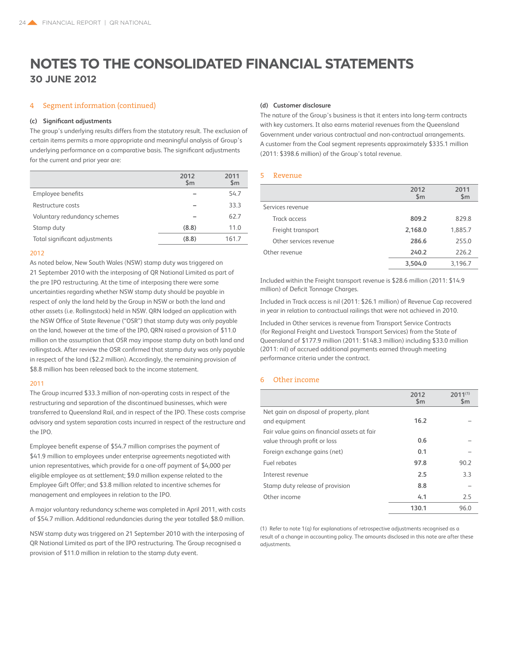### 4 Segment information (continued)

### **(c) Significant adjustments**

The group's underlying results differs from the statutory result. The exclusion of certain items permits a more appropriate and meaningful analysis of Group's underlying performance on a comparative basis. The significant adjustments for the current and prior year are:

|                               | 2012<br>$\mathsf{Sm}$ | 2011<br>$\mathsf{Sm}$ |
|-------------------------------|-----------------------|-----------------------|
| Employee benefits             |                       | 54.7                  |
| Restructure costs             |                       | 33.3                  |
| Voluntary redundancy schemes  |                       | 62.7                  |
| Stamp duty                    | (8.8)                 | 11.0                  |
| Total significant adjustments | (8.8)                 | 161.7                 |

### 2012

As noted below, New South Wales (NSW) stamp duty was triggered on 21 September 2010 with the interposing of QR National Limited as part of the pre IPO restructuring. At the time of interposing there were some uncertainties regarding whether NSW stamp duty should be payable in respect of only the land held by the Group in NSW or both the land and other assets (i.e. Rollingstock) held in NSW. QRN lodged an application with the NSW Office of State Revenue ("OSR") that stamp duty was only payable on the land, however at the time of the IPO, QRN raised a provision of \$11.0 million on the assumption that OSR may impose stamp duty on both land and rollingstock. After review the OSR confirmed that stamp duty was only payable in respect of the land (\$2.2 million). Accordingly, the remaining provision of \$8.8 million has been released back to the income statement.

### 2011

The Group incurred \$33.3 million of non-operating costs in respect of the restructuring and separation of the discontinued businesses, which were transferred to Queensland Rail, and in respect of the IPO. These costs comprise advisory and system separation costs incurred in respect of the restructure and the IPO.

Employee benefit expense of \$54.7 million comprises the payment of \$41.9 million to employees under enterprise agreements negotiated with union representatives, which provide for a one-off payment of \$4,000 per eligible employee as at settlement; \$9.0 million expense related to the Employee Gift Offer; and \$3.8 million related to incentive schemes for management and employees in relation to the IPO.

A major voluntary redundancy scheme was completed in April 2011, with costs of \$54.7 million. Additional redundancies during the year totalled \$8.0 million.

NSW stamp duty was triggered on 21 September 2010 with the interposing of QR National Limited as part of the IPO restructuring. The Group recognised a provision of \$11.0 million in relation to the stamp duty event.

#### **(d) Customer disclosure**

The nature of the Group's business is that it enters into long-term contracts with key customers. It also earns material revenues from the Queensland Government under various contractual and non-contractual arrangements. A customer from the Coal segment represents approximately \$335.1 million (2011: \$398.6 million) of the Group's total revenue.

### 5 Revenue

|                        | 2012<br>\$m | 2011<br>\$m\$ |
|------------------------|-------------|---------------|
| Services revenue       |             |               |
| Track access           | 809.2       | 829.8         |
| Freight transport      | 2,168.0     | 1,885.7       |
| Other services revenue | 286.6       | 255.0         |
| Other revenue          | 240.2       | 226.2         |
|                        | 3.504.0     | 3.196.7       |

Included within the Freight transport revenue is \$28.6 million (2011: \$14.9 million) of Deficit Tonnage Charges.

Included in Track access is nil (2011: \$26.1 million) of Revenue Cap recovered in year in relation to contractual railings that were not achieved in 2010.

Included in Other services is revenue from Transport Service Contracts (for Regional Freight and Livestock Transport Services) from the State of Queensland of \$177.9 million (2011: \$148.3 million) including \$33.0 million (2011: nil) of accrued additional payments earned through meeting performance criteria under the contract.

### 6 Other income

|                                              | 2012<br>$\mathsf{Sm}$ | $2011^{(1)}$<br>$\mathsf{Sm}$ |
|----------------------------------------------|-----------------------|-------------------------------|
| Net gain on disposal of property, plant      |                       |                               |
| and equipment                                | 16.2                  |                               |
| Fair value gains on financial assets at fair |                       |                               |
| value through profit or loss                 | 0.6                   |                               |
| Foreign exchange gains (net)                 | 0.1                   |                               |
| Fuel rebates                                 | 97.8                  | 90.2                          |
| Interest revenue                             | 2.5                   | 33                            |
| Stamp duty release of provision              | 8.8                   |                               |
| Other income                                 | 4.1                   | 2.5                           |
|                                              | 130.1                 | 96.0                          |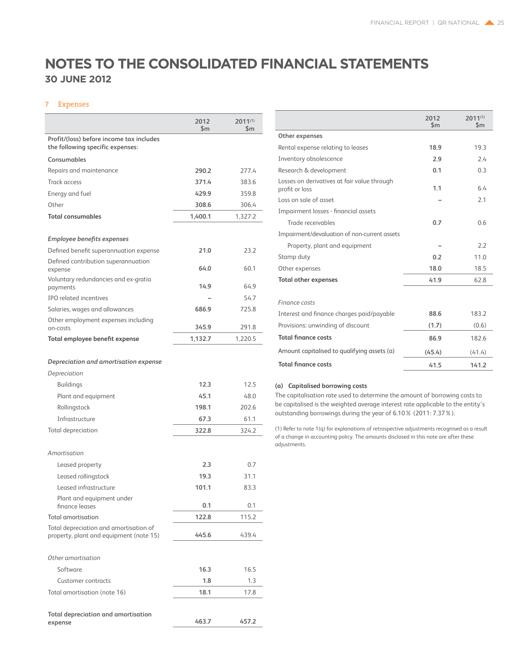### 7 Expenses

|                                                                                   | 2012<br>\$m | $2011^{(1)}$<br>\$m |
|-----------------------------------------------------------------------------------|-------------|---------------------|
| Profit/(loss) before income tax includes<br>the following specific expenses:      |             |                     |
| Consumables                                                                       |             |                     |
| Repairs and maintenance                                                           | 290.2       | 277.4               |
| <b>Track access</b>                                                               | 371.4       | 383.6               |
| Energy and fuel                                                                   | 429.9       | 359.8               |
| Other                                                                             | 308.6       | 306.4               |
| <b>Total consumables</b>                                                          | 1,400.1     | 1.327.2             |
| Employee benefits expenses                                                        |             |                     |
| Defined benefit superannuation expense                                            | 21.0        | 23.2                |
| Defined contribution superannuation<br>expense                                    | 64.0        | 60.1                |
| Voluntary redundancies and ex-gratia                                              |             |                     |
| payments                                                                          | 14.9        | 64.9                |
| <b>IPO related incentives</b>                                                     |             | 54.7                |
| Salaries, wages and allowances                                                    | 686.9       | 725.8               |
| Other employment expenses including<br>on-costs                                   | 345.9       | 291.8               |
| Total employee benefit expense                                                    | 1,132.7     | 1.220.5             |
| Depreciation and amortisation expense<br>Depreciation                             |             |                     |
| <b>Buildings</b>                                                                  | 12.3        | 12.5                |
| Plant and equipment                                                               | 45.1        | 48.0                |
| Rollingstock                                                                      | 198.1       | 202.6               |
| Infrastructure                                                                    | 67.3        | 61.1                |
| <b>Total depreciation</b>                                                         | 322.8       | 324.2               |
| Amortisation                                                                      |             |                     |
| Leased property                                                                   | 2.3         | 0.7                 |
| Leased rollingstock                                                               | 19.3        | 31.1                |
| Leased infrastructure                                                             | 101.1       | 83.3                |
| Plant and equipment under<br>finance leases                                       | 0.1         | 0.1                 |
| <b>Total amortisation</b>                                                         | 122.8       | 115.2               |
| Total depreciation and amortisation of<br>property, plant and equipment (note 15) | 445.6       | 439.4               |
| Other amortisation                                                                |             |                     |
| Software                                                                          | 16.3        | 16.5                |
| <b>Customer contracts</b>                                                         | 1.8         | 1.3                 |
| Total amortisation (note 16)                                                      | 18.1        | 17.8                |
| Total depreciation and amortisation<br>expense                                    | 463.7       | 457.2               |
|                                                                                   |             |                     |

|                                                               | 2012<br>$\mathsf{Sm}$ | $2011^{(1)}$<br>$\mathsf{Sm}$ |
|---------------------------------------------------------------|-----------------------|-------------------------------|
| Other expenses                                                |                       |                               |
| Rental expense relating to leases                             | 18.9                  | 19.3                          |
| Inventory obsolescence                                        | 2.9                   | 24                            |
| Research & development                                        | 0.1                   | 0.3                           |
| Losses on derivatives at fair value through<br>profit or loss | 1.1                   | 64                            |
| Loss on sale of asset                                         |                       | 2.1                           |
| Impairment losses - financial assets                          |                       |                               |
| Trade receivables                                             | 0.7                   | 0.6                           |
| Impairment/devaluation of non-current assets                  |                       |                               |
| Property, plant and equipment                                 |                       | 2.2                           |
| Stamp duty                                                    | 0.2                   | 11.0                          |
| Other expenses                                                | 18.0                  | 18.5                          |
| <b>Total other expenses</b>                                   | 41.9                  | 62.8                          |
| Finance costs                                                 |                       |                               |
| Interest and finance charges paid/payable                     | 88.6                  | 183.2                         |
| Provisions: unwinding of discount                             | (1.7)                 | (0.6)                         |
| <b>Total finance costs</b>                                    | 86.9                  | 182.6                         |
| Amount capitalised to qualifying assets (a)                   | (45.4)                | (41.4)                        |
| <b>Total finance costs</b>                                    | 41.5                  | 141.2                         |

### **(a) Capitalised borrowing costs**

The capitalisation rate used to determine the amount of borrowing costs to be capitalised is the weighted average interest rate applicable to the entity's outstanding borrowings during the year of 6.10% (2011: 7.37%).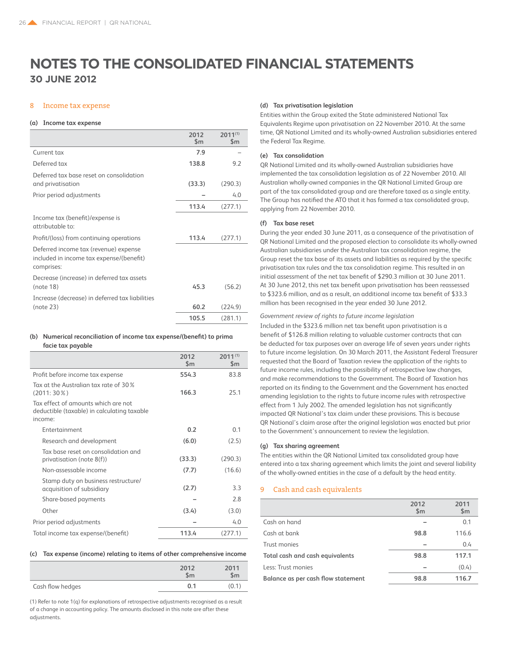### 8 Income tax expense

#### **(a) Income tax expense**

|                                                                                                 | 2012<br>$\mathsf{Sm}$ | $2011^{(1)}$<br>\$m\$ |
|-------------------------------------------------------------------------------------------------|-----------------------|-----------------------|
| Current tax                                                                                     | 7.9                   |                       |
| Deferred tax                                                                                    | 138.8                 | 9.2                   |
| Deferred tax base reset on consolidation                                                        |                       |                       |
| and privatisation                                                                               | (33.3)                | (290.3)               |
| Prior period adjustments                                                                        |                       | 4.0                   |
|                                                                                                 | 113.4                 | (277.1)               |
| Income tax (benefit)/expense is<br>attributable to:                                             |                       |                       |
| Profit/(loss) from continuing operations                                                        | 113.4                 | (277.1)               |
| Deferred income tax (revenue) expense<br>included in income tax expense/(benefit)<br>comprises: |                       |                       |
| Decrease (increase) in deferred tax assets<br>(note 18)                                         | 45.3                  | (56.2)                |
| Increase (decrease) in deferred tax liabilities                                                 |                       |                       |
| (note 23)                                                                                       | 60.2                  | (224.9)               |
|                                                                                                 | 105.5                 | (281.1)               |

### **(b) Numerical reconciliation of income tax expense/(benefit) to prima facie tax payable**

|                                                                                               | 2012          | $2011^{(1)}$   |
|-----------------------------------------------------------------------------------------------|---------------|----------------|
|                                                                                               | $\mathsf{Sm}$ | $\mathsf{Sm}$  |
| Profit before income tax expense                                                              | 554.3         | 83.8           |
| Tax at the Australian tax rate of 30 %<br>$(2011:30\%)$                                       | 166.3         | 25.1           |
| Tax effect of amounts which are not<br>deductible (taxable) in calculating taxable<br>income: |               |                |
| <b>Entertainment</b>                                                                          | 0.2           | 0 <sub>1</sub> |
| Research and development                                                                      | (6.0)         | (2.5)          |
| Tax hase reset on consolidation and<br>privatisation (note 8(f))                              | (33.3)        | (290.3)        |
| Non-assessable income                                                                         | (7.7)         | (16.6)         |
| Stamp duty on business restructure/<br>acquisition of subsidiary                              | (2.7)         | 3.3            |
| Share-based payments                                                                          |               | 2.8            |
| Other                                                                                         | (3.4)         | (3.0)          |
| Prior period adjustments                                                                      |               | 4.0            |
| Total income tax expense/(benefit)                                                            | 113.4         | (277.1)        |
|                                                                                               |               |                |

### **(c) Tax expense (income) relating to items of other comprehensive income**

|                  | 2012<br>\$m | 2011<br>$\mathsf{Sm}$ |
|------------------|-------------|-----------------------|
| Cash flow hedges | 0.1         | (0.1)                 |

(1) Refer to note 1(q) for explanations of retrospective adjustments recognised as a result of a change in accounting policy. The amounts disclosed in this note are after these adjustments.

### **(d) Tax privatisation legislation**

Entities within the Group exited the State administered National Tax Equivalents Regime upon privatisation on 22 November 2010. At the same time, QR National Limited and its wholly-owned Australian subsidiaries entered the Federal Tax Regime.

### **(e) Tax consolidation**

QR National Limited and its wholly-owned Australian subsidiaries have implemented the tax consolidation legislation as of 22 November 2010. All Australian wholly-owned companies in the QR National Limited Group are part of the tax consolidated group and are therefore taxed as a single entity. The Group has notified the ATO that it has formed a tax consolidated group, applying from 22 November 2010.

### **(f) Tax base reset**

During the year ended 30 June 2011, as a consequence of the privatisation of QR National Limited and the proposed election to consolidate its wholly-owned Australian subsidiaries under the Australian tax consolidation regime, the Group reset the tax base of its assets and liabilities as required by the specific privatisation tax rules and the tax consolidation regime. This resulted in an initial assessment of the net tax benefit of \$290.3 million at 30 June 2011. At 30 June 2012, this net tax benefit upon privatisation has been reassessed to \$323.6 million, and as a result, an additional income tax benefit of \$33.3 million has been recognised in the year ended 30 June 2012.

### *Government review of rights to future income legislation*

Included in the \$323.6 million net tax benefit upon privatisation is a benefit of \$126.8 million relating to valuable customer contracts that can be deducted for tax purposes over an average life of seven years under rights to future income legislation. On 30 March 2011, the Assistant Federal Treasurer requested that the Board of Taxation review the application of the rights to future income rules, including the possibility of retrospective law changes, and make recommendations to the Government. The Board of Taxation has reported on its finding to the Government and the Government has enacted amending legislation to the rights to future income rules with retrospective effect from 1 July 2002. The amended legislation has not significantly impacted QR National's tax claim under these provisions. This is because QR National's claim arose after the original legislation was enacted but prior to the Government's announcement to review the legislation.

### **(g) Tax sharing agreement**

The entities within the QR National Limited tax consolidated group have entered into a tax sharing agreement which limits the joint and several liability of the wholly-owned entities in the case of a default by the head entity.

### 9 Cash and cash equivalents

|                                    | 2012<br>$\mathsf{Sm}$ | 2011<br>\$m\$ |
|------------------------------------|-----------------------|---------------|
| Cash on hand                       |                       | 0.1           |
| Cash at bank                       | 98.8                  | 116.6         |
| Trust monies                       |                       | 0.4           |
| Total cash and cash equivalents    | 98.8                  | 117.1         |
| Less: Trust monies                 |                       | (0.4)         |
| Balance as per cash flow statement | 98.8                  | 116.7         |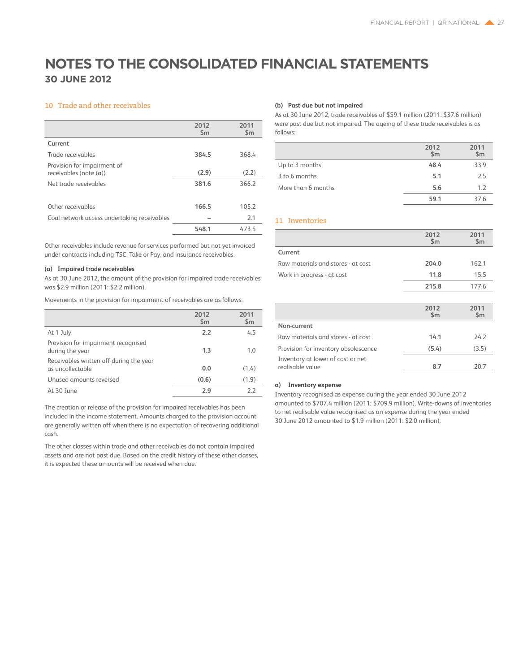### 10 Trade and other receivables

|                                                          | 2012<br>$\mathsf{Sm}$ | 2011<br>$\mathsf{Sm}$ |
|----------------------------------------------------------|-----------------------|-----------------------|
| Current                                                  |                       |                       |
| Trade receivables                                        | 384.5                 | 368.4                 |
| Provision for impairment of<br>receivables (note $(a)$ ) | (2.9)                 | (2.2)                 |
| Net trade receivables                                    | 381.6                 | 366.2                 |
|                                                          |                       |                       |
| Other receivables                                        | 166.5                 | 105.2                 |
| Coal network access undertaking receivables              |                       | 2.1                   |
|                                                          | 548.1                 | 473.5                 |

Other receivables include revenue for services performed but not yet invoiced under contracts including TSC, Take or Pay, and insurance receivables.

### **(a) Impaired trade receivables**

As at 30 June 2012, the amount of the provision for impaired trade receivables was \$2.9 million (2011: \$2.2 million).

Movements in the provision for impairment of receivables are as follows:

|                                                             | 2012<br>$\mathsf{Sm}$ | 2011<br>\$m |
|-------------------------------------------------------------|-----------------------|-------------|
| At 1 July                                                   | 2.2                   | 4.5         |
| Provision for impairment recognised<br>during the year      | 1.3                   | 1.0         |
| Receivables written off during the year<br>as uncollectable | 0.0                   | (1.4)       |
| Unused amounts reversed                                     | (0.6)                 | (1.9)       |
| At 30 June                                                  | 2.9                   | 22          |

The creation or release of the provision for impaired receivables has been included in the income statement. Amounts charged to the provision account are generally written off when there is no expectation of recovering additional cash.

The other classes within trade and other receivables do not contain impaired assets and are not past due. Based on the credit history of these other classes, it is expected these amounts will be received when due.

### **(b) Past due but not impaired**

As at 30 June 2012, trade receivables of \$59.1 million (2011: \$37.6 million) were past due but not impaired. The ageing of these trade receivables is as follows:

|                    | 2012<br>$\mathsf{Sm}$ | 2011<br>\$m |
|--------------------|-----------------------|-------------|
| Up to 3 months     | 48.4                  | 33.9        |
| 3 to 6 months      | 5.1                   | 2.5         |
| More than 6 months | 5.6                   | 1.2         |
|                    | 59.1                  | 376         |

### 11 Inventories

|                                      | 2012<br>$\mathsf{Sm}$ | 2011<br>$\mathsf{Sm}$ |
|--------------------------------------|-----------------------|-----------------------|
| Current                              |                       |                       |
| Raw materials and stores - at cost   | 204.0                 | 162.1                 |
| Work in progress - at cost           | 11.8                  | 15.5                  |
|                                      | 215.8                 | 177.6                 |
|                                      |                       |                       |
|                                      |                       |                       |
|                                      | 2012<br>$\mathsf{Sm}$ | 2011<br>$\mathsf{Sm}$ |
| Non-current                          |                       |                       |
| Raw materials and stores - at cost   | 14.1                  | 242                   |
| Provision for inventory obsolescence | (5.4)                 | (3.5)                 |

### **a) Inventory expense**

Inventory recognised as expense during the year ended 30 June 2012 amounted to \$707.4 million (2011: \$709.9 million). Write-downs of inventories to net realisable value recognised as an expense during the year ended 30 June 2012 amounted to \$1.9 million (2011: \$2.0 million).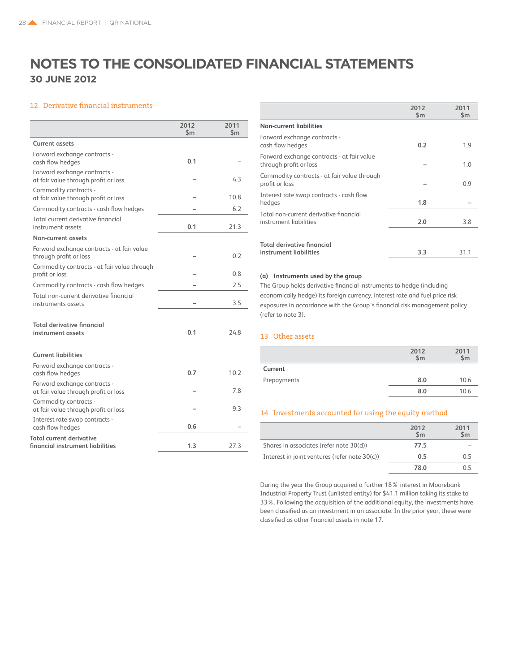### 12 Derivative financial instruments

|                                                                      | 2012<br>\$m | 2011<br>$\mathsf{Sm}$ |
|----------------------------------------------------------------------|-------------|-----------------------|
| <b>Current assets</b>                                                |             |                       |
| Forward exchange contracts -<br>cash flow hedges                     | 0.1         |                       |
| Forward exchange contracts -<br>at fair value through profit or loss |             | 4.3                   |
| Commodity contracts -<br>at fair value through profit or loss        |             | 10.8                  |
| Commodity contracts - cash flow hedges                               |             | 6.2                   |
| Total current derivative financial<br>instrument assets              | 0.1         | 21.3                  |
| Non-current assets                                                   |             |                       |
| Forward exchange contracts - at fair value<br>through profit or loss |             | 0.2                   |
| Commodity contracts - at fair value through<br>profit or loss        |             | 0.8                   |
| Commodity contracts - cash flow hedges                               |             | 2.5                   |
| Total non-current derivative financial<br>instruments assets         |             | 3.5                   |
|                                                                      |             |                       |
| <b>Total derivative financial</b><br>instrument assets               | 0.1         | 24.8                  |
| <b>Current liabilities</b>                                           |             |                       |
| Forward exchange contracts -<br>cash flow hedges                     | 0.7         | 10.2                  |
| Forward exchange contracts -<br>at fair value through profit or loss |             | 7.8                   |
| Commodity contracts -<br>at fair value through profit or loss        |             | 9.3                   |
| Interest rate swap contracts -<br>cash flow hedges                   | 0.6         |                       |
| Total current derivative<br>financial instrument liabilities         | 1.3         | 27.3                  |

|                                                                      | 2012<br>$\mathsf{Sm}$ | 2011<br>$\mathsf{Sm}$ |
|----------------------------------------------------------------------|-----------------------|-----------------------|
| <b>Non-current liabilities</b>                                       |                       |                       |
| Forward exchange contracts -<br>cash flow hedges                     | 0.2                   | 1.9                   |
| Forward exchange contracts - at fair value<br>through profit or loss |                       | 1.0                   |
| Commodity contracts - at fair value through<br>profit or loss        |                       | 0.9                   |
| Interest rate swap contracts - cash flow<br>hedges                   | 1.8                   |                       |
| Total non-current derivative financial<br>instrument liabilities     | 2.0                   | 3.8                   |
| <b>Total derivative financial</b>                                    |                       |                       |
| instrument liabilities                                               | 3.3                   | 31.1                  |

### **(a) Instruments used by the group**

The Group holds derivative financial instruments to hedge (including economically hedge) its foreign currency, interest rate and fuel price risk exposures in accordance with the Group's financial risk management policy (refer to note 3).

### 13 Other assets

|             | 2012<br>\$m | 2011<br>\$m |
|-------------|-------------|-------------|
| Current     |             |             |
| Prepayments | 8.0         | 10.6        |
|             | 8.0         | 10.6        |

### 14 Investments accounted for using the equity method

|                                               | 2012<br>\$m | 2011<br>$\mathsf{Sm}$ |
|-----------------------------------------------|-------------|-----------------------|
| Shares in associates (refer note 30(d))       | 77.5        |                       |
| Interest in joint ventures (refer note 30(c)) | 0.5         | O 5                   |
|                                               | 78.0        |                       |

During the year the Group acquired a further 18% interest in Moorebank Industrial Property Trust (unlisted entity) for \$41.1 million taking its stake to 33%. Following the acquisition of the additional equity, the investments have been classified as an investment in an associate. In the prior year, these were classified as other financial assets in note 17.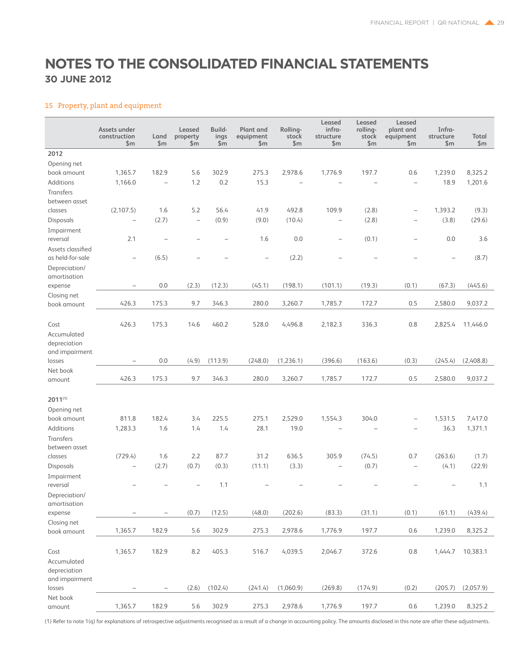### 15 Property, plant and equipment

|                            | Assets under<br>construction<br>\$m | Land<br>\$m\$     | Leased<br>property<br>\$m\$ | Build-<br>ings<br>\$m\$ | Plant and<br>equipment<br>\$m | Rolling-<br>stock<br>\$m | Leased<br>infra-<br>structure<br>\$m\$ | Leased<br>rolling-<br>stock<br>\$m\$ | Leased<br>plant and<br>equipment<br>\$m\$ | Infra-<br>structure<br>\$m\$ | Total<br>\$m\$ |
|----------------------------|-------------------------------------|-------------------|-----------------------------|-------------------------|-------------------------------|--------------------------|----------------------------------------|--------------------------------------|-------------------------------------------|------------------------------|----------------|
| 2012                       |                                     |                   |                             |                         |                               |                          |                                        |                                      |                                           |                              |                |
| Opening net                |                                     |                   |                             |                         |                               |                          |                                        |                                      |                                           |                              |                |
| book amount                | 1,365.7                             | 182.9             | 5.6                         | 302.9                   | 275.3                         | 2,978.6                  | 1,776.9                                | 197.7                                | 0.6                                       | 1,239.0                      | 8,325.2        |
| Additions                  | 1,166.0                             |                   | 1.2                         | 0.2                     | 15.3                          |                          |                                        |                                      | $\overline{\phantom{0}}$                  | 18.9                         | 1,201.6        |
| <b>Transfers</b>           |                                     |                   |                             |                         |                               |                          |                                        |                                      |                                           |                              |                |
| between asset              |                                     |                   |                             |                         |                               |                          |                                        |                                      |                                           |                              |                |
| classes                    | (2,107.5)                           | 1.6               | 5.2                         | 56.4                    | 41.9                          | 492.8                    | 109.9                                  | (2.8)                                | $\overline{\phantom{0}}$                  | 1,393.2                      | (9.3)          |
| Disposals                  |                                     | (2.7)             | $\qquad \qquad -$           | (0.9)                   | (9.0)                         | (10.4)                   | $\qquad \qquad -$                      | (2.8)                                | $\overline{\phantom{0}}$                  | (3.8)                        | (29.6)         |
| Impairment                 |                                     |                   |                             |                         |                               |                          |                                        |                                      |                                           |                              |                |
| reversal                   | 2.1                                 | ÷                 |                             |                         | 1.6                           | 0.0                      | $\qquad \qquad -$                      | (0.1)                                | L,                                        | 0.0                          | 3.6            |
| Assets classified          |                                     |                   |                             |                         |                               |                          |                                        |                                      |                                           |                              |                |
| as held-for-sale           | Ē,                                  | (6.5)             |                             |                         |                               | (2.2)                    |                                        |                                      |                                           |                              | (8.7)          |
| Depreciation/              |                                     |                   |                             |                         |                               |                          |                                        |                                      |                                           |                              |                |
| amortisation               |                                     |                   |                             |                         |                               |                          |                                        |                                      |                                           |                              |                |
| expense                    | ۰                                   | 0.0               | (2.3)                       | (12.3)                  | (45.1)                        | (198.1)                  | (101.1)                                | (19.3)                               | (0.1)                                     | (67.3)                       | (445.6)        |
| Closing net                |                                     |                   |                             |                         |                               |                          |                                        |                                      |                                           |                              |                |
| book amount                | 426.3                               | 175.3             | 9.7                         | 346.3                   | 280.0                         | 3,260.7                  | 1,785.7                                | 172.7                                | 0.5                                       | 2,580.0                      | 9,037.2        |
|                            |                                     |                   |                             |                         |                               |                          |                                        |                                      |                                           |                              |                |
| Cost                       | 426.3                               | 175.3             | 14.6                        | 460.2                   | 528.0                         | 4,496.8                  | 2,182.3                                | 336.3                                | 0.8                                       | 2,825.4                      | 11,446.0       |
| Accumulated                |                                     |                   |                             |                         |                               |                          |                                        |                                      |                                           |                              |                |
| depreciation               |                                     |                   |                             |                         |                               |                          |                                        |                                      |                                           |                              |                |
| and impairment             |                                     |                   |                             |                         |                               |                          |                                        |                                      |                                           |                              |                |
| losses                     | $\overline{\phantom{0}}$            | 0.0               | (4.9)                       | (113.9)                 | (248.0)                       | (1,236.1)                | (396.6)                                | (163.6)                              | (0.3)                                     | (245.4)                      | (2,408.8)      |
| Net book                   |                                     |                   |                             |                         |                               |                          |                                        |                                      |                                           |                              |                |
| amount                     | 426.3                               | 175.3             | 9.7                         | 346.3                   | 280.0                         | 3,260.7                  | 1,785.7                                | 172.7                                | 0.5                                       | 2,580.0                      | 9,037.2        |
|                            |                                     |                   |                             |                         |                               |                          |                                        |                                      |                                           |                              |                |
| $2011^{(1)}$               |                                     |                   |                             |                         |                               |                          |                                        |                                      |                                           |                              |                |
| Opening net                |                                     |                   |                             |                         |                               |                          |                                        |                                      |                                           |                              |                |
| book amount                | 811.8                               | 182.4             | 3.4                         | 225.5                   | 275.1                         | 2,529.0                  | 1,554.3                                | 304.0                                |                                           | 1,531.5                      | 7,417.0        |
| Additions                  | 1,283.3                             | 1.6               | 1.4                         | 1.4                     | 28.1                          | 19.0                     |                                        |                                      |                                           | 36.3                         | 1,371.1        |
| Transfers                  |                                     |                   |                             |                         |                               |                          |                                        |                                      |                                           |                              |                |
| between asset              |                                     |                   |                             |                         |                               |                          |                                        |                                      |                                           |                              |                |
| classes                    | (729.4)                             | 1.6               | 2.2                         | 87.7                    | 31.2                          | 636.5                    | 305.9                                  | (74.5)                               | 0.7                                       | (263.6)                      | (1.7)          |
| Disposals                  | $\overline{\phantom{0}}$            | (2.7)             | (0.7)                       | (0.3)                   | (11.1)                        | (3.3)                    | $\overline{\phantom{0}}$               | (0.7)                                | $\overline{\phantom{0}}$                  | (4.1)                        | (22.9)         |
| Impairment                 |                                     |                   |                             |                         |                               |                          |                                        |                                      |                                           |                              |                |
| reversal                   |                                     |                   |                             | 1.1                     |                               |                          |                                        |                                      |                                           |                              | 1.1            |
| Depreciation/              |                                     |                   |                             |                         |                               |                          |                                        |                                      |                                           |                              |                |
| amortisation               |                                     |                   |                             |                         |                               |                          |                                        |                                      |                                           |                              |                |
| expense                    |                                     |                   | (0.7)                       | (12.5)                  | (48.0)                        | (202.6)                  | (83.3)                                 | (31.1)                               | (0.1)                                     | (61.1)                       | (439.4)        |
| Closing net<br>book amount | 1,365.7                             | 182.9             | 5.6                         | 302.9                   | 275.3                         | 2,978.6                  | 1,776.9                                | 197.7                                | 0.6                                       | 1,239.0                      | 8,325.2        |
|                            |                                     |                   |                             |                         |                               |                          |                                        |                                      |                                           |                              |                |
| Cost                       | 1,365.7                             | 182.9             | 8.2                         | 405.3                   | 516.7                         | 4,039.5                  | 2,046.7                                | 372.6                                | 0.8                                       | 1,444.7                      | 10,383.1       |
| Accumulated                |                                     |                   |                             |                         |                               |                          |                                        |                                      |                                           |                              |                |
| depreciation               |                                     |                   |                             |                         |                               |                          |                                        |                                      |                                           |                              |                |
| and impairment             |                                     |                   |                             |                         |                               |                          |                                        |                                      |                                           |                              |                |
| losses                     |                                     | $\qquad \qquad -$ | (2.6)                       | (102.4)                 | (241.4)                       | (1,060.9)                | (269.8)                                | (174.9)                              | (0.2)                                     | (205.7)                      | (2,057.9)      |
| Net book                   |                                     |                   |                             |                         |                               |                          |                                        |                                      |                                           |                              |                |
| amount                     | 1,365.7                             | 182.9             | 5.6                         | 302.9                   | 275.3                         | 2,978.6                  | 1,776.9                                | 197.7                                | 0.6                                       | 1,239.0                      | 8,325.2        |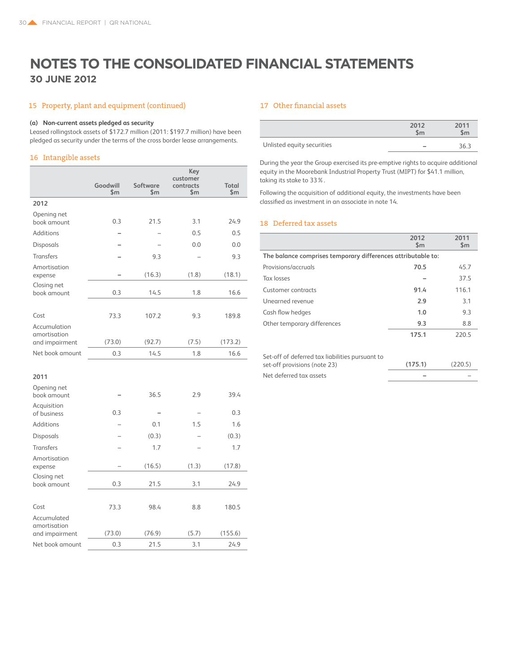### 15 Property, plant and equipment (continued)

### **(a) Non-current assets pledged as security**

Leased rollingstock assets of \$172.7 million (2011: \$197.7 million) have been pledged as security under the terms of the cross border lease arrangements.

### 16 Intangible assets

|                                               | Goodwill<br>$\mathsf{Sm}$ | Software<br>\$m\$ | Key<br>customer<br>contracts<br>\$m | <b>Total</b><br>$\mathsf{Sm}$ |
|-----------------------------------------------|---------------------------|-------------------|-------------------------------------|-------------------------------|
| 2012                                          |                           |                   |                                     |                               |
| Opening net<br>book amount                    | 0.3                       | 21.5              | 3.1                                 | 24.9                          |
| Additions                                     |                           |                   | 0.5                                 | 0.5                           |
| Disposals                                     |                           |                   | 0.0                                 | 0.0                           |
| <b>Transfers</b>                              |                           | 9.3               |                                     | 9.3                           |
| Amortisation<br>expense                       |                           | (16.3)            | (1.8)                               | (18.1)                        |
| Closing net<br>book amount                    | 0.3                       | 14.5              | 1.8                                 | 16.6                          |
|                                               |                           |                   |                                     |                               |
| Cost                                          | 73.3                      | 107.2             | 9.3                                 | 189.8                         |
| Accumulation<br>amortisation                  | (73.0)                    | (92.7)            | (7.5)                               | (173.2)                       |
| and impairment<br>Net book amount             | 0.3                       | 14.5              | 1.8                                 | 16.6                          |
|                                               |                           |                   |                                     |                               |
| 2011                                          |                           |                   |                                     |                               |
| Opening net<br>book amount                    |                           | 36.5              | 2.9                                 | 39.4                          |
| Acquisition<br>of business                    | 0.3                       |                   |                                     | 0.3                           |
| <b>Additions</b>                              |                           | 0.1               | 1.5                                 | 1.6                           |
| Disposals                                     |                           | (0.3)             |                                     | (0.3)                         |
| <b>Transfers</b>                              |                           | 1.7               |                                     | 1.7                           |
| Amortisation<br>expense                       |                           | (16.5)            | (1.3)                               | (17.8)                        |
| Closing net<br>book amount                    | 0.3                       | 21.5              | 3.1                                 | 24.9                          |
|                                               |                           |                   |                                     |                               |
| Cost                                          | 73.3                      | 98.4              | 8.8                                 | 180.5                         |
| Accumulated<br>amortisation<br>and impairment | (73.0)                    | (76.9)            | (5.7)                               | (155.6)                       |
| Net book amount                               | 0.3                       | 21.5              | 3.1                                 | 24.9                          |

### 17 Other financial assets

|                            | 2012<br>$\mathsf{Sm}$    | 2011<br>\$m |
|----------------------------|--------------------------|-------------|
| Unlisted equity securities | $\overline{\phantom{a}}$ | $36 -$      |

During the year the Group exercised its pre-emptive rights to acquire additional equity in the Moorebank Industrial Property Trust (MIPT) for \$41.1 million, taking its stake to 33%.

Following the acquisition of additional equity, the investments have been classified as investment in an associate in note 14.

### 18 Deferred tax assets

|                                                              | 2012<br>$\mathsf{Sm}$ | 2011<br>$\mathsf{Sm}$ |
|--------------------------------------------------------------|-----------------------|-----------------------|
| The balance comprises temporary differences attributable to: |                       |                       |
| Provisions/accruals                                          | 70.5                  | 45.7                  |
| <b>Tax losses</b>                                            |                       | 375                   |
| Customer contracts                                           | 91.4                  | 116.1                 |
| Unearned revenue                                             | 2.9                   | 31                    |
| Cash flow hedges                                             | 1.0                   | 93                    |
| Other temporary differences                                  | 9.3                   | 8.8                   |
|                                                              | 175.1                 | 220.5                 |

| Set-off of deferred tax liabilities pursuant to |                          |         |
|-------------------------------------------------|--------------------------|---------|
| set-off provisions (note 23)                    | (175.1)                  | (220.5) |
| Net deferred tax assets                         | $\overline{\phantom{a}}$ |         |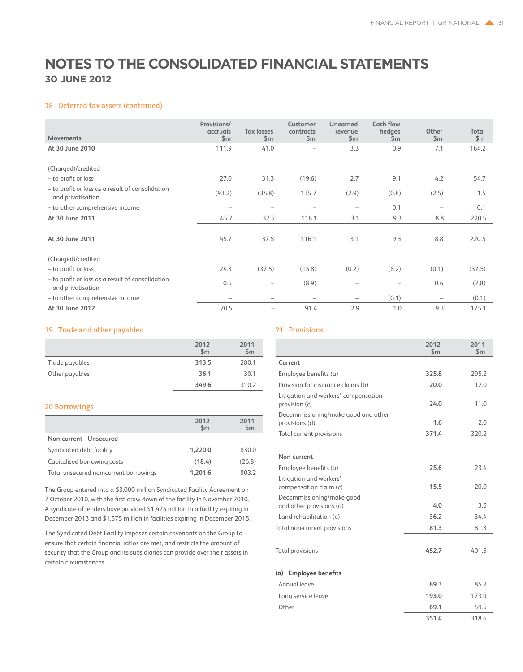### 18 Deferred tax assets (continued)

| Movements                                                             | Provisions/<br>accruals<br>\$m\$ | <b>Tax losses</b><br>\$m\$ | Customer<br>contracts<br>\$m\$ | <b>Unearned</b><br>revenue<br>\$m\$ | Cash flow<br>hedges<br>\$m | Other<br>\$m\$    | Total<br>\$m\$ |
|-----------------------------------------------------------------------|----------------------------------|----------------------------|--------------------------------|-------------------------------------|----------------------------|-------------------|----------------|
| At 30 June 2010                                                       | 111.9                            | 41.0                       |                                | 3.3                                 | 0.9                        | 7.1               | 164.2          |
| (Charged)/credited                                                    |                                  |                            |                                |                                     |                            |                   |                |
| - to profit or loss                                                   | 27.0                             | 31.3                       | (19.6)                         | 2.7                                 | 9.1                        | 4.2               | 54.7           |
| - to profit or loss as a result of consolidation<br>and privatisation | (93.2)                           | (34.8)                     | 135.7                          | (2.9)                               | (0.8)                      | (2.5)             | 1.5            |
| - to other comprehensive income                                       |                                  |                            |                                | -                                   | 0.1                        | $\qquad \qquad -$ | 0.1            |
| At 30 June 2011                                                       | 45.7                             | 37.5                       | 116.1                          | 3.1                                 | 9.3                        | 8.8               | 220.5          |
| At 30 June 2011                                                       | 45.7                             | 37.5                       | 116.1                          | 3.1                                 | 9.3                        | 8.8               | 220.5          |
| (Charged)/credited                                                    |                                  |                            |                                |                                     |                            |                   |                |
| - to profit or loss                                                   | 24.3                             | (37.5)                     | (15.8)                         | (0.2)                               | (8.2)                      | (0.1)             | (37.5)         |
| - to profit or loss as a result of consolidation<br>and privatisation | 0.5                              | $\overline{\phantom{0}}$   | (8.9)                          | $\overline{\phantom{0}}$            |                            | 0.6               | (7.8)          |
| - to other comprehensive income                                       | $\overline{\phantom{a}}$         | -                          | $\qquad \qquad$                | $\qquad \qquad \blacksquare$        | (0.1)                      | $\qquad \qquad -$ | (0.1)          |
| At 30 June 2012                                                       | 70.5                             |                            | 91.4                           | 2.9                                 | 1.0                        | 9.3               | 175.1          |

### 19 Trade and other payables

|                | 2012<br>$\mathsf{Sm}$ | 2011<br>\$m |
|----------------|-----------------------|-------------|
| Trade payables | 313.5                 | 280.1       |
| Other payables | 36.1                  | 30.1        |
|                | 349.6                 | 310.2       |

### 20 Borrowings

|                                        | 2012<br>$\mathsf{Sm}$ | 2011<br>$\mathsf{Sm}$ |
|----------------------------------------|-----------------------|-----------------------|
| Non-current - Unsecured                |                       |                       |
| Syndicated debt facility               | 1,220.0               | 830.0                 |
| Capitalised borrowing costs            | (18.4)                | (26.8)                |
| Total unsecured non-current borrowings | 1,201.6               | 803.2                 |

The Group entered into a \$3,000 million Syndicated Facility Agreement on 7 October 2010, with the first draw down of the facility in November 2010. A syndicate of lenders have provided \$1,425 million in a facility expiring in December 2013 and \$1,575 million in facilities expiring in December 2015.

The Syndicated Debt Facility imposes certain covenants on the Group to ensure that certain financial ratios are met, and restricts the amount of security that the Group and its subsidiaries can provide over their assets in certain circumstances.

### 21 Provisions

|                                                                                | 2012<br>$\mathsf{Sm}$ | 2011<br>$\mathsf{Sm}$ |
|--------------------------------------------------------------------------------|-----------------------|-----------------------|
| Current                                                                        |                       |                       |
| Employee benefits (a)                                                          | 325.8                 | 295.2                 |
| Provision for insurance claims (b)                                             | 20.0                  | 12.0                  |
| Litigation and workers' compensation<br>provision (c)                          | 24.0                  | 11.0                  |
| Decommissioning/make good and other<br>provisions (d)                          | 1.6                   | 2.0                   |
| Total current provisions                                                       | 371.4                 | 320.2                 |
| Non-current                                                                    |                       |                       |
| Employee benefits (a)                                                          | 25.6                  | 23.4                  |
| Litigation and workers'<br>compensation claim (c)<br>Decommissioning/make good | 15.5                  | 20.0                  |
| and other provisions (d)                                                       | 4.0                   | 3.5                   |
| Land rehabilitation (e)                                                        | 36.2                  | 34.4                  |
| Total non-current provisions                                                   | 81.3                  | 81.3                  |
| <b>Total provisions</b>                                                        | 452.7                 | 401.5                 |
| <b>Employee benefits</b><br>(a)                                                |                       |                       |
| Annual leave                                                                   | 89.3                  | 85.2                  |
| Long service leave                                                             | 193.0                 | 173.9                 |
| Other                                                                          | 69.1                  | 59.5                  |
|                                                                                | 351.4                 | 318.6                 |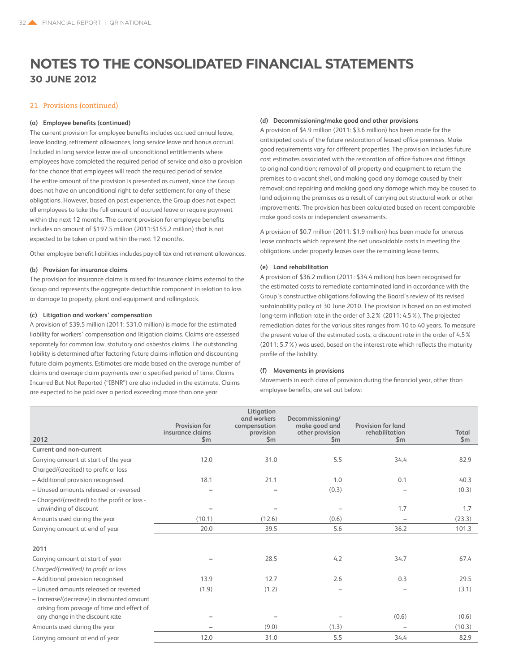### 21 Provisions (continued)

### **(a) Employee benefits (continued)**

The current provision for employee benefits includes accrued annual leave, leave loading, retirement allowances, long service leave and bonus accrual. Included in long service leave are all unconditional entitlements where employees have completed the required period of service and also a provision for the chance that employees will reach the required period of service. The entire amount of the provision is presented as current, since the Group does not have an unconditional right to defer settlement for any of these obligations. However, based on past experience, the Group does not expect all employees to take the full amount of accrued leave or require payment within the next 12 months. The current provision for employee benefits includes an amount of \$197.5 million (2011:\$155.2 million) that is not expected to be taken or paid within the next 12 months.

Other employee benefit liabilities includes payroll tax and retirement allowances.

### **(b) Provision for insurance claims**

The provision for insurance claims is raised for insurance claims external to the Group and represents the aggregate deductible component in relation to loss or damage to property, plant and equipment and rollingstock.

### **(c) Litigation and workers' compensation**

A provision of \$39.5 million (2011: \$31.0 million) is made for the estimated liability for workers' compensation and litigation claims. Claims are assessed separately for common law, statutory and asbestos claims. The outstanding liability is determined after factoring future claims inflation and discounting future claim payments. Estimates are made based on the average number of claims and average claim payments over a specified period of time. Claims Incurred But Not Reported ("IBNR") are also included in the estimate. Claims are expected to be paid over a period exceeding more than one year.

### **(d) Decommissioning/make good and other provisions**

A provision of \$4.9 million (2011: \$3.6 million) has been made for the anticipated costs of the future restoration of leased office premises. Make good requirements vary for different properties. The provision includes future cost estimates associated with the restoration of office fixtures and fittings to original condition; removal of all property and equipment to return the premises to a vacant shell, and making good any damage caused by their removal; and repairing and making good any damage which may be caused to land adjoining the premises as a result of carrying out structural work or other improvements. The provision has been calculated based on recent comparable make good costs or independent assessments.

A provision of \$0.7 million (2011: \$1.9 million) has been made for onerous lease contracts which represent the net unavoidable costs in meeting the obligations under property leases over the remaining lease terms.

### **(e) Land rehabilitation**

A provision of \$36.2 million (2011: \$34.4 million) has been recognised for the estimated costs to remediate contaminated land in accordance with the Group's constructive obligations following the Board's review of its revised sustainability policy at 30 June 2010. The provision is based on an estimated long-term inflation rate in the order of 3.2% (2011: 4.5%). The projected remediation dates for the various sites ranges from 10 to 40 years. To measure the present value of the estimated costs, a discount rate in the order of 4.5% (2011: 5.7%) was used, based on the interest rate which reflects the maturity profile of the liability.

### **(f) Movements in provisions**

Movements in each class of provision during the financial year, other than employee benefits, are set out below:

| 2012                                                                                     | Provision for<br>insurance claims<br>$\mathsf{Sm}$ | Litigation<br>and workers<br>compensation<br>provision<br>$\mathsf{Sm}$ | Decommissioning/<br>make good and<br>other provision<br>$\mathsf{Sm}$ | <b>Provision for land</b><br>rehabilitation<br>$\mathsf{Sm}$ | Total<br>$\mathsf{Sm}$ |
|------------------------------------------------------------------------------------------|----------------------------------------------------|-------------------------------------------------------------------------|-----------------------------------------------------------------------|--------------------------------------------------------------|------------------------|
| Current and non-current                                                                  |                                                    |                                                                         |                                                                       |                                                              |                        |
| Carrying amount at start of the year                                                     | 12.0                                               | 31.0                                                                    | 5.5                                                                   | 34.4                                                         | 82.9                   |
| Charged/(credited) to profit or loss                                                     |                                                    |                                                                         |                                                                       |                                                              |                        |
| - Additional provision recognised                                                        | 18.1                                               | 21.1                                                                    | 1.0                                                                   | 0.1                                                          | 40.3                   |
| - Unused amounts released or reversed                                                    |                                                    |                                                                         | (0.3)                                                                 |                                                              | (0.3)                  |
| - Charged/(credited) to the profit or loss -<br>unwinding of discount                    |                                                    |                                                                         |                                                                       | 1.7                                                          | 1.7                    |
| Amounts used during the year                                                             | (10.1)                                             | (12.6)                                                                  | (0.6)                                                                 |                                                              | (23.3)                 |
| Carrying amount at end of year                                                           | 20.0                                               | 39.5                                                                    | 5.6                                                                   | 36.2                                                         | 101.3                  |
| 2011                                                                                     |                                                    |                                                                         |                                                                       |                                                              |                        |
| Carrying amount at start of year                                                         |                                                    | 28.5                                                                    | 4.2                                                                   | 34.7                                                         | 67.4                   |
| Charged/(credited) to profit or loss                                                     |                                                    |                                                                         |                                                                       |                                                              |                        |
| - Additional provision recognised                                                        | 13.9                                               | 12.7                                                                    | 2.6                                                                   | 0.3                                                          | 29.5                   |
| - Unused amounts released or reversed                                                    | (1.9)                                              | (1.2)                                                                   |                                                                       |                                                              | (3.1)                  |
| - Increase/(decrease) in discounted amount<br>arising from passage of time and effect of |                                                    |                                                                         |                                                                       |                                                              |                        |
| any change in the discount rate                                                          |                                                    |                                                                         |                                                                       | (0.6)                                                        | (0.6)                  |
| Amounts used during the year                                                             |                                                    | (9.0)                                                                   | (1.3)                                                                 |                                                              | (10.3)                 |
| Carrying amount at end of year                                                           | 12.0                                               | 31.0                                                                    | 5.5                                                                   | 34.4                                                         | 82.9                   |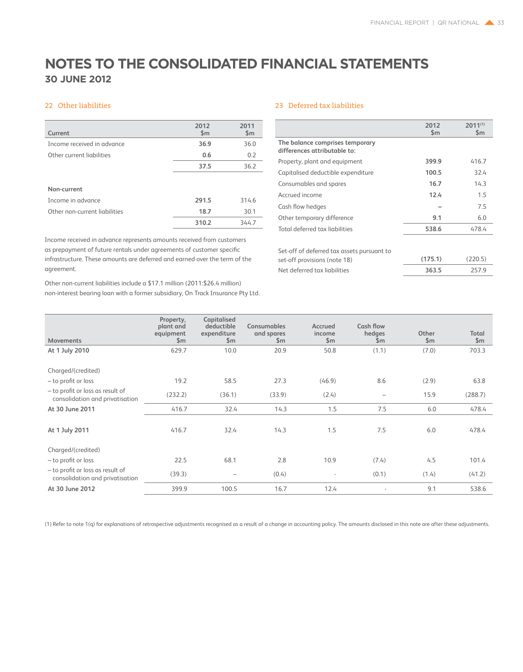### 22 Other liabilities

| Current                       | 2012<br>\$m | 2011<br>\$m\$ |
|-------------------------------|-------------|---------------|
| Income received in advance    | 36.9        | 36.0          |
| Other current liabilities     | 0.6         | 0.2           |
|                               | 37.5        | 36.2          |
|                               |             |               |
| Non-current                   |             |               |
| Income in advance             | 291.5       | 314.6         |
| Other non-current liabilities | 18.7        | 30.1          |
|                               | 310.2       | 344.7         |

Income received in advance represents amounts received from customers as prepayment of future rentals under agreements of customer specific infrastructure. These amounts are deferred and earned over the term of the agreement.

Other non-current liabilities include a \$17.1 million (2011:\$26.4 million) non-interest bearing loan with a former subsidiary, On Track Insurance Pty Ltd.

### 23 Deferred tax liabilities

|                                                                 | 2012<br>$\mathsf{Sm}$ | $2011^{(1)}$<br>$\mathsf{Sm}$ |
|-----------------------------------------------------------------|-----------------------|-------------------------------|
| The balance comprises temporary<br>differences attributable to: |                       |                               |
| Property, plant and equipment                                   | 399.9                 | 416.7                         |
| Capitalised deductible expenditure                              | 100.5                 | 32.4                          |
| Consumables and spares                                          | 16.7                  | 14.3                          |
| Accrued income                                                  | 12.4                  | 1.5                           |
| Cash flow hedges                                                |                       | 7.5                           |
| Other temporary difference                                      | 9.1                   | 6.0                           |
| Total deferred tax liabilities                                  | 538.6                 | 478.4                         |
|                                                                 |                       |                               |
| Set-off of deferred tax assets pursuant to                      |                       |                               |
| set-off provisions (note 18)                                    | (175.1)               | (220.5)                       |
| Net deferred tax liabilities                                    | 363.5                 | 257.9                         |

| <b>Movements</b>                                                    | Property,<br>plant and<br>equipment<br>$\mathsf{Sm}$ | Capitalised<br>deductible<br>expenditure<br>\$m | <b>Consumables</b><br>and spares<br>\$m | Accrued<br>income<br>\$m\$ | Cash flow<br>hedges<br>\$m | Other<br>$\mathsf{Sm}$ | Total<br>$\mathsf{Sm}$ |
|---------------------------------------------------------------------|------------------------------------------------------|-------------------------------------------------|-----------------------------------------|----------------------------|----------------------------|------------------------|------------------------|
| At 1 July 2010                                                      | 629.7                                                | 10.0                                            | 20.9                                    | 50.8                       | (1.1)                      | (7.0)                  | 703.3                  |
| Charged/(credited)                                                  |                                                      |                                                 |                                         |                            |                            |                        |                        |
| - to profit or loss                                                 | 19.2                                                 | 58.5                                            | 27.3                                    | (46.9)                     | 8.6                        | (2.9)                  | 63.8                   |
| - to profit or loss as result of<br>consolidation and privatisation | (232.2)                                              | (36.1)                                          | (33.9)                                  | (2.4)                      | -                          | 15.9                   | (288.7)                |
| At 30 June 2011                                                     | 416.7                                                | 32.4                                            | 14.3                                    | 1.5                        | 7.5                        | 6.0                    | 478.4                  |
| At 1 July 2011                                                      | 416.7                                                | 32.4                                            | 14.3                                    | 1.5                        | 7.5                        | 6.0                    | 478.4                  |
| Charged/(credited)                                                  |                                                      |                                                 |                                         |                            |                            |                        |                        |
| - to profit or loss                                                 | 22.5                                                 | 68.1                                            | 2.8                                     | 10.9                       | (7.4)                      | 4.5                    | 101.4                  |
| - to profit or loss as result of<br>consolidation and privatisation | (39.3)                                               | $\overline{\phantom{0}}$                        | (0.4)                                   | $\overline{\phantom{a}}$   | (0.1)                      | (1.4)                  | (41.2)                 |
| At 30 June 2012                                                     | 399.9                                                | 100.5                                           | 16.7                                    | 12.4                       |                            | 9.1                    | 538.6                  |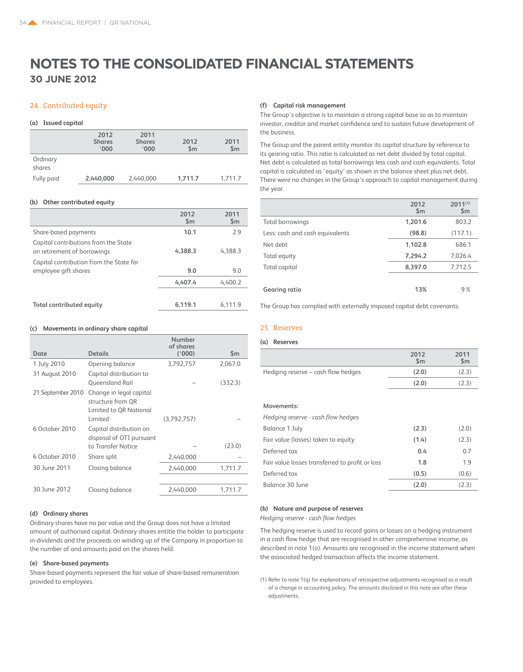### 24 Contributed equity

#### **(a) Issued capital**

|            | 2012<br><b>Shares</b><br>$000^{\circ}$ | 2011<br><b>Shares</b><br>'000 | 2012<br>$\mathsf{Sm}$ | 2011<br>$\mathsf{Sm}$ |
|------------|----------------------------------------|-------------------------------|-----------------------|-----------------------|
| Ordinary   |                                        |                               |                       |                       |
| shares     |                                        |                               |                       |                       |
| Fully paid | 2,440,000                              | 2,440,000                     | 1,711.7               | 1.711.7               |

#### **(b) Other contributed equity**

|                                                                     | 2012<br>$\mathsf{Sm}$ | 2011<br>$\mathsf{Sm}$ |
|---------------------------------------------------------------------|-----------------------|-----------------------|
| Share-based payments                                                | 10.1                  | 79                    |
| Capital contributions from the State<br>on retirement of borrowings | 4,388.3               | 4,388.3               |
| Capital contribution from the State for<br>employee gift shares     | 9.0                   | 9.0                   |
|                                                                     | 4,407.4               | 4.400.2               |
|                                                                     |                       |                       |
| <b>Total contributed equity</b>                                     | 6,119.1               | 6,111.9               |

#### **(c) Movements in ordinary share capital**

|                   |                          | Number<br>of shares |               |
|-------------------|--------------------------|---------------------|---------------|
| Date              | <b>Details</b>           | (1000)              | $\mathsf{Sm}$ |
| 1 July 2010       | Opening balance          | 3,792,757           | 2,067.0       |
| 31 August 2010    | Capital distribution to  |                     |               |
|                   | <b>Oueensland Rail</b>   |                     | (332.3)       |
| 21 September 2010 | Change in legal capital  |                     |               |
|                   | structure from OR        |                     |               |
|                   | Limited to OR National   |                     |               |
|                   | Limited                  | (3.792.757)         |               |
| 6 October 2010    | Capital distribution on  |                     |               |
|                   | disposal of OTI pursuant |                     |               |
|                   | to Transfer Notice       |                     | (23.0)        |
| 6 October 2010    | Share split              | 2,440,000           |               |
| 30 June 2011      | Closing balance          | 2,440,000           | 1,711.7       |
|                   |                          |                     |               |
| 30 June 2012      | Closing balance          | 2,440,000           | 1,711.7       |
|                   |                          |                     |               |

### **(d) Ordinary shares**

Ordinary shares have no par value and the Group does not have a limited amount of authorised capital. Ordinary shares entitle the holder to participate in dividends and the proceeds on winding up of the Company in proportion to the number of and amounts paid on the shares held.

### **(e) Share-based payments**

Share-based payments represent the fair value of share-based remuneration provided to employees.

### **(f) Capital risk management**

The Group's objective is to maintain a strong capital base so as to maintain investor, creditor and market confidence and to sustain future development of the business.

The Group and the parent entity monitor its capital structure by reference to its gearing ratio. This ratio is calculated as net debt divided by total capital. Net debt is calculated as total borrowings less cash and cash equivalents. Total capital is calculated as 'equity' as shown in the balance sheet plus net debt. There were no changes in the Group's approach to capital management during the year.

|                                 | 2012<br>\$m | $2011^{(1)}$<br>\$m\$ |
|---------------------------------|-------------|-----------------------|
| <b>Total borrowings</b>         | 1,201.6     | 803.2                 |
| Less: cash and cash equivalents | (98.8)      | (117.1)               |
| Net debt                        | 1,102.8     | 686.1                 |
| Total equity                    | 7,294.2     | 7,026.4               |
| Total capital                   | 8,397.0     | 7,712.5               |
|                                 |             |                       |
| Gearing ratio                   | 13%         | 9%                    |

The Group has complied with externally imposed capital debt covenants.

### 25 Reserves

### **(a) Reserves**

|                                    | 2012<br>$\mathsf{S}$ m | 2011<br>\$m |
|------------------------------------|------------------------|-------------|
| Hedging reserve - cash flow hedges | (2.0)                  | (2.3)       |
|                                    | (2.0)                  | (2.3)       |
|                                    |                        |             |

### **Movements:**

*Hedging reserve - cash flow hedges*

| Balance 1 July                                  | (2.3) | (2.0) |
|-------------------------------------------------|-------|-------|
| Fair value (losses) taken to equity             | (1.4) | (2.3) |
| Deferred tax                                    | 0.4   | 0.7   |
| Fair value losses transferred to profit or loss | 1.8   | 1.9   |
| Deferred tax                                    | (0.5) | (0.6) |
| Balance 30 June                                 | (2.0) | (2.3) |

#### **(b) Nature and purpose of reserves**

*Hedging reserve - cash flow hedges*

The hedging reserve is used to record gains or losses on a hedging instrument in a cash flow hedge that are recognised in other comprehensive income, as described in note 1(o). Amounts are recognised in the income statement when the associated hedged transaction affects the income statement.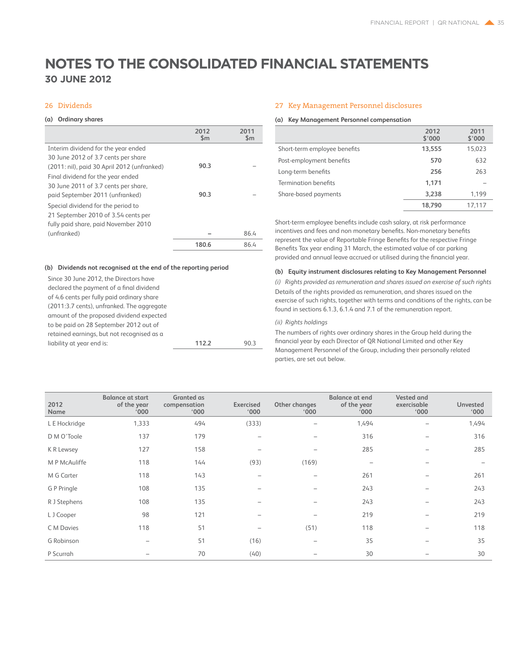### 26 Dividends

### **(a) Ordinary shares**

|                                             | 2012<br>$\mathsf{Sm}$ | 2011<br>$\mathsf{Sm}$ |
|---------------------------------------------|-----------------------|-----------------------|
| Interim dividend for the year ended         |                       |                       |
| 30 June 2012 of 3.7 cents per share         |                       |                       |
| (2011: nil), paid 30 April 2012 (unfranked) | 90.3                  |                       |
| Final dividend for the year ended           |                       |                       |
| 30 June 2011 of 3.7 cents per share,        |                       |                       |
| paid September 2011 (unfranked)             | 90.3                  |                       |
| Special dividend for the period to          |                       |                       |
| 21 September 2010 of 3.54 cents per         |                       |                       |
| fully paid share, paid November 2010        |                       |                       |
| (unfranked)                                 |                       | 86.4                  |
|                                             | 180.6                 | 86.4                  |

### **(b) Dividends not recognised at the end of the reporting period**

| liability at year end is:                  | 112.2 | 903 |
|--------------------------------------------|-------|-----|
| retained earnings, but not recognised as a |       |     |
| to be paid on 28 September 2012 out of     |       |     |
| amount of the proposed dividend expected   |       |     |
| (2011:3.7 cents), unfranked. The aggregate |       |     |
| of 4.6 cents per fully paid ordinary share |       |     |
| declared the payment of a final dividend   |       |     |
| Since 30 June 2012, the Directors have     |       |     |

### 27 Key Management Personnel disclosures

### **(a) Key Management Personnel compensation**

|                              | 2012<br>\$'000 | 2011<br>\$'000 |
|------------------------------|----------------|----------------|
| Short-term employee benefits | 13,555         | 15,023         |
| Post-employment benefits     | 570            | 632            |
| Long-term benefits           | 256            | 263            |
| Termination benefits         | 1,171          |                |
| Share-based payments         | 3,238          | 1.199          |
|                              | 18,790         | 17.117         |

Short-term employee benefits include cash salary, at risk performance incentives and fees and non monetary benefits. Non-monetary benefits represent the value of Reportable Fringe Benefits for the respective Fringe Benefits Tax year ending 31 March, the estimated value of car parking provided and annual leave accrued or utilised during the financial year.

### **(b) Equity instrument disclosures relating to Key Management Personnel**

*(i) Rights provided as remuneration and shares issued on exercise of such rights* Details of the rights provided as remuneration, and shares issued on the exercise of such rights, together with terms and conditions of the rights, can be found in sections 6.1.3, 6.1.4 and 7.1 of the remuneration report.

### *(ii) Rights holdings*

The numbers of rights over ordinary shares in the Group held during the financial year by each Director of QR National Limited and other Key Management Personnel of the Group, including their personally related parties, are set out below.

| 2012<br>Name  | <b>Balance at start</b><br>of the year<br>$000^{\circ}$ | Granted as<br>compensation<br>$000^{\circ}$ | Exercised<br>'000' | Other changes<br>$000^{\circ}$ | <b>Balance at end</b><br>of the year<br>$000^{\circ}$ | <b>Vested and</b><br>exercisable<br>$000^{\circ}$ | <b>Unvested</b><br>$000^{\circ}$ |
|---------------|---------------------------------------------------------|---------------------------------------------|--------------------|--------------------------------|-------------------------------------------------------|---------------------------------------------------|----------------------------------|
| L E Hockridge | 1,333                                                   | 494                                         | (333)              |                                | 1,494                                                 |                                                   | 1,494                            |
| D M O'Toole   | 137                                                     | 179                                         | -                  | $\overline{\phantom{a}}$       | 316                                                   |                                                   | 316                              |
| K R Lewsey    | 127                                                     | 158                                         |                    | $\overline{\phantom{0}}$       | 285                                                   |                                                   | 285                              |
| M P McAuliffe | 118                                                     | 144                                         | (93)               | (169)                          | $\overline{\phantom{a}}$                              |                                                   |                                  |
| M G Carter    | 118                                                     | 143                                         | -                  | -                              | 261                                                   |                                                   | 261                              |
| G P Pringle   | 108                                                     | 135                                         | -                  | -                              | 243                                                   |                                                   | 243                              |
| R J Stephens  | 108                                                     | 135                                         | -                  | -                              | 243                                                   |                                                   | 243                              |
| L J Cooper    | 98                                                      | 121                                         |                    | $\overline{\phantom{0}}$       | 219                                                   |                                                   | 219                              |
| C M Davies    | 118                                                     | 51                                          |                    | (51)                           | 118                                                   |                                                   | 118                              |
| G Robinson    | -                                                       | 51                                          | (16)               | -                              | 35                                                    |                                                   | 35                               |
| P Scurrah     |                                                         | 70                                          | (40)               |                                | 30                                                    |                                                   | 30                               |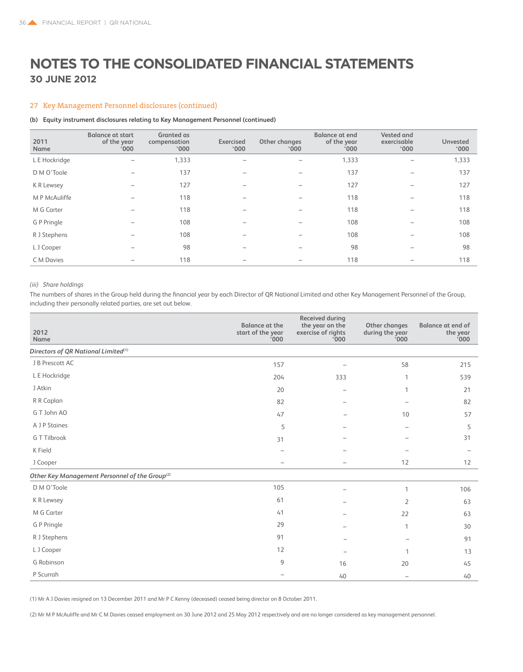### 27 Key Management Personnel disclosures (continued)

### **(b) Equity instrument disclosures relating to Key Management Personnel (continued)**

| 2011<br>Name  | <b>Balance at start</b><br>of the year<br>'000 | <b>Granted</b> as<br>compensation<br>'000' | Exercised<br>$000^{\circ}$ | Other changes<br>$000^{\circ}$ | <b>Balance at end</b><br>of the year<br>'000' | <b>Vested and</b><br>exercisable<br>$000^{\circ}$ | <b>Unvested</b><br>'000 |
|---------------|------------------------------------------------|--------------------------------------------|----------------------------|--------------------------------|-----------------------------------------------|---------------------------------------------------|-------------------------|
| L E Hockridge |                                                | 1,333                                      |                            |                                | 1,333                                         |                                                   | 1,333                   |
| D M O'Toole   |                                                | 137                                        |                            |                                | 137                                           |                                                   | 137                     |
| K R Lewsey    |                                                | 127                                        |                            |                                | 127                                           |                                                   | 127                     |
| M P McAuliffe |                                                | 118                                        |                            |                                | 118                                           |                                                   | 118                     |
| M G Carter    |                                                | 118                                        |                            |                                | 118                                           |                                                   | 118                     |
| G P Pringle   |                                                | 108                                        |                            |                                | 108                                           |                                                   | 108                     |
| R J Stephens  |                                                | 108                                        |                            | -                              | 108                                           |                                                   | 108                     |
| L J Cooper    | -                                              | 98                                         |                            | -                              | 98                                            |                                                   | 98                      |
| C M Davies    |                                                | 118                                        |                            |                                | 118                                           |                                                   | 118                     |

### *(iii) Share holdings*

The numbers of shares in the Group held during the financial year by each Director of QR National Limited and other Key Management Personnel of the Group, including their personally related parties, are set out below.

| 2012<br>Name                                               | <b>Balance at the</b><br>start of the year<br>000 | Received during<br>the year on the<br>exercise of rights<br>000 | Other changes<br>during the year<br>000 | <b>Balance at end of</b><br>the year<br>000' |
|------------------------------------------------------------|---------------------------------------------------|-----------------------------------------------------------------|-----------------------------------------|----------------------------------------------|
| Directors of QR National Limited <sup>(1)</sup>            |                                                   |                                                                 |                                         |                                              |
| J B Prescott AC                                            | 157                                               | $\overline{\phantom{0}}$                                        | 58                                      | 215                                          |
| L E Hockridge                                              | 204                                               | 333                                                             | 1                                       | 539                                          |
| J Atkin                                                    | 20                                                | $\overline{\phantom{0}}$                                        | 1                                       | 21                                           |
| R R Caplan                                                 | 82                                                |                                                                 |                                         | 82                                           |
| G T John AO                                                | 47                                                |                                                                 | 10                                      | 57                                           |
| A J P Staines                                              | 5                                                 |                                                                 |                                         | 5                                            |
| G T Tilbrook                                               | 31                                                |                                                                 |                                         | 31                                           |
| K Field                                                    |                                                   |                                                                 |                                         |                                              |
| J Cooper                                                   | $\overline{\phantom{m}}$                          |                                                                 | 12                                      | 12                                           |
| Other Key Management Personnel of the Group <sup>(2)</sup> |                                                   |                                                                 |                                         |                                              |
| D M O'Toole                                                | 105                                               |                                                                 | 1                                       | 106                                          |
| K R Lewsey                                                 | 61                                                |                                                                 | 2                                       | 63                                           |
| M G Carter                                                 | 41                                                |                                                                 | 22                                      | 63                                           |
| G P Pringle                                                | 29                                                |                                                                 | 1                                       | 30                                           |
| R J Stephens                                               | 91                                                |                                                                 |                                         | 91                                           |
| L J Cooper                                                 | 12                                                | $\overline{\phantom{a}}$                                        | 1                                       | 13                                           |
| G Robinson                                                 | 9                                                 | 16                                                              | 20                                      | 45                                           |
| P Scurrah                                                  |                                                   | 40                                                              | $\qquad \qquad -$                       | 40                                           |

(1) Mr A J Davies resigned on 13 December 2011 and Mr P C Kenny (deceased) ceased being director on 8 October 2011.

(2) Mr M P McAuliffe and Mr C M Davies ceased employment on 30 June 2012 and 25 May 2012 respectively and are no longer considered as key management personnel.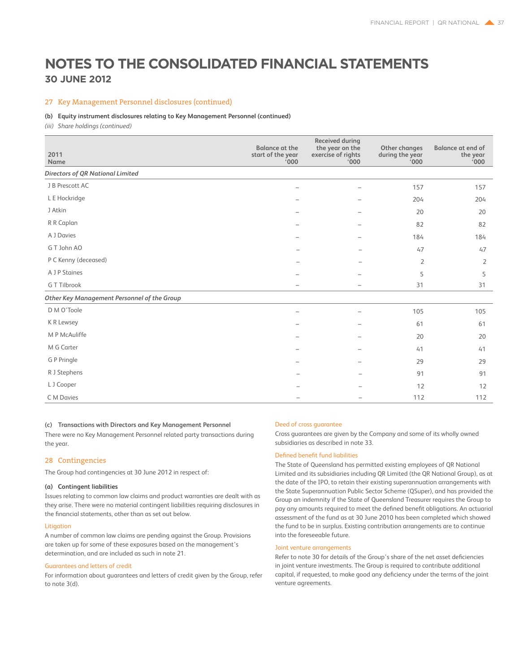### 27 Key Management Personnel disclosures (continued)

### **(b) Equity instrument disclosures relating to Key Management Personnel (continued)**

*(iii) Share holdings (continued)*

| 2011<br>Name                                | <b>Balance at the</b><br>start of the year<br>000' | <b>Received during</b><br>the year on the<br>exercise of rights<br>'000 | <b>Other changes</b><br>during the year<br>000' | <b>Balance at end of</b><br>the year<br>000' |
|---------------------------------------------|----------------------------------------------------|-------------------------------------------------------------------------|-------------------------------------------------|----------------------------------------------|
| <b>Directors of QR National Limited</b>     |                                                    |                                                                         |                                                 |                                              |
| J B Prescott AC                             |                                                    | -                                                                       | 157                                             | 157                                          |
| L E Hockridge                               |                                                    |                                                                         | 204                                             | 204                                          |
| J Atkin                                     |                                                    |                                                                         | 20                                              | 20                                           |
| R R Caplan                                  |                                                    |                                                                         | 82                                              | 82                                           |
| A J Davies                                  |                                                    | $\overline{\phantom{0}}$                                                | 184                                             | 184                                          |
| G T John AO                                 |                                                    |                                                                         | 47                                              | 47                                           |
| P C Kenny (deceased)                        |                                                    |                                                                         | 2                                               | 2                                            |
| A J P Staines                               |                                                    |                                                                         | 5                                               | 5                                            |
| G T Tilbrook                                | -                                                  |                                                                         | 31                                              | 31                                           |
| Other Key Management Personnel of the Group |                                                    |                                                                         |                                                 |                                              |
| D M O'Toole                                 |                                                    |                                                                         | 105                                             | 105                                          |
| K R Lewsey                                  |                                                    |                                                                         | 61                                              | 61                                           |
| M P McAuliffe                               |                                                    |                                                                         | 20                                              | 20                                           |
| M G Carter                                  |                                                    |                                                                         | 41                                              | 41                                           |
| G P Pringle                                 |                                                    |                                                                         | 29                                              | 29                                           |
| R J Stephens                                |                                                    |                                                                         | 91                                              | 91                                           |
| L J Cooper                                  |                                                    |                                                                         | 12                                              | 12                                           |
| C M Davies                                  |                                                    |                                                                         | 112                                             | 112                                          |

### **(c) Transactions with Directors and Key Management Personnel**

There were no Key Management Personnel related party transactions during the year.

### 28 Contingencies

The Group had contingencies at 30 June 2012 in respect of:

### **(a) Contingent liabilities**

Issues relating to common law claims and product warranties are dealt with as they arise. There were no material contingent liabilities requiring disclosures in the financial statements, other than as set out below.

### Litigation

A number of common law claims are pending against the Group. Provisions are taken up for some of these exposures based on the management's determination, and are included as such in note 21.

#### Guarantees and letters of credit

For information about guarantees and letters of credit given by the Group, refer to note 3(d).

### Deed of cross guarantee

Cross guarantees are given by the Company and some of its wholly owned subsidiaries as described in note 33.

### Defined benefit fund liabilities

The State of Queensland has permitted existing employees of QR National Limited and its subsidiaries including QR Limited (the QR National Group), as at the date of the IPO, to retain their existing superannuation arrangements with the State Superannuation Public Sector Scheme (QSuper), and has provided the Group an indemnity if the State of Queensland Treasurer requires the Group to pay any amounts required to meet the defined benefit obligations. An actuarial assessment of the fund as at 30 June 2010 has been completed which showed the fund to be in surplus. Existing contribution arrangements are to continue into the foreseeable future.

#### Joint venture arrangements

Refer to note 30 for details of the Group's share of the net asset deficiencies in joint venture investments. The Group is required to contribute additional capital, if requested, to make good any deficiency under the terms of the joint venture agreements.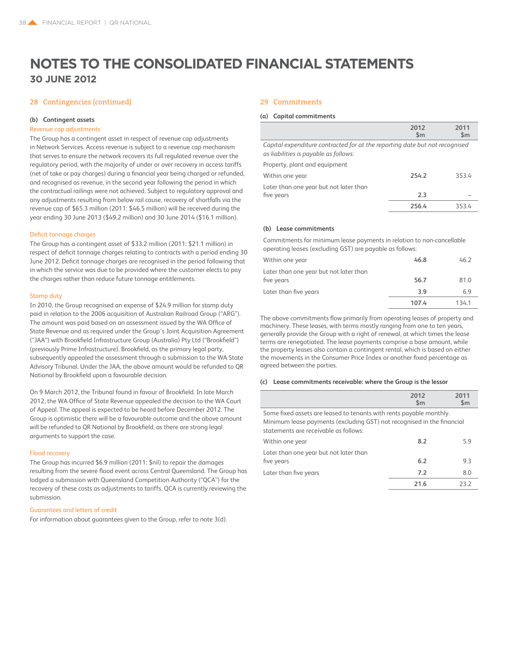### 28 Contingencies (continued)

### **(b) Contingent assets**

### Revenue cap adjustments

The Group has a contingent asset in respect of revenue cap adjustments in Network Services. Access revenue is subject to a revenue cap mechanism that serves to ensure the network recovers its full regulated revenue over the regulatory period, with the majority of under or over recovery in access tariffs (net of take or pay charges) during a financial year being charged or refunded, and recognised as revenue, in the second year following the period in which the contractual railings were not achieved. Subject to regulatory approval and any adjustments resulting from below rail cause, recovery of shortfalls via the revenue cap of \$65.3 million (2011: \$46.5 million) will be received during the year ending 30 June 2013 (\$49.2 million) and 30 June 2014 (\$16.1 million).

#### Deficit tonnage charges

The Group has a contingent asset of \$33.2 million (2011: \$21.1 million) in respect of deficit tonnage charges relating to contracts with a period ending 30 June 2012. Deficit tonnage charges are recognised in the period following that in which the service was due to be provided where the customer elects to pay the charges rather than reduce future tonnage entitlements.

### Stamp duty

In 2010, the Group recognised an expense of \$24.9 million for stamp duty paid in relation to the 2006 acquisition of Australian Railroad Group ("ARG"). The amount was paid based on an assessment issued by the WA Office of State Revenue and as required under the Group's Joint Acquisition Agreement ("JAA") with Brookfield Infrastructure Group (Australia) Pty Ltd ("Brookfield") (previously Prime Infrastructure). Brookfield, as the primary legal party, subsequently appealed the assessment through a submission to the WA State Advisory Tribunal. Under the JAA, the above amount would be refunded to QR National by Brookfield upon a favourable decision.

On 9 March 2012, the Tribunal found in favour of Brookfield. In late March 2012, the WA Office of State Revenue appealed the decision to the WA Court of Appeal. The appeal is expected to be heard before December 2012. The Group is optimistic there will be a favourable outcome and the above amount will be refunded to QR National by Brookfield, as there are strong legal arguments to support the case.

### Flood recovery

The Group has incurred \$6.9 million (2011: \$nil) to repair the damages resulting from the severe flood event across Central Queensland. The Group has lodged a submission with Queensland Competition Authority ("QCA") for the recovery of these costs as adjustments to tariffs. QCA is currently reviewing the submission.

### Guarantees and letters of credit

For information about guarantees given to the Group, refer to note 3(d).

### 29 Commitments

### **(a) Capital commitments**

|                                                                                                                      | 2012<br>$\mathsf{Sm}$ | 2011<br>$\mathsf{Sm}$ |
|----------------------------------------------------------------------------------------------------------------------|-----------------------|-----------------------|
| Capital expenditure contracted for at the reporting date but not recognised<br>as liabilities is payable as follows: |                       |                       |
| Property, plant and equipment                                                                                        |                       |                       |
| Within one year                                                                                                      | 254.2                 | 353.4                 |
| Later than one year but not later than<br>five years                                                                 | 2.3                   |                       |
|                                                                                                                      | 256.4                 | 353.4                 |
|                                                                                                                      |                       |                       |

### **(b) Lease commitments**

Commitments for minimum lease payments in relation to non-cancellable operating leases (excluding GST) are payable as follows:

| Within one year                                      | 46.8  | 46.2  |
|------------------------------------------------------|-------|-------|
| Later than one year but not later than<br>five years | 56.7  | 81.0  |
| Later than five years                                | 3.9   | 69    |
|                                                      | 107.4 | 134.1 |

The above commitments flow primarily from operating leases of property and machinery. These leases, with terms mostly ranging from one to ten years, generally provide the Group with a right of renewal, at which times the lease terms are renegotiated. The lease payments comprise a base amount, while the property leases also contain a contingent rental, which is based on either the movements in the Consumer Price Index or another fixed percentage as agreed between the parties.

#### **(c) Lease commitments receivable: where the Group is the lessor**

|                                                                        | 2012<br>$\mathsf{Sm}$ | 2011<br>$\mathsf{Sm}$ |
|------------------------------------------------------------------------|-----------------------|-----------------------|
| Some fixed assets are leased to tenants with rents payable monthly.    |                       |                       |
| Minimum lease payments (excluding GST) not recognised in the financial |                       |                       |
| statements are receivable as follows:                                  |                       |                       |
| Within one year                                                        | 8.2                   | 59                    |
| Later than one year but not later than                                 |                       |                       |
| five years                                                             | 6.2                   | 93                    |
| Later than five years                                                  | 7.2                   | 80                    |
|                                                                        |                       |                       |

**21.6** 23.2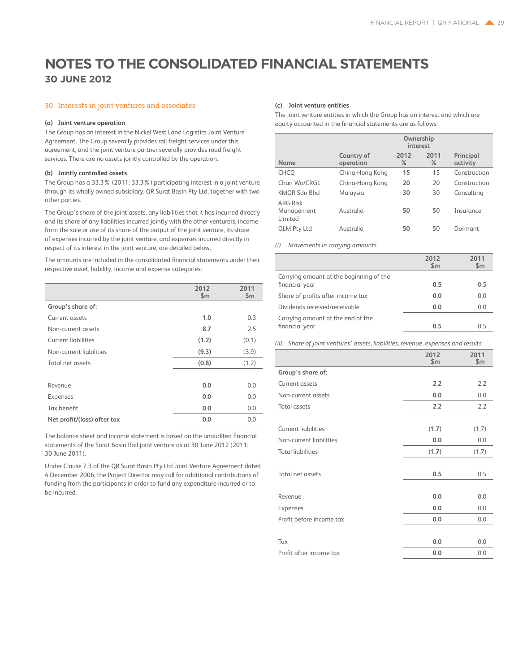### 30 Interests in joint ventures and associates

### **(a) Joint venture operation**

The Group has an interest in the Nickel West Land Logistics Joint Venture Agreement. The Group severally provides rail freight services under this agreement, and the joint venture partner severally provides road freight services. There are no assets jointly controlled by the operation.

### **(b) Jointly controlled assets**

The Group has a 33.3% (2011: 33.3%) participating interest in a joint venture through its wholly owned subsidiary, QR Surat Basin Pty Ltd, together with two other parties.

The Group's share of the joint assets, any liabilities that it has incurred directly and its share of any liabilities incurred jointly with the other venturers, income from the sale or use of its share of the output of the joint venture, its share of expenses incurred by the joint venture, and expenses incurred directly in respect of its interest in the joint venture, are detailed below.

The amounts are included in the consolidated financial statements under their respective asset, liability, income and expense categories:

|                             | 2012<br>\$m | 2011<br>\$m\$ |
|-----------------------------|-------------|---------------|
| Group's share of:           |             |               |
| Current assets              | 1.0         | 0.3           |
| Non-current assets          | 8.7         | 2.5           |
| <b>Current liabilities</b>  | (1.2)       | (0.1)         |
| Non-current liabilities     | (9.3)       | (3.9)         |
| Total net assets            | (0.8)       | (1.2)         |
|                             |             |               |
| Revenue                     | 0.0         | 0.0           |
| Expenses                    | 0.0         | 0.0           |
| Tax benefit                 | 0.0         | 0.0           |
| Net profit/(loss) after tax | 0.0         | 0.0           |

The balance sheet and income statement is based on the unaudited financial statements of the Surat Basin Rail joint venture as at 30 June 2012 (2011: 30 June 2011).

Under Clause 7.3 of the QR Surat Basin Pty Ltd Joint Venture Agreement dated 4 December 2006, the Project Director may call for additional contributions of funding from the participants in order to fund any expenditure incurred or to be incurred.

### **(c) Joint venture entities**

The joint venture entities in which the Group has an interest and which are equity accounted in the financial statements are as follows:

|                                          | Ownership<br>interest   |              |              |                       |  |
|------------------------------------------|-------------------------|--------------|--------------|-----------------------|--|
| <b>Name</b>                              | Country of<br>operation | 2012<br>$\%$ | 2011<br>$\%$ | Principal<br>activity |  |
| <b>CHCO</b>                              | China-Hong Kong         | 15           | 15           | Construction          |  |
| Chun Wo/CRGL                             | China-Hong Kong         | 20           | 20           | Construction          |  |
| KMQR Sdn Bhd                             | Malaysia                | 30           | 30           | Consulting            |  |
| <b>ARG Risk</b><br>Management<br>Limited | Australia               | 50           | 50           | Insurance             |  |
| <b>QLM Pty Ltd</b>                       | Australia               | 50           | 50           | Dormant               |  |

*(i) Movements in carrying amounts*

|                                                           | 2012<br>$\mathsf{Sm}$ | 2011<br>$\mathsf{Sm}$ |
|-----------------------------------------------------------|-----------------------|-----------------------|
| Carrying amount at the beginning of the<br>financial year | 0.5                   | 0.5                   |
| Share of profits after income tax                         | 0.0                   | 0.0                   |
| Dividends received/receivable                             | 0.0                   | 0.0                   |
| Carrying amount at the end of the<br>financial year       | 0.5                   | 0 5                   |

*(ii) Share of joint ventures' assets, liabilities, revenue, expenses and results*

|                            | 2012<br>\$m\$ | 2011<br>\$m\$ |
|----------------------------|---------------|---------------|
| Group's share of:          |               |               |
| Current assets             | 2.2           | 2.2           |
| Non-current assets         | 0.0           | 0.0           |
| <b>Total assets</b>        | 2.2           | 2.2           |
|                            |               |               |
| <b>Current liabilities</b> | (1.7)         | (1.7)         |
| Non-current liabilities    | 0.0           | 0.0           |
| <b>Total liabilities</b>   | (1.7)         | (1.7)         |
|                            |               |               |
| Total net assets           | 0.5           | 0.5           |
|                            |               |               |
| Revenue                    | 0.0           | 0.0           |
| Expenses                   | 0.0           | 0.0           |
| Profit before income tax   | 0.0           | 0.0           |
|                            |               |               |
| Tax                        | 0.0           | 0.0           |
| Profit after income tax    | 0.0           | 0.0           |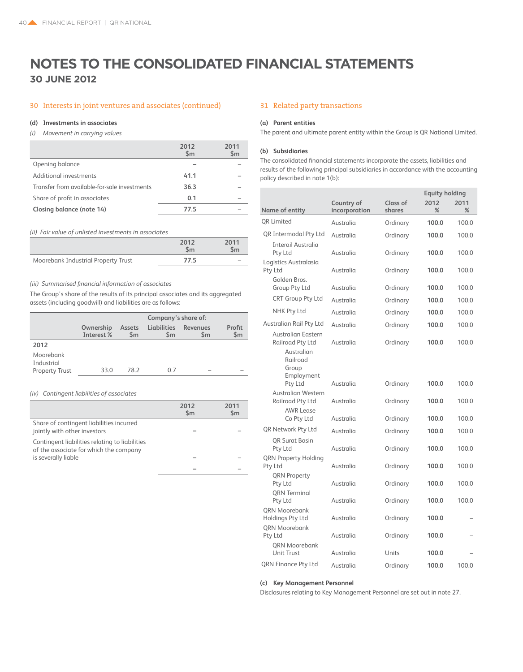### 30 Interests in joint ventures and associates (continued) 31 Related party transactions

### **(d) Investments in associates**

### *(i) Movement in carrying values*

|                                              | 2012<br>$\mathsf{Sm}$ | 2011<br>$\mathsf{Sm}$ |
|----------------------------------------------|-----------------------|-----------------------|
| Opening balance                              |                       |                       |
| Additional investments                       | 41.1                  |                       |
| Transfer from available-for-sale investments | 36.3                  |                       |
| Share of profit in associates                | 0.1                   |                       |
| Closing balance (note 14)                    | 77.5                  |                       |
|                                              |                       |                       |

### *(ii) Fair value of unlisted investments in associates*

|                                     | 2012<br>Sm | 2011<br>\$m\$ |
|-------------------------------------|------------|---------------|
| Moorebank Industrial Property Trust | 77.5       |               |

### *(iii) Summarised financial information of associates*

The Group's share of the results of its principal associates and its aggregated assets (including goodwill) and liabilities are as follows:

|                         | Company's share of:     |               |                              |                 |               |
|-------------------------|-------------------------|---------------|------------------------------|-----------------|---------------|
|                         | Ownership<br>Interest % | Assets<br>\$m | Liabilities<br>$\mathsf{Sm}$ | Revenues<br>\$m | Profit<br>\$m |
| 2012                    |                         |               |                              |                 |               |
| Moorebank<br>Industrial |                         |               |                              |                 |               |
| <b>Property Trust</b>   | 33.0                    | 78.2          | 0.7                          |                 |               |

### *(iv) Contingent liabilities of associates*

|                                                                                          | 2012<br>$\mathsf{Sm}$ | 2011<br>Sm |
|------------------------------------------------------------------------------------------|-----------------------|------------|
| Share of contingent liabilities incurred<br>jointly with other investors                 |                       |            |
| Contingent liabilities relating to liabilities<br>of the associate for which the company |                       |            |
| is severally liable                                                                      |                       |            |
|                                                                                          |                       |            |

#### **(a) Parent entities**

The parent and ultimate parent entity within the Group is QR National Limited.

### **(b) Subsidiaries**

The consolidated financial statements incorporate the assets, liabilities and results of the following principal subsidiaries in accordance with the accounting policy described in note 1(b):

|                                                                         |                             |                    | <b>Equity holding</b> |           |
|-------------------------------------------------------------------------|-----------------------------|--------------------|-----------------------|-----------|
| Name of entity                                                          | Country of<br>incorporation | Class of<br>shares | 2012<br>%             | 2011<br>% |
| <b>OR Limited</b>                                                       | Australia                   | Ordinary           | 100.0                 | 100.0     |
| QR Intermodal Pty Ltd                                                   | Australia                   | Ordinary           | 100.0                 | 100.0     |
| Interail Australia<br>Pty Ltd                                           | Australia                   | Ordinary           | 100.0                 | 100.0     |
| Logistics Australasia<br>Pty Ltd<br>Golden Bros.                        | Australia                   | Ordinary           | 100.0                 | 100.0     |
| Group Pty Ltd                                                           | Australia                   | Ordinary           | 100.0                 | 100.0     |
| <b>CRT Group Pty Ltd</b>                                                | Australia                   | Ordinary           | 100.0                 | 100.0     |
| NHK Pty Ltd                                                             | Australia                   | Ordinary           | 100.0                 | 100.0     |
| Australian Rail Pty Ltd                                                 | Australia                   | Ordinary           | 100.0                 | 100.0     |
| Australian Eastern<br><b>Railroad Pty Ltd</b><br>Australian<br>Railroad | Australia                   | Ordinary           | 100.0                 | 100.0     |
| Group<br>Employment<br>Pty Ltd                                          | Australia                   | Ordinary           | 100.0                 | 100.0     |
| Australian Western<br>Railroad Pty Ltd                                  | Australia                   | Ordinary           | 100.0                 | 100.0     |
| <b>AWR Lease</b><br>Co Pty Ltd                                          | Australia                   | Ordinary           | 100.0                 | 100.0     |
| <b>QR Network Pty Ltd</b>                                               | Australia                   | Ordinary           | 100.0                 | 100.0     |
| <b>OR Surat Basin</b><br>Pty Ltd                                        | Australia                   | Ordinary           | 100.0                 | 100.0     |
| QRN Property Holding<br>Pty Ltd                                         | Australia                   | Ordinary           | 100.0                 | 100.0     |
| <b>QRN Property</b><br>Pty Ltd<br><b>ORN</b> Terminal                   | Australia                   | Ordinary           | 100.0                 | 100.0     |
| Pty Ltd                                                                 | Australia                   | Ordinary           | 100.0                 | 100.0     |
| QRN Moorebank<br>Holdings Pty Ltd<br><b>QRN Moorebank</b>               | Australia                   | Ordinary           | 100.0                 |           |
| Pty Ltd<br><b>ORN Moorebank</b>                                         | Australia                   | Ordinary           | 100.0                 |           |
| <b>Unit Trust</b>                                                       | Australia                   | Units              | 100.0                 |           |
| QRN Finance Pty Ltd                                                     | Australia                   | Ordinary           | 100.0                 | 100.0     |

### **(c) Key Management Personnel**

Disclosures relating to Key Management Personnel are set out in note 27.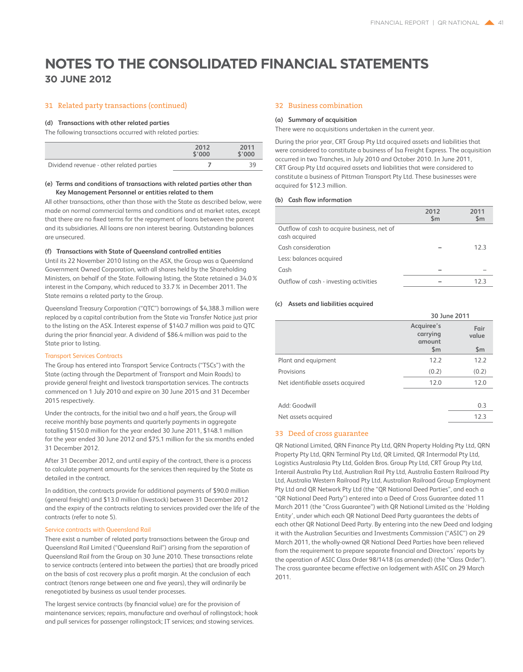### **30 June 2012**

### 31 Related party transactions (continued)

### **(d) Transactions with other related parties**

The following transactions occurred with related parties:

|                                          | 2012<br>\$'000 | 2011<br>\$'000 |
|------------------------------------------|----------------|----------------|
| Dividend revenue - other related parties |                | 30             |

### **(e) Terms and conditions of transactions with related parties other than Key Management Personnel or entities related to them**

All other transactions, other than those with the State as described below, were made on normal commercial terms and conditions and at market rates, except that there are no fixed terms for the repayment of loans between the parent and its subsidiaries. All loans are non interest bearing. Outstanding balances are unsecured.

### **(f) Transactions with State of Queensland controlled entities**

Until its 22 November 2010 listing on the ASX, the Group was a Queensland Government Owned Corporation, with all shares held by the Shareholding Ministers, on behalf of the State. Following listing, the State retained a 34.0% interest in the Company, which reduced to 33.7% in December 2011. The State remains a related party to the Group.

Queensland Treasury Corporation ("QTC") borrowings of \$4,388.3 million were replaced by a capital contribution from the State via Transfer Notice just prior to the listing on the ASX. Interest expense of \$140.7 million was paid to QTC during the prior financial year. A dividend of \$86.4 million was paid to the State prior to listing.

### Transport Services Contracts

The Group has entered into Transport Service Contracts ("TSCs") with the State (acting through the Department of Transport and Main Roads) to provide general freight and livestock transportation services. The contracts commenced on 1 July 2010 and expire on 30 June 2015 and 31 December 2015 respectively.

Under the contracts, for the initial two and a half years, the Group will receive monthly base payments and quarterly payments in aggregate totalling \$150.0 million for the year ended 30 June 2011, \$148.1 million for the year ended 30 June 2012 and \$75.1 million for the six months ended 31 December 2012.

After 31 December 2012, and until expiry of the contract, there is a process to calculate payment amounts for the services then required by the State as detailed in the contract.

In addition, the contracts provide for additional payments of \$90.0 million (general freight) and \$13.0 million (livestock) between 31 December 2012 and the expiry of the contracts relating to services provided over the life of the contracts (refer to note 5).

### Service contracts with Queensland Rail

There exist a number of related party transactions between the Group and Queensland Rail Limited ("Queensland Rail") arising from the separation of Queensland Rail from the Group on 30 June 2010. These transactions relate to service contracts (entered into between the parties) that are broadly priced on the basis of cost recovery plus a profit margin. At the conclusion of each contract (tenors range between one and five years), they will ordinarily be renegotiated by business as usual tender processes.

The largest service contracts (by financial value) are for the provision of maintenance services; repairs, manufacture and overhaul of rollingstock; hook and pull services for passenger rollingstock; IT services; and stowing services.

### 32 Business combination

### **(a) Summary of acquisition**

There were no acquisitions undertaken in the current year.

During the prior year, CRT Group Pty Ltd acquired assets and liabilities that were considered to constitute a business of Isa Freight Express. The acquisition occurred in two Tranches, in July 2010 and October 2010. In June 2011, CRT Group Pty Ltd acquired assets and liabilities that were considered to constitute a business of Pittman Transport Pty Ltd. These businesses were acquired for \$12.3 million.

### **(b) Cash flow information**

|                                                              | 2012<br>$\mathsf{Sm}$ | 2011<br>$\mathsf{Sm}$ |
|--------------------------------------------------------------|-----------------------|-----------------------|
| Outflow of cash to acquire business, net of<br>cash acquired |                       |                       |
| Cash consideration                                           |                       | 123                   |
| Less: balances acquired                                      |                       |                       |
| Cash                                                         |                       |                       |
| Outflow of cash - investing activities                       |                       | 12.3                  |

### **(c) Assets and liabilities acquired**

|                                  | 30 June 2011                     |               |  |
|----------------------------------|----------------------------------|---------------|--|
|                                  | Acquiree's<br>carrying<br>amount | Fair<br>value |  |
|                                  | \$m                              | \$m           |  |
| Plant and equipment              | 12.2                             | 12.2          |  |
| Provisions                       | (0.2)                            | (0.2)         |  |
| Net identifiable assets acquired | 12.0                             | 12.0          |  |
|                                  |                                  |               |  |
| Add: Goodwill                    |                                  | 0.3           |  |

| Auu. uuuuviil       | <u>v.J</u> |
|---------------------|------------|
| Net assets acquired | 12.3       |
|                     |            |

### 33 Deed of cross guarantee

QR National Limited, QRN Finance Pty Ltd, QRN Property Holding Pty Ltd, QRN Property Pty Ltd, QRN Terminal Pty Ltd, QR Limited, QR Intermodal Pty Ltd, Logistics Australasia Pty Ltd, Golden Bros. Group Pty Ltd, CRT Group Pty Ltd, Interail Australia Pty Ltd, Australian Rail Pty Ltd, Australia Eastern Railroad Pty Ltd, Australia Western Railroad Pty Ltd, Australian Railroad Group Employment Pty Ltd and QR Network Pty Ltd (the "QR National Deed Parties", and each a "QR National Deed Party") entered into a Deed of Cross Guarantee dated 11 March 2011 (the "Cross Guarantee") with QR National Limited as the 'Holding Entity', under which each QR National Deed Party guarantees the debts of each other QR National Deed Party. By entering into the new Deed and lodging it with the Australian Securities and Investments Commission ("ASIC") on 29 March 2011, the wholly-owned QR National Deed Parties have been relieved from the requirement to prepare separate financial and Directors' reports by the operation of ASIC Class Order 98/1418 (as amended) (the "Class Order"). The cross guarantee became effective on lodgement with ASIC on 29 March 2011.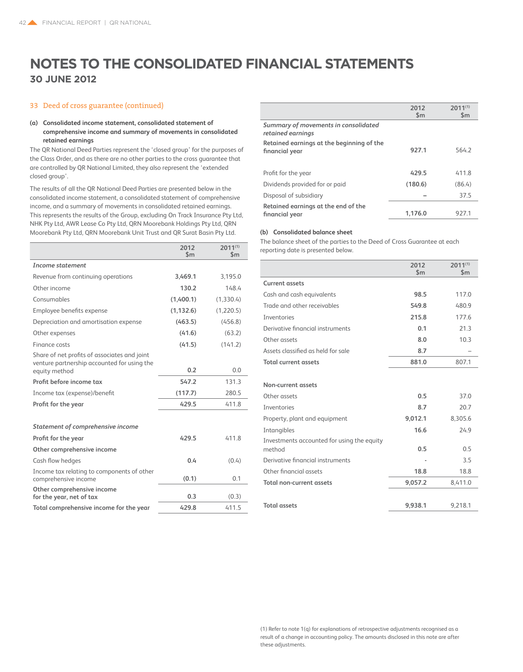### 33 Deed of cross guarantee (continued)

### **(a) Consolidated income statement, consolidated statement of comprehensive income and summary of movements in consolidated retained earnings**

The QR National Deed Parties represent the 'closed group' for the purposes of the Class Order, and as there are no other parties to the cross guarantee that are controlled by QR National Limited, they also represent the 'extended closed group'.

The results of all the QR National Deed Parties are presented below in the consolidated income statement, a consolidated statement of comprehensive income, and a summary of movements in consolidated retained earnings. This represents the results of the Group, excluding On Track Insurance Pty Ltd, NHK Pty Ltd, AWR Lease Co Pty Ltd, QRN Moorebank Holdings Pty Ltd, QRN Moorebank Pty Ltd, QRN Moorebank Unit Trust and QR Surat Basin Pty Ltd.

|                                                                    | 2012<br>$\mathsf{Sm}$ | $2011^{(1)}$<br>$\mathsf{Sm}$ |
|--------------------------------------------------------------------|-----------------------|-------------------------------|
| Income statement                                                   |                       |                               |
| Revenue from continuing operations                                 | 3,469.1               | 3,195.0                       |
| Other income                                                       | 130.2                 | 148.4                         |
| Consumables                                                        | (1,400.1)             | (1, 330.4)                    |
| Employee benefits expense                                          | (1, 132.6)            | (1,220.5)                     |
| Depreciation and amortisation expense                              | (463.5)               | (456.8)                       |
| Other expenses                                                     | (41.6)                | (63.2)                        |
| Finance costs                                                      | (41.5)                | (141.2)                       |
| Share of net profits of associates and joint                       |                       |                               |
| venture partnership accounted for using the<br>equity method       | 0.2                   | 0.0                           |
| Profit before income tax                                           | 547.2                 | 131.3                         |
| Income tax (expense)/benefit                                       | (117.7)               | 280.5                         |
| Profit for the year                                                | 429.5                 | 411.8                         |
| Statement of comprehensive income                                  |                       |                               |
| Profit for the year                                                | 429.5                 | 411.8                         |
| Other comprehensive income                                         |                       |                               |
| Cash flow hedges                                                   | 0.4                   | (0.4)                         |
| Income tax relating to components of other<br>comprehensive income | (0.1)                 | 0.1                           |
| Other comprehensive income<br>for the year, net of tax             | 0.3                   | (0.3)                         |
| Total comprehensive income for the year                            | 429.8                 | 411.5                         |

|                                                             | 2012<br>$\mathsf{Sm}$ | $2011^{(1)}$<br>$\mathsf{Sm}$ |
|-------------------------------------------------------------|-----------------------|-------------------------------|
| Summary of movements in consolidated<br>retained earnings   |                       |                               |
| Retained earnings at the beginning of the<br>financial year | 927.1                 | 564.2                         |
| Profit for the year                                         | 429.5                 | 411.8                         |
| Dividends provided for or paid                              | (180.6)               | (86.4)                        |
| Disposal of subsidiary                                      |                       | 37.5                          |
| Retained earnings at the end of the<br>financial year       | 1.176.0               | 927.1                         |

### **(b) Consolidated balance sheet**

The balance sheet of the parties to the Deed of Cross Guarantee at each reporting date is presented below.

|                                                      | 2012<br>$\mathsf{Sm}$ | $2011^{(1)}$<br>$\mathsf{Sm}$ |
|------------------------------------------------------|-----------------------|-------------------------------|
| <b>Current assets</b>                                |                       |                               |
| Cash and cash equivalents                            | 98.5                  | 117.0                         |
| Trade and other receivables                          | 549.8                 | 480.9                         |
| Inventories                                          | 215.8                 | 177.6                         |
| Derivative financial instruments                     | 0.1                   | 21.3                          |
| Other assets                                         | 8.0                   | 10.3                          |
| Assets classified as held for sale                   | 8.7                   |                               |
| <b>Total current assets</b>                          | 881.0                 | 807.1                         |
|                                                      |                       |                               |
| Non-current assets                                   |                       |                               |
| Other assets                                         | 0.5                   | 37.0                          |
| Inventories                                          | 8.7                   | 20.7                          |
| Property, plant and equipment                        | 9,012.1               | 8.305.6                       |
| Intangibles                                          | 16.6                  | 24.9                          |
| Investments accounted for using the equity<br>method | 0.5                   | 0.5                           |
| Derivative financial instruments                     |                       | 3.5                           |
| Other financial assets                               | 18.8                  | 18.8                          |
| <b>Total non-current assets</b>                      | 9,057.2               | 8,411.0                       |
|                                                      |                       |                               |
| <b>Total assets</b>                                  | 9.938.1               | 9,218.1                       |
|                                                      |                       |                               |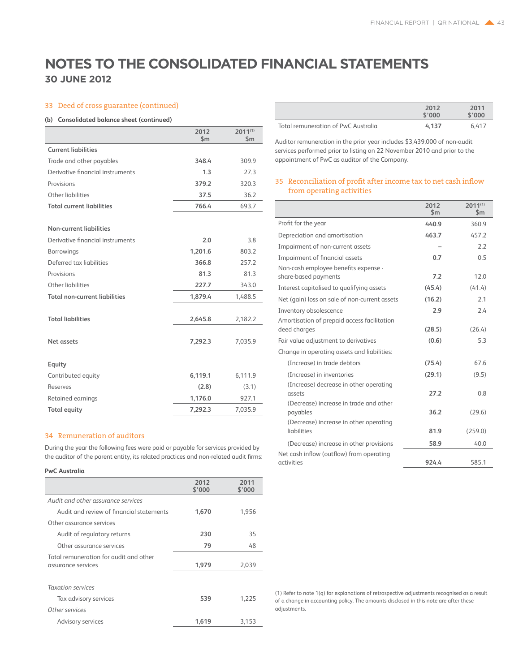### 33 Deed of cross guarantee (continued)

### **(b) Consolidated balance sheet (continued)**

|                                      | 2012<br>$\mathsf{S}$ m | $2011^{(1)}$<br>$\mathsf{S}$ m |
|--------------------------------------|------------------------|--------------------------------|
| <b>Current liabilities</b>           |                        |                                |
| Trade and other payables             | 348.4                  | 309.9                          |
| Derivative financial instruments     | 1.3                    | 27.3                           |
| Provisions                           | 379.2                  | 320.3                          |
| Other liabilities                    | 37.5                   | 36.2                           |
| <b>Total current liabilities</b>     | 766.4                  | 693.7                          |
|                                      |                        |                                |
| Non-current liabilities              |                        |                                |
| Derivative financial instruments     | 2.0                    | 3.8                            |
| Borrowings                           | 1,201.6                | 803.2                          |
| Deferred tax liabilities             | 366.8                  | 257.2                          |
| Provisions                           | 81.3                   | 81.3                           |
| Other liabilities                    | 227.7                  | 343.0                          |
| <b>Total non-current liabilities</b> | 1,879.4                | 1,488.5                        |
|                                      |                        |                                |
| <b>Total liabilities</b>             | 2,645.8                | 2,182.2                        |
|                                      |                        |                                |
| <b>Net assets</b>                    | 7,292.3                | 7,035.9                        |
|                                      |                        |                                |
| Equity                               |                        |                                |
| Contributed equity                   | 6,119.1                | 6,111.9                        |
| Reserves                             | (2.8)                  | (3.1)                          |
| Retained earnings                    | 1,176.0                | 927.1                          |
| <b>Total equity</b>                  | 7,292.3                | 7,035.9                        |

### 34 Remuneration of auditors

During the year the following fees were paid or payable for services provided by the auditor of the parent entity, its related practices and non-related audit firms:

### **PwC Australia**

|                                                              | 2012<br>\$'000 | 2011<br>\$'000 |
|--------------------------------------------------------------|----------------|----------------|
| Audit and other assurance services                           |                |                |
| Audit and review of financial statements                     | 1.670          | 1,956          |
| Other assurance services                                     |                |                |
| Audit of regulatory returns                                  | 230            | 35             |
| Other assurance services                                     | 79             | 48             |
| Total remuneration for audit and other<br>assurance services | 1,979          | 2,039          |
| <b>Taxation services</b>                                     |                |                |
| Tax advisory services                                        | 539            | 1.225          |
| Other services                                               |                |                |
| <b>Advisory services</b>                                     | 1,619          | 3.153          |

|                                     | 2012<br>\$'000 | 2011<br>\$'000 |
|-------------------------------------|----------------|----------------|
| Total remuneration of PwC Australia | 4.137          | 6.417          |

Auditor remuneration in the prior year includes \$3,439,000 of non-audit services performed prior to listing on 22 November 2010 and prior to the appointment of PwC as auditor of the Company.

### 35 Reconciliation of profit after income tax to net cash inflow from operating activities

|                                                                                            | 2012<br>$\mathsf{Sm}$ | $2011^{(1)}$<br>$\mathsf{Sm}$ |
|--------------------------------------------------------------------------------------------|-----------------------|-------------------------------|
| Profit for the year                                                                        | 440.9                 | 360.9                         |
| Depreciation and amortisation                                                              | 463.7                 | 457.2                         |
| Impairment of non-current assets                                                           |                       | 2.2                           |
| Impairment of financial assets                                                             | 0.7                   | 0.5                           |
| Non-cash employee benefits expense -<br>share-based payments                               | 7.2                   | 12.0                          |
| Interest capitalised to qualifying assets                                                  | (45.4)                | (41.4)                        |
| Net (gain) loss on sale of non-current assets                                              | (16.2)                | 2.1                           |
| Inventory obsolescence                                                                     | 2.9                   | 24                            |
| Amortisation of prepaid access facilitation<br>deed charges                                | (28.5)                | (26.4)                        |
| Fair value adjustment to derivatives                                                       | (0.6)                 | 5.3                           |
| Change in operating assets and liabilities:                                                |                       |                               |
| (Increase) in trade debtors                                                                | (75.4)                | 67.6                          |
| (Increase) in inventories                                                                  | (29.1)                | (9.5)                         |
| (Increase) decrease in other operating<br>assets<br>(Decrease) increase in trade and other | 27.2                  | 0.8                           |
| payables                                                                                   | 36.2                  | (29.6)                        |
| (Decrease) increase in other operating<br>liabilities                                      | 81.9                  | (259.0)                       |
| (Decrease) increase in other provisions                                                    | 58.9                  | 40.0                          |
| Net cash inflow (outflow) from operating                                                   |                       |                               |
| activities                                                                                 | 924.4                 | 585.1                         |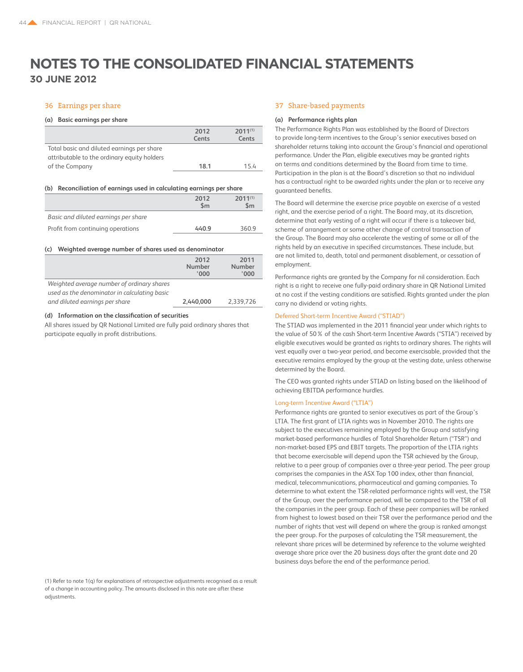### 36 Earnings per share

### **(a) Basic earnings per share**

| 2012<br>Cents | $2011^{(1)}$<br>Cents |
|---------------|-----------------------|
|               | 154                   |
|               | 18.1                  |

#### **(b) Reconciliation of earnings used in calculating earnings per share**

|                                      | 2012<br>$\mathsf{Sm}$ | $2011^{(1)}$<br>$\mathsf{Sm}$ |
|--------------------------------------|-----------------------|-------------------------------|
| Basic and diluted earnings per share |                       |                               |
| Profit from continuing operations    | 440.9                 | 360.9                         |

#### **(c) Weighted average number of shares used as denominator**

|                                              | 2012<br><b>Number</b><br>'000' | 2011<br>Number<br>'000' |
|----------------------------------------------|--------------------------------|-------------------------|
| Weighted average number of ordinary shares   |                                |                         |
| used as the denominator in calculating basic |                                |                         |
| and diluted earnings per share               | 2.440.000                      | 2.339.726               |

### **(d) Information on the classification of securities**

All shares issued by QR National Limited are fully paid ordinary shares that participate equally in profit distributions.

### 37 Share-based payments

### **(a) Performance rights plan**

The Performance Rights Plan was established by the Board of Directors to provide long-term incentives to the Group's senior executives based on shareholder returns taking into account the Group's financial and operational performance. Under the Plan, eligible executives may be granted rights on terms and conditions determined by the Board from time to time. Participation in the plan is at the Board's discretion so that no individual has a contractual right to be awarded rights under the plan or to receive any guaranteed benefits.

The Board will determine the exercise price payable on exercise of a vested right, and the exercise period of a right. The Board may, at its discretion, determine that early vesting of a right will occur if there is a takeover bid, scheme of arrangement or some other change of control transaction of the Group. The Board may also accelerate the vesting of some or all of the rights held by an executive in specified circumstances. These include, but are not limited to, death, total and permanent disablement, or cessation of employment.

Performance rights are granted by the Company for nil consideration. Each right is a right to receive one fully-paid ordinary share in QR National Limited at no cost if the vesting conditions are satisfied. Rights granted under the plan carry no dividend or voting rights.

### Deferred Short-term Incentive Award ("STIAD")

The STIAD was implemented in the 2011 financial year under which rights to the value of 50% of the cash Short-term Incentive Awards ("STIA") received by eligible executives would be granted as rights to ordinary shares. The rights will vest equally over a two-year period, and become exercisable, provided that the executive remains employed by the group at the vesting date, unless otherwise determined by the Board.

The CEO was granted rights under STIAD on listing based on the likelihood of achieving EBITDA performance hurdles.

### Long-term Incentive Award ("LTIA")

Performance rights are granted to senior executives as part of the Group's LTIA. The first grant of LTIA rights was in November 2010. The rights are subject to the executives remaining employed by the Group and satisfying market-based performance hurdles of Total Shareholder Return ("TSR") and non-market-based EPS and EBIT targets. The proportion of the LTIA rights that become exercisable will depend upon the TSR achieved by the Group, relative to a peer group of companies over a three-year period. The peer group comprises the companies in the ASX Top 100 index, other than financial, medical, telecommunications, pharmaceutical and gaming companies. To determine to what extent the TSR-related performance rights will vest, the TSR of the Group, over the performance period, will be compared to the TSR of all the companies in the peer group. Each of these peer companies will be ranked from highest to lowest based on their TSR over the performance period and the number of rights that vest will depend on where the group is ranked amongst the peer group. For the purposes of calculating the TSR measurement, the relevant share prices will be determined by reference to the volume weighted average share price over the 20 business days after the grant date and 20 business days before the end of the performance period.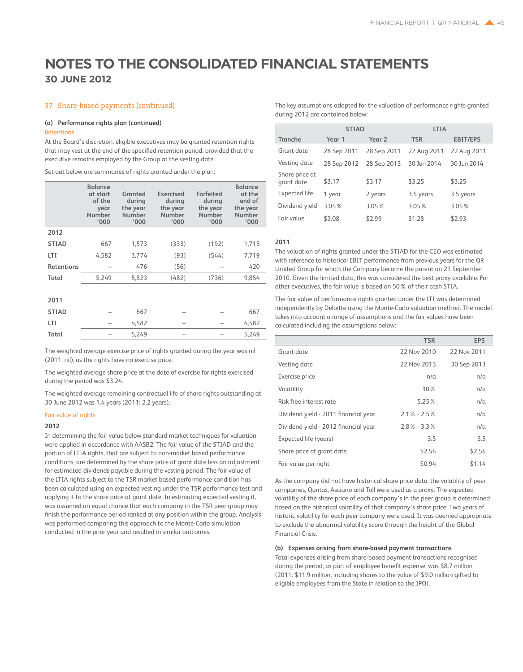### 37 Share-based payments (continued)

### **(a) Performance rights plan (continued)**

### Retentions

At the Board's discretion, eligible executives may be granted retention rights that may vest at the end of the specified retention period, provided that the executive remains employed by the Group at the vesting date.

Set out below are summaries of rights granted under the plan:

|                   | <b>Balance</b><br>at start<br>of the<br>year<br>Number<br>'000 | Granted<br>during<br>the year<br>Number<br>'000 | Exercised<br>during<br>the year<br>Number<br>'000 | <b>Forfeited</b><br>during<br>the year<br>Number<br>'000 | <b>Balance</b><br>at the<br>end of<br>the year<br><b>Number</b><br>'000 |
|-------------------|----------------------------------------------------------------|-------------------------------------------------|---------------------------------------------------|----------------------------------------------------------|-------------------------------------------------------------------------|
| 2012              |                                                                |                                                 |                                                   |                                                          |                                                                         |
| <b>STIAD</b>      | 667                                                            | 1,573                                           | (333)                                             | (192)                                                    | 1,715                                                                   |
| LTI               | 4,582                                                          | 3,774                                           | (93)                                              | (544)                                                    | 7,719                                                                   |
| <b>Retentions</b> |                                                                | 476                                             | (56)                                              |                                                          | 420                                                                     |
| Total             | 5,249                                                          | 5,823                                           | (482)                                             | (736)                                                    | 9,854                                                                   |
|                   |                                                                |                                                 |                                                   |                                                          |                                                                         |
| 2011              |                                                                |                                                 |                                                   |                                                          |                                                                         |
| <b>STIAD</b>      |                                                                | 667                                             |                                                   |                                                          | 667                                                                     |
| LTI               |                                                                | 4,582                                           |                                                   |                                                          | 4,582                                                                   |
| Total             |                                                                | 5,249                                           |                                                   |                                                          | 5,249                                                                   |

The weighted average exercise price of rights granted during the year was nil (2011: nil), as the rights have no exercise price.

The weighted average share price at the date of exercise for rights exercised during the period was \$3.24.

The weighted average remaining contractual life of share rights outstanding at 30 June 2012 was 1.4 years (2011: 2.2 years).

### Fair value of rights

### **2012**

In determining the fair value below standard market techniques for valuation were applied in accordance with AASB2. The fair value of the STIAD and the portion of LTIA rights, that are subject to non-market based performance conditions, are determined by the share price at grant date less an adjustment for estimated dividends payable during the vesting period. The fair value of the LTIA rights subject to the TSR market based performance condition has been calculated using an expected vesting under the TSR performance test and applying it to the share price at grant date. In estimating expected vesting it, was assumed an equal chance that each company in the TSR peer group may finish the performance period ranked at any position within the group. Analysis was performed comparing this approach to the Monte-Carlo simulation conducted in the prior year and resulted in similar outcomes.

The key assumptions adopted for the valuation of performance rights granted during 2012 are contained below:

|                              | <b>STIAD</b> |                   | <b>LTIA</b> |                 |
|------------------------------|--------------|-------------------|-------------|-----------------|
| Tranche                      | Year 1       | Year <sub>2</sub> | <b>TSR</b>  | <b>EBIT/EPS</b> |
| Grant date                   | 28 Sep 2011  | 28 Sep 2011       | 22 Aug 2011 | 22 Aug 2011     |
| Vesting date                 | 28 Sep 2012  | 28 Sep 2013       | 30 Jun 2014 | 30 Jun 2014     |
| Share price at<br>grant date | \$3.17       | \$3.17            | \$3.25      | \$3.25          |
| Expected life                | 1 year       | 2 years           | 3.5 years   | 3.5 years       |
| Dividend yield               | 3.05%        | 3.05%             | 3.05%       | 3.05%           |
| Fair value                   | \$3.08       | \$2.99            | \$1.28      | \$2.93          |

### **2011**

The valuation of rights granted under the STIAD for the CEO was estimated with reference to historical EBIT performance from previous years for the QR Limited Group for which the Company became the parent on 21 September 2010. Given the limited data, this was considered the best proxy available. For other executives, the fair value is based on 50% of their cash STIA.

The fair value of performance rights granted under the LTI was determined independently by Deloitte using the Monte-Carlo valuation method. The model takes into account a range of assumptions and the fair values have been calculated including the assumptions below:

|                                      | <b>TSR</b>      | <b>EPS</b>  |
|--------------------------------------|-----------------|-------------|
| Grant date                           | 22 Nov 2010     | 22 Nov 2011 |
| Vesting date                         | 22 Nov 2013     | 30 Sep 2013 |
| Exercise price                       | n/a             | n/a         |
| Volatility                           | 30%             | n/a         |
| Risk free interest rate              | 5.25%           | n/a         |
| Dividend yield - 2011 financial year | $2.1\% - 2.5\%$ | n/a         |
| Dividend yield - 2012 financial year | $2.8\% - 3.3\%$ | n/a         |
| Expected life (years)                | 3.5             | 3.5         |
| Share price at grant date            | \$2.54          | \$2.54      |
| Fair value per right                 | \$0.94          | \$1.14      |

As the company did not have historical share price data, the volatility of peer companies, Qantas, Asciano and Toll were used as a proxy. The expected volatility of the share price of each company's in the peer group is determined based on the historical volatility of that company's share price. Two years of historic volatility for each peer company were used. It was deemed appropriate to exclude the abnormal volatility score through the height of the Global Financial Crisis.

### **(b) Expenses arising from share-based payment transactions**

Total expenses arising from share-based payment transactions recognised during the period, as part of employee benefit expense, was \$8.7 million (2011: \$11.9 million, including shares to the value of \$9.0 million gifted to eligible employees from the State in relation to the IPO).